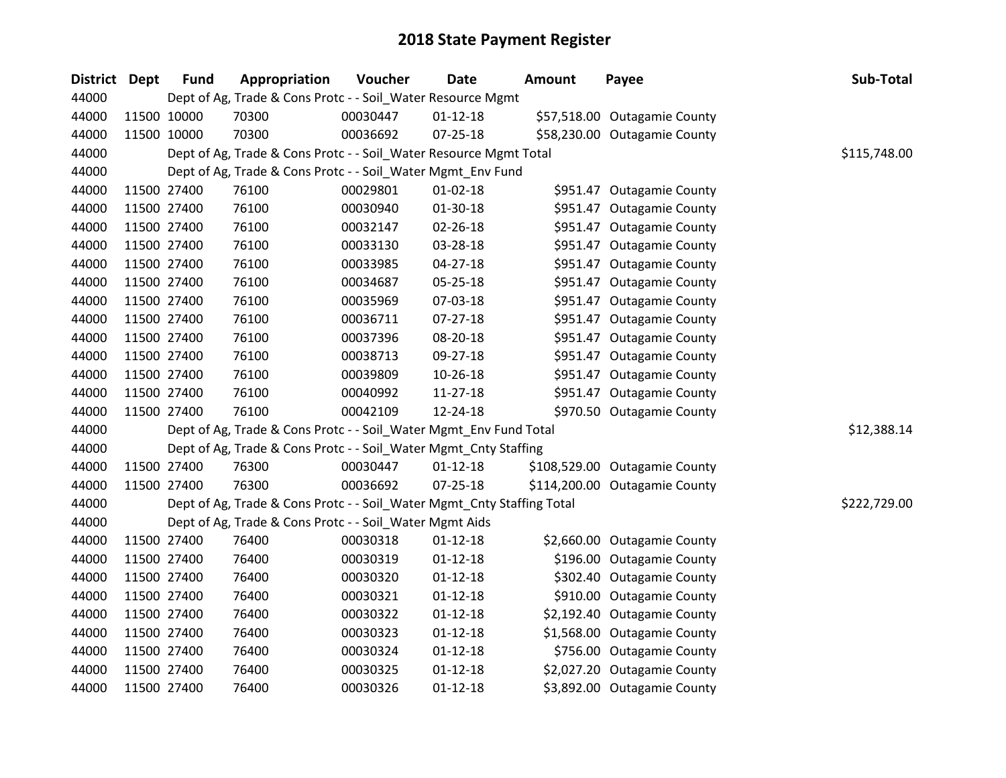| <b>District</b> | <b>Dept</b> | <b>Fund</b> | Appropriation                                                          | Voucher  | <b>Date</b>    | <b>Amount</b> | Payee                         | Sub-Total    |
|-----------------|-------------|-------------|------------------------------------------------------------------------|----------|----------------|---------------|-------------------------------|--------------|
| 44000           |             |             | Dept of Ag, Trade & Cons Protc - - Soil_Water Resource Mgmt            |          |                |               |                               |              |
| 44000           |             | 11500 10000 | 70300                                                                  | 00030447 | $01 - 12 - 18$ |               | \$57,518.00 Outagamie County  |              |
| 44000           |             | 11500 10000 | 70300                                                                  | 00036692 | $07 - 25 - 18$ |               | \$58,230.00 Outagamie County  |              |
| 44000           |             |             | Dept of Ag, Trade & Cons Protc - - Soil_Water Resource Mgmt Total      |          |                |               |                               | \$115,748.00 |
| 44000           |             |             | Dept of Ag, Trade & Cons Protc - - Soil_Water Mgmt_Env Fund            |          |                |               |                               |              |
| 44000           |             | 11500 27400 | 76100                                                                  | 00029801 | $01 - 02 - 18$ |               | \$951.47 Outagamie County     |              |
| 44000           |             | 11500 27400 | 76100                                                                  | 00030940 | 01-30-18       |               | \$951.47 Outagamie County     |              |
| 44000           |             | 11500 27400 | 76100                                                                  | 00032147 | 02-26-18       |               | \$951.47 Outagamie County     |              |
| 44000           |             | 11500 27400 | 76100                                                                  | 00033130 | 03-28-18       |               | \$951.47 Outagamie County     |              |
| 44000           |             | 11500 27400 | 76100                                                                  | 00033985 | $04 - 27 - 18$ |               | \$951.47 Outagamie County     |              |
| 44000           |             | 11500 27400 | 76100                                                                  | 00034687 | 05-25-18       |               | \$951.47 Outagamie County     |              |
| 44000           |             | 11500 27400 | 76100                                                                  | 00035969 | 07-03-18       |               | \$951.47 Outagamie County     |              |
| 44000           |             | 11500 27400 | 76100                                                                  | 00036711 | 07-27-18       |               | \$951.47 Outagamie County     |              |
| 44000           |             | 11500 27400 | 76100                                                                  | 00037396 | 08-20-18       |               | \$951.47 Outagamie County     |              |
| 44000           |             | 11500 27400 | 76100                                                                  | 00038713 | 09-27-18       |               | \$951.47 Outagamie County     |              |
| 44000           |             | 11500 27400 | 76100                                                                  | 00039809 | 10-26-18       |               | \$951.47 Outagamie County     |              |
| 44000           |             | 11500 27400 | 76100                                                                  | 00040992 | $11 - 27 - 18$ |               | \$951.47 Outagamie County     |              |
| 44000           |             | 11500 27400 | 76100                                                                  | 00042109 | 12-24-18       |               | \$970.50 Outagamie County     |              |
| 44000           |             |             | Dept of Ag, Trade & Cons Protc - - Soil_Water Mgmt_Env Fund Total      |          |                |               |                               | \$12,388.14  |
| 44000           |             |             | Dept of Ag, Trade & Cons Protc - - Soil_Water Mgmt_Cnty Staffing       |          |                |               |                               |              |
| 44000           |             | 11500 27400 | 76300                                                                  | 00030447 | $01-12-18$     |               | \$108,529.00 Outagamie County |              |
| 44000           |             | 11500 27400 | 76300                                                                  | 00036692 | $07 - 25 - 18$ |               | \$114,200.00 Outagamie County |              |
| 44000           |             |             | Dept of Ag, Trade & Cons Protc - - Soil_Water Mgmt_Cnty Staffing Total |          |                |               |                               | \$222,729.00 |
| 44000           |             |             | Dept of Ag, Trade & Cons Protc - - Soil_Water Mgmt Aids                |          |                |               |                               |              |
| 44000           |             | 11500 27400 | 76400                                                                  | 00030318 | $01 - 12 - 18$ |               | \$2,660.00 Outagamie County   |              |
| 44000           |             | 11500 27400 | 76400                                                                  | 00030319 | $01 - 12 - 18$ |               | \$196.00 Outagamie County     |              |
| 44000           |             | 11500 27400 | 76400                                                                  | 00030320 | $01 - 12 - 18$ |               | \$302.40 Outagamie County     |              |
| 44000           |             | 11500 27400 | 76400                                                                  | 00030321 | $01 - 12 - 18$ |               | \$910.00 Outagamie County     |              |
| 44000           |             | 11500 27400 | 76400                                                                  | 00030322 | $01 - 12 - 18$ |               | \$2,192.40 Outagamie County   |              |
| 44000           |             | 11500 27400 | 76400                                                                  | 00030323 | $01 - 12 - 18$ |               | \$1,568.00 Outagamie County   |              |
| 44000           |             | 11500 27400 | 76400                                                                  | 00030324 | $01 - 12 - 18$ |               | \$756.00 Outagamie County     |              |
| 44000           |             | 11500 27400 | 76400                                                                  | 00030325 | $01 - 12 - 18$ |               | \$2,027.20 Outagamie County   |              |
| 44000           |             | 11500 27400 | 76400                                                                  | 00030326 | $01 - 12 - 18$ |               | \$3,892.00 Outagamie County   |              |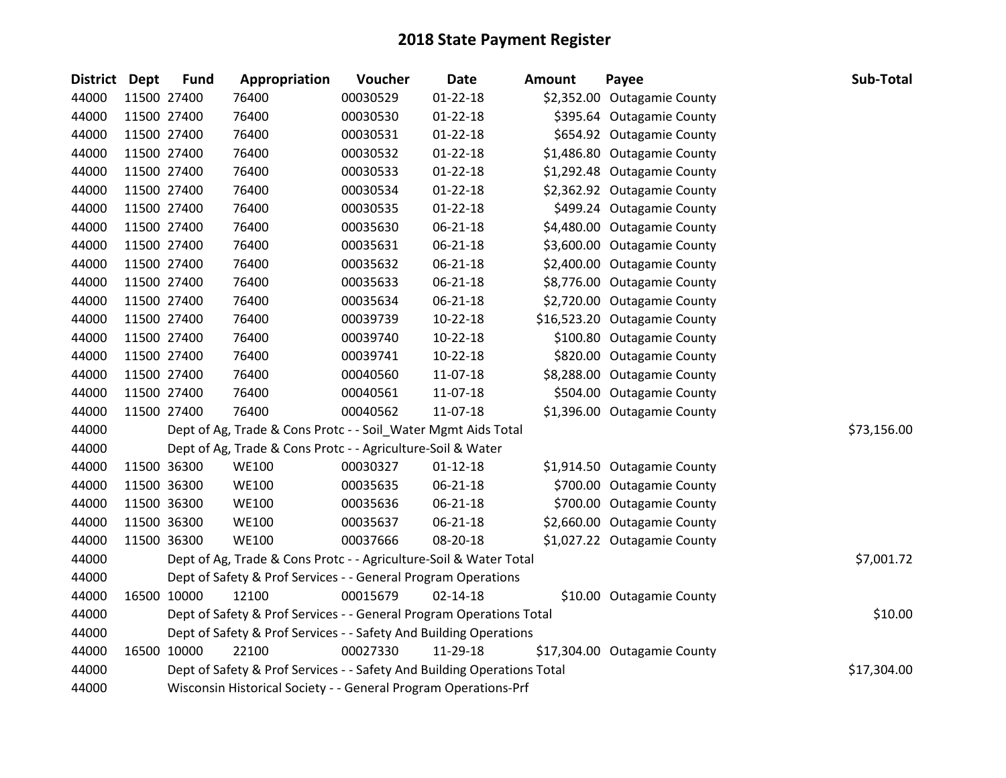| <b>District Dept</b> | <b>Fund</b> | Appropriation                                                           | Voucher  | Date           | Amount | Payee                        | Sub-Total   |
|----------------------|-------------|-------------------------------------------------------------------------|----------|----------------|--------|------------------------------|-------------|
| 44000                | 11500 27400 | 76400                                                                   | 00030529 | $01 - 22 - 18$ |        | \$2,352.00 Outagamie County  |             |
| 44000                | 11500 27400 | 76400                                                                   | 00030530 | $01 - 22 - 18$ |        | \$395.64 Outagamie County    |             |
| 44000                | 11500 27400 | 76400                                                                   | 00030531 | $01 - 22 - 18$ |        | \$654.92 Outagamie County    |             |
| 44000                | 11500 27400 | 76400                                                                   | 00030532 | 01-22-18       |        | \$1,486.80 Outagamie County  |             |
| 44000                | 11500 27400 | 76400                                                                   | 00030533 | $01 - 22 - 18$ |        | \$1,292.48 Outagamie County  |             |
| 44000                | 11500 27400 | 76400                                                                   | 00030534 | $01 - 22 - 18$ |        | \$2,362.92 Outagamie County  |             |
| 44000                | 11500 27400 | 76400                                                                   | 00030535 | $01 - 22 - 18$ |        | \$499.24 Outagamie County    |             |
| 44000                | 11500 27400 | 76400                                                                   | 00035630 | 06-21-18       |        | \$4,480.00 Outagamie County  |             |
| 44000                | 11500 27400 | 76400                                                                   | 00035631 | 06-21-18       |        | \$3,600.00 Outagamie County  |             |
| 44000                | 11500 27400 | 76400                                                                   | 00035632 | 06-21-18       |        | \$2,400.00 Outagamie County  |             |
| 44000                | 11500 27400 | 76400                                                                   | 00035633 | 06-21-18       |        | \$8,776.00 Outagamie County  |             |
| 44000                | 11500 27400 | 76400                                                                   | 00035634 | 06-21-18       |        | \$2,720.00 Outagamie County  |             |
| 44000                | 11500 27400 | 76400                                                                   | 00039739 | $10-22-18$     |        | \$16,523.20 Outagamie County |             |
| 44000                | 11500 27400 | 76400                                                                   | 00039740 | $10-22-18$     |        | \$100.80 Outagamie County    |             |
| 44000                | 11500 27400 | 76400                                                                   | 00039741 | $10-22-18$     |        | \$820.00 Outagamie County    |             |
| 44000                | 11500 27400 | 76400                                                                   | 00040560 | 11-07-18       |        | \$8,288.00 Outagamie County  |             |
| 44000                | 11500 27400 | 76400                                                                   | 00040561 | 11-07-18       |        | \$504.00 Outagamie County    |             |
| 44000                | 11500 27400 | 76400                                                                   | 00040562 | 11-07-18       |        | \$1,396.00 Outagamie County  |             |
| 44000                |             | Dept of Ag, Trade & Cons Protc - - Soil_Water Mgmt Aids Total           |          |                |        |                              | \$73,156.00 |
| 44000                |             | Dept of Ag, Trade & Cons Protc - - Agriculture-Soil & Water             |          |                |        |                              |             |
| 44000                | 11500 36300 | <b>WE100</b>                                                            | 00030327 | $01 - 12 - 18$ |        | \$1,914.50 Outagamie County  |             |
| 44000                | 11500 36300 | <b>WE100</b>                                                            | 00035635 | 06-21-18       |        | \$700.00 Outagamie County    |             |
| 44000                | 11500 36300 | <b>WE100</b>                                                            | 00035636 | 06-21-18       |        | \$700.00 Outagamie County    |             |
| 44000                | 11500 36300 | <b>WE100</b>                                                            | 00035637 | 06-21-18       |        | \$2,660.00 Outagamie County  |             |
| 44000                | 11500 36300 | <b>WE100</b>                                                            | 00037666 | 08-20-18       |        | \$1,027.22 Outagamie County  |             |
| 44000                |             | Dept of Ag, Trade & Cons Protc - - Agriculture-Soil & Water Total       |          |                |        |                              | \$7,001.72  |
| 44000                |             | Dept of Safety & Prof Services - - General Program Operations           |          |                |        |                              |             |
| 44000                | 16500 10000 | 12100                                                                   | 00015679 | 02-14-18       |        | \$10.00 Outagamie County     |             |
| 44000                |             | Dept of Safety & Prof Services - - General Program Operations Total     |          |                |        |                              | \$10.00     |
| 44000                |             | Dept of Safety & Prof Services - - Safety And Building Operations       |          |                |        |                              |             |
| 44000                | 16500 10000 | 22100                                                                   | 00027330 | 11-29-18       |        | \$17,304.00 Outagamie County |             |
| 44000                |             | Dept of Safety & Prof Services - - Safety And Building Operations Total |          |                |        |                              | \$17,304.00 |
| 44000                |             | Wisconsin Historical Society - - General Program Operations-Prf         |          |                |        |                              |             |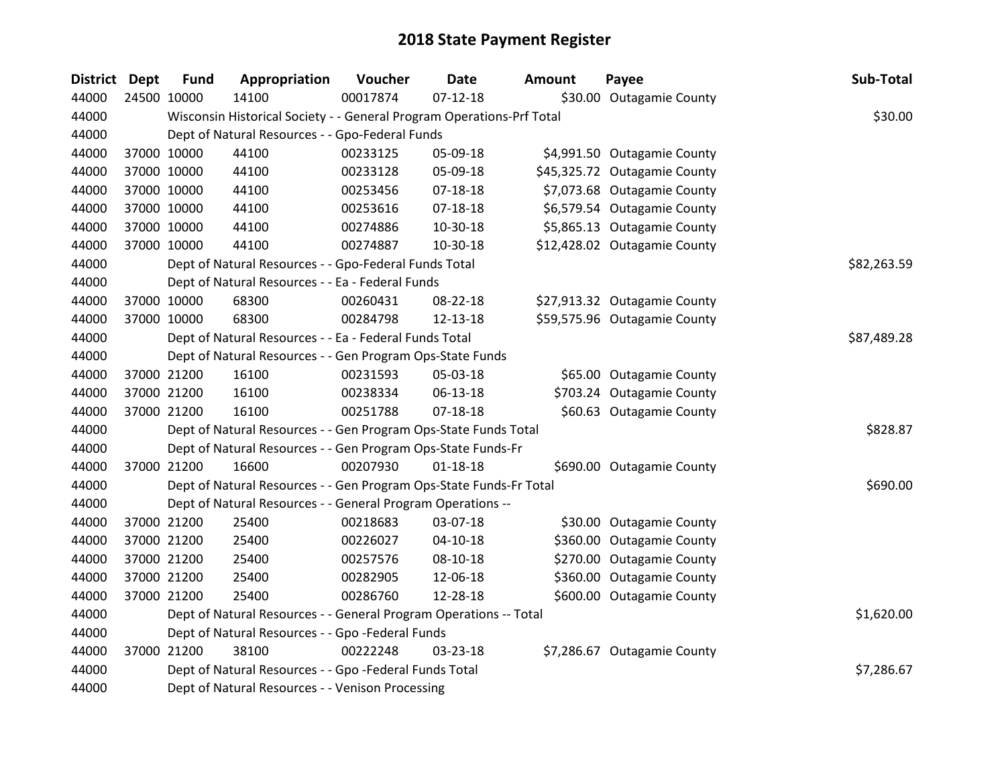| <b>District</b> | <b>Dept</b> | <b>Fund</b> | Appropriation                                                         | Voucher  | <b>Date</b>    | <b>Amount</b> | Payee                        | Sub-Total   |
|-----------------|-------------|-------------|-----------------------------------------------------------------------|----------|----------------|---------------|------------------------------|-------------|
| 44000           |             | 24500 10000 | 14100                                                                 | 00017874 | $07-12-18$     |               | \$30.00 Outagamie County     |             |
| 44000           |             |             | Wisconsin Historical Society - - General Program Operations-Prf Total |          |                |               |                              | \$30.00     |
| 44000           |             |             | Dept of Natural Resources - - Gpo-Federal Funds                       |          |                |               |                              |             |
| 44000           |             | 37000 10000 | 44100                                                                 | 00233125 | 05-09-18       |               | \$4,991.50 Outagamie County  |             |
| 44000           |             | 37000 10000 | 44100                                                                 | 00233128 | 05-09-18       |               | \$45,325.72 Outagamie County |             |
| 44000           |             | 37000 10000 | 44100                                                                 | 00253456 | $07 - 18 - 18$ |               | \$7,073.68 Outagamie County  |             |
| 44000           |             | 37000 10000 | 44100                                                                 | 00253616 | 07-18-18       |               | \$6,579.54 Outagamie County  |             |
| 44000           |             | 37000 10000 | 44100                                                                 | 00274886 | 10-30-18       |               | \$5,865.13 Outagamie County  |             |
| 44000           |             | 37000 10000 | 44100                                                                 | 00274887 | 10-30-18       |               | \$12,428.02 Outagamie County |             |
| 44000           |             |             | Dept of Natural Resources - - Gpo-Federal Funds Total                 |          |                |               |                              | \$82,263.59 |
| 44000           |             |             | Dept of Natural Resources - - Ea - Federal Funds                      |          |                |               |                              |             |
| 44000           |             | 37000 10000 | 68300                                                                 | 00260431 | 08-22-18       |               | \$27,913.32 Outagamie County |             |
| 44000           |             | 37000 10000 | 68300                                                                 | 00284798 | 12-13-18       |               | \$59,575.96 Outagamie County |             |
| 44000           |             |             | Dept of Natural Resources - - Ea - Federal Funds Total                |          |                |               |                              | \$87,489.28 |
| 44000           |             |             | Dept of Natural Resources - - Gen Program Ops-State Funds             |          |                |               |                              |             |
| 44000           |             | 37000 21200 | 16100                                                                 | 00231593 | 05-03-18       |               | \$65.00 Outagamie County     |             |
| 44000           |             | 37000 21200 | 16100                                                                 | 00238334 | 06-13-18       |               | \$703.24 Outagamie County    |             |
| 44000           |             | 37000 21200 | 16100                                                                 | 00251788 | $07-18-18$     |               | \$60.63 Outagamie County     |             |
| 44000           |             |             | Dept of Natural Resources - - Gen Program Ops-State Funds Total       |          |                |               |                              | \$828.87    |
| 44000           |             |             | Dept of Natural Resources - - Gen Program Ops-State Funds-Fr          |          |                |               |                              |             |
| 44000           |             | 37000 21200 | 16600                                                                 | 00207930 | $01 - 18 - 18$ |               | \$690.00 Outagamie County    |             |
| 44000           |             |             | Dept of Natural Resources - - Gen Program Ops-State Funds-Fr Total    |          |                |               |                              | \$690.00    |
| 44000           |             |             | Dept of Natural Resources - - General Program Operations --           |          |                |               |                              |             |
| 44000           |             | 37000 21200 | 25400                                                                 | 00218683 | 03-07-18       |               | \$30.00 Outagamie County     |             |
| 44000           |             | 37000 21200 | 25400                                                                 | 00226027 | $04-10-18$     |               | \$360.00 Outagamie County    |             |
| 44000           |             | 37000 21200 | 25400                                                                 | 00257576 | 08-10-18       |               | \$270.00 Outagamie County    |             |
| 44000           |             | 37000 21200 | 25400                                                                 | 00282905 | 12-06-18       |               | \$360.00 Outagamie County    |             |
| 44000           |             | 37000 21200 | 25400                                                                 | 00286760 | 12-28-18       |               | \$600.00 Outagamie County    |             |
| 44000           |             |             | Dept of Natural Resources - - General Program Operations -- Total     |          |                |               |                              | \$1,620.00  |
| 44000           |             |             | Dept of Natural Resources - - Gpo -Federal Funds                      |          |                |               |                              |             |
| 44000           |             | 37000 21200 | 38100                                                                 | 00222248 | 03-23-18       |               | \$7,286.67 Outagamie County  |             |
| 44000           |             |             | Dept of Natural Resources - - Gpo -Federal Funds Total                |          |                |               |                              | \$7,286.67  |
| 44000           |             |             | Dept of Natural Resources - - Venison Processing                      |          |                |               |                              |             |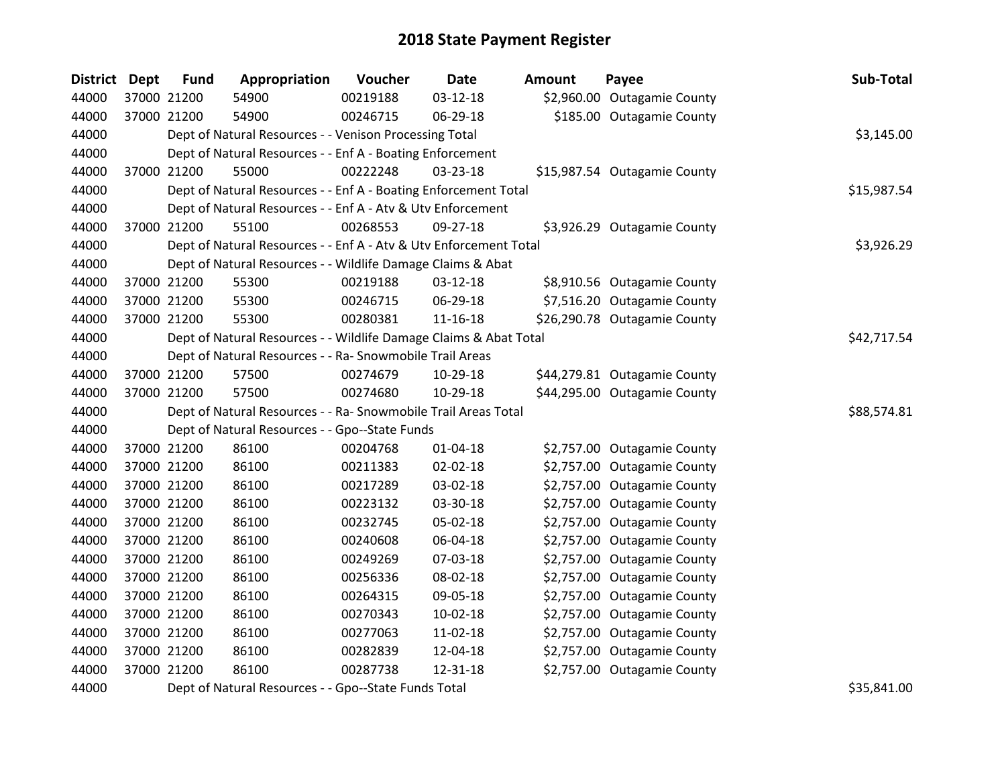| District Dept | <b>Fund</b> | Appropriation                                                     | Voucher  | <b>Date</b>    | <b>Amount</b> | Payee                        | Sub-Total   |
|---------------|-------------|-------------------------------------------------------------------|----------|----------------|---------------|------------------------------|-------------|
| 44000         | 37000 21200 | 54900                                                             | 00219188 | $03 - 12 - 18$ |               | \$2,960.00 Outagamie County  |             |
| 44000         | 37000 21200 | 54900                                                             | 00246715 | 06-29-18       |               | \$185.00 Outagamie County    |             |
| 44000         |             | Dept of Natural Resources - - Venison Processing Total            |          |                |               |                              | \$3,145.00  |
| 44000         |             | Dept of Natural Resources - - Enf A - Boating Enforcement         |          |                |               |                              |             |
| 44000         | 37000 21200 | 55000                                                             | 00222248 | 03-23-18       |               | \$15,987.54 Outagamie County |             |
| 44000         |             | Dept of Natural Resources - - Enf A - Boating Enforcement Total   |          |                |               |                              | \$15,987.54 |
| 44000         |             | Dept of Natural Resources - - Enf A - Atv & Utv Enforcement       |          |                |               |                              |             |
| 44000         | 37000 21200 | 55100                                                             | 00268553 | 09-27-18       |               | \$3,926.29 Outagamie County  |             |
| 44000         |             | Dept of Natural Resources - - Enf A - Atv & Utv Enforcement Total |          |                |               |                              | \$3,926.29  |
| 44000         |             | Dept of Natural Resources - - Wildlife Damage Claims & Abat       |          |                |               |                              |             |
| 44000         | 37000 21200 | 55300                                                             | 00219188 | 03-12-18       |               | \$8,910.56 Outagamie County  |             |
| 44000         | 37000 21200 | 55300                                                             | 00246715 | 06-29-18       |               | \$7,516.20 Outagamie County  |             |
| 44000         | 37000 21200 | 55300                                                             | 00280381 | 11-16-18       |               | \$26,290.78 Outagamie County |             |
| 44000         |             | Dept of Natural Resources - - Wildlife Damage Claims & Abat Total |          |                |               |                              | \$42,717.54 |
| 44000         |             | Dept of Natural Resources - - Ra- Snowmobile Trail Areas          |          |                |               |                              |             |
| 44000         | 37000 21200 | 57500                                                             | 00274679 | 10-29-18       |               | \$44,279.81 Outagamie County |             |
| 44000         | 37000 21200 | 57500                                                             | 00274680 | 10-29-18       |               | \$44,295.00 Outagamie County |             |
| 44000         |             | Dept of Natural Resources - - Ra- Snowmobile Trail Areas Total    |          |                |               |                              | \$88,574.81 |
| 44000         |             | Dept of Natural Resources - - Gpo--State Funds                    |          |                |               |                              |             |
| 44000         | 37000 21200 | 86100                                                             | 00204768 | $01 - 04 - 18$ |               | \$2,757.00 Outagamie County  |             |
| 44000         | 37000 21200 | 86100                                                             | 00211383 | 02-02-18       |               | \$2,757.00 Outagamie County  |             |
| 44000         | 37000 21200 | 86100                                                             | 00217289 | 03-02-18       |               | \$2,757.00 Outagamie County  |             |
| 44000         | 37000 21200 | 86100                                                             | 00223132 | 03-30-18       |               | \$2,757.00 Outagamie County  |             |
| 44000         | 37000 21200 | 86100                                                             | 00232745 | 05-02-18       |               | \$2,757.00 Outagamie County  |             |
| 44000         | 37000 21200 | 86100                                                             | 00240608 | 06-04-18       |               | \$2,757.00 Outagamie County  |             |
| 44000         | 37000 21200 | 86100                                                             | 00249269 | 07-03-18       |               | \$2,757.00 Outagamie County  |             |
| 44000         | 37000 21200 | 86100                                                             | 00256336 | 08-02-18       |               | \$2,757.00 Outagamie County  |             |
| 44000         | 37000 21200 | 86100                                                             | 00264315 | 09-05-18       |               | \$2,757.00 Outagamie County  |             |
| 44000         | 37000 21200 | 86100                                                             | 00270343 | 10-02-18       |               | \$2,757.00 Outagamie County  |             |
| 44000         | 37000 21200 | 86100                                                             | 00277063 | 11-02-18       |               | \$2,757.00 Outagamie County  |             |
| 44000         | 37000 21200 | 86100                                                             | 00282839 | 12-04-18       |               | \$2,757.00 Outagamie County  |             |
| 44000         | 37000 21200 | 86100                                                             | 00287738 | 12-31-18       |               | \$2,757.00 Outagamie County  |             |
| 44000         |             | Dept of Natural Resources - - Gpo--State Funds Total              |          |                |               |                              | \$35,841.00 |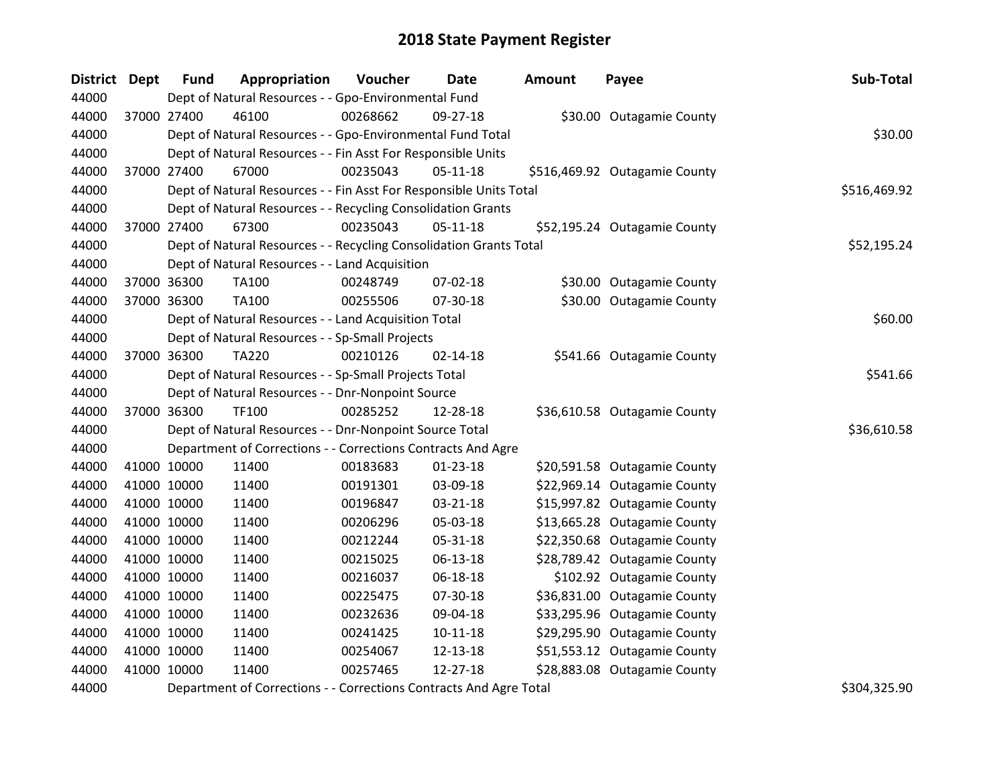| <b>District</b> | Dept | <b>Fund</b> | Appropriation                                                      | Voucher  | <b>Date</b>    | Amount | Payee                         | Sub-Total    |  |  |
|-----------------|------|-------------|--------------------------------------------------------------------|----------|----------------|--------|-------------------------------|--------------|--|--|
| 44000           |      |             | Dept of Natural Resources - - Gpo-Environmental Fund               |          |                |        |                               |              |  |  |
| 44000           |      | 37000 27400 | 46100                                                              | 00268662 | 09-27-18       |        | \$30.00 Outagamie County      |              |  |  |
| 44000           |      |             | Dept of Natural Resources - - Gpo-Environmental Fund Total         |          |                |        |                               | \$30.00      |  |  |
| 44000           |      |             | Dept of Natural Resources - - Fin Asst For Responsible Units       |          |                |        |                               |              |  |  |
| 44000           |      | 37000 27400 | 67000                                                              | 00235043 | $05 - 11 - 18$ |        | \$516,469.92 Outagamie County |              |  |  |
| 44000           |      |             | Dept of Natural Resources - - Fin Asst For Responsible Units Total |          |                |        |                               | \$516,469.92 |  |  |
| 44000           |      |             | Dept of Natural Resources - - Recycling Consolidation Grants       |          |                |        |                               |              |  |  |
| 44000           |      | 37000 27400 | 67300                                                              | 00235043 | $05 - 11 - 18$ |        | \$52,195.24 Outagamie County  |              |  |  |
| 44000           |      |             | Dept of Natural Resources - - Recycling Consolidation Grants Total |          |                |        |                               | \$52,195.24  |  |  |
| 44000           |      |             | Dept of Natural Resources - - Land Acquisition                     |          |                |        |                               |              |  |  |
| 44000           |      | 37000 36300 | TA100                                                              | 00248749 | 07-02-18       |        | \$30.00 Outagamie County      |              |  |  |
| 44000           |      | 37000 36300 | <b>TA100</b>                                                       | 00255506 | 07-30-18       |        | \$30.00 Outagamie County      |              |  |  |
| 44000           |      |             | Dept of Natural Resources - - Land Acquisition Total               |          |                |        |                               | \$60.00      |  |  |
| 44000           |      |             | Dept of Natural Resources - - Sp-Small Projects                    |          |                |        |                               |              |  |  |
| 44000           |      | 37000 36300 | <b>TA220</b>                                                       | 00210126 | $02 - 14 - 18$ |        | \$541.66 Outagamie County     |              |  |  |
| 44000           |      |             | Dept of Natural Resources - - Sp-Small Projects Total              |          |                |        |                               | \$541.66     |  |  |
| 44000           |      |             | Dept of Natural Resources - - Dnr-Nonpoint Source                  |          |                |        |                               |              |  |  |
| 44000           |      | 37000 36300 | TF100                                                              | 00285252 | 12-28-18       |        | \$36,610.58 Outagamie County  |              |  |  |
| 44000           |      |             | Dept of Natural Resources - - Dnr-Nonpoint Source Total            |          |                |        |                               | \$36,610.58  |  |  |
| 44000           |      |             | Department of Corrections - - Corrections Contracts And Agre       |          |                |        |                               |              |  |  |
| 44000           |      | 41000 10000 | 11400                                                              | 00183683 | $01 - 23 - 18$ |        | \$20,591.58 Outagamie County  |              |  |  |
| 44000           |      | 41000 10000 | 11400                                                              | 00191301 | 03-09-18       |        | \$22,969.14 Outagamie County  |              |  |  |
| 44000           |      | 41000 10000 | 11400                                                              | 00196847 | 03-21-18       |        | \$15,997.82 Outagamie County  |              |  |  |
| 44000           |      | 41000 10000 | 11400                                                              | 00206296 | 05-03-18       |        | \$13,665.28 Outagamie County  |              |  |  |
| 44000           |      | 41000 10000 | 11400                                                              | 00212244 | 05-31-18       |        | \$22,350.68 Outagamie County  |              |  |  |
| 44000           |      | 41000 10000 | 11400                                                              | 00215025 | 06-13-18       |        | \$28,789.42 Outagamie County  |              |  |  |
| 44000           |      | 41000 10000 | 11400                                                              | 00216037 | 06-18-18       |        | \$102.92 Outagamie County     |              |  |  |
| 44000           |      | 41000 10000 | 11400                                                              | 00225475 | 07-30-18       |        | \$36,831.00 Outagamie County  |              |  |  |
| 44000           |      | 41000 10000 | 11400                                                              | 00232636 | 09-04-18       |        | \$33,295.96 Outagamie County  |              |  |  |
| 44000           |      | 41000 10000 | 11400                                                              | 00241425 | $10 - 11 - 18$ |        | \$29,295.90 Outagamie County  |              |  |  |
| 44000           |      | 41000 10000 | 11400                                                              | 00254067 | 12-13-18       |        | \$51,553.12 Outagamie County  |              |  |  |
| 44000           |      | 41000 10000 | 11400                                                              | 00257465 | 12-27-18       |        | \$28,883.08 Outagamie County  |              |  |  |
| 44000           |      |             | Department of Corrections - - Corrections Contracts And Agre Total |          |                |        |                               | \$304,325.90 |  |  |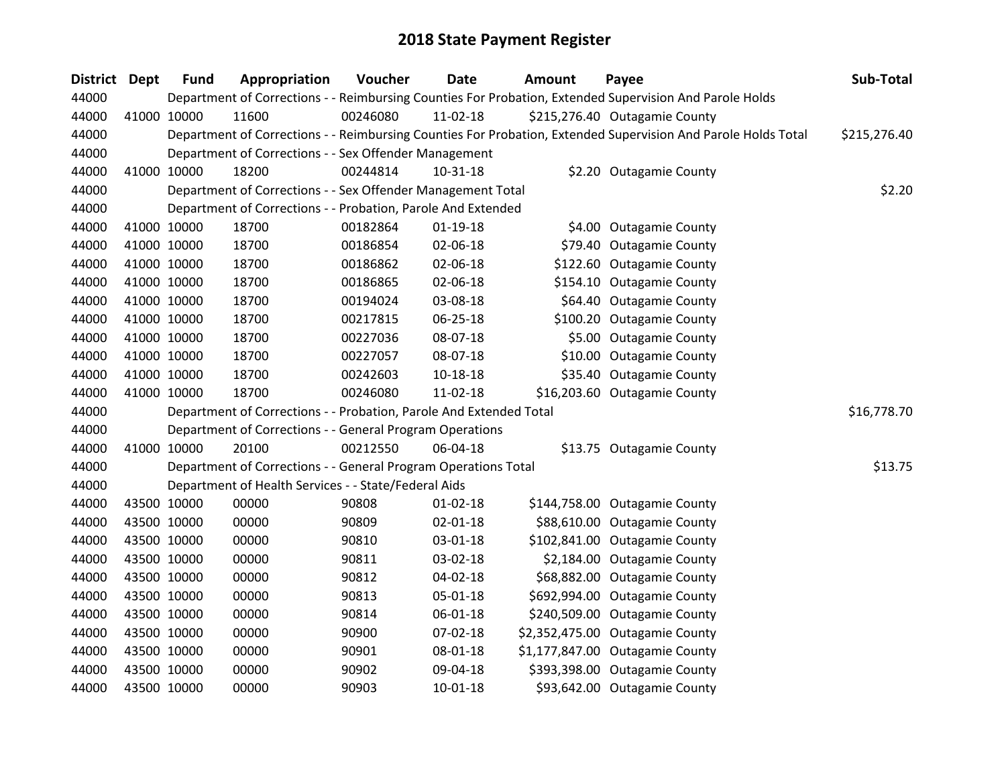| District Dept | <b>Fund</b> | Appropriation                                                      | Voucher  | <b>Date</b>    | <b>Amount</b> | Payee                                                                                                         | Sub-Total    |
|---------------|-------------|--------------------------------------------------------------------|----------|----------------|---------------|---------------------------------------------------------------------------------------------------------------|--------------|
| 44000         |             |                                                                    |          |                |               | Department of Corrections - - Reimbursing Counties For Probation, Extended Supervision And Parole Holds       |              |
| 44000         | 41000 10000 | 11600                                                              | 00246080 | 11-02-18       |               | \$215,276.40 Outagamie County                                                                                 |              |
| 44000         |             |                                                                    |          |                |               | Department of Corrections - - Reimbursing Counties For Probation, Extended Supervision And Parole Holds Total | \$215,276.40 |
| 44000         |             | Department of Corrections - - Sex Offender Management              |          |                |               |                                                                                                               |              |
| 44000         | 41000 10000 | 18200                                                              | 00244814 | $10-31-18$     |               | \$2.20 Outagamie County                                                                                       |              |
| 44000         |             | Department of Corrections - - Sex Offender Management Total        |          |                |               |                                                                                                               | \$2.20       |
| 44000         |             | Department of Corrections - - Probation, Parole And Extended       |          |                |               |                                                                                                               |              |
| 44000         | 41000 10000 | 18700                                                              | 00182864 | $01-19-18$     |               | \$4.00 Outagamie County                                                                                       |              |
| 44000         | 41000 10000 | 18700                                                              | 00186854 | 02-06-18       |               | \$79.40 Outagamie County                                                                                      |              |
| 44000         | 41000 10000 | 18700                                                              | 00186862 | 02-06-18       |               | \$122.60 Outagamie County                                                                                     |              |
| 44000         | 41000 10000 | 18700                                                              | 00186865 | 02-06-18       |               | \$154.10 Outagamie County                                                                                     |              |
| 44000         | 41000 10000 | 18700                                                              | 00194024 | 03-08-18       |               | \$64.40 Outagamie County                                                                                      |              |
| 44000         | 41000 10000 | 18700                                                              | 00217815 | 06-25-18       |               | \$100.20 Outagamie County                                                                                     |              |
| 44000         | 41000 10000 | 18700                                                              | 00227036 | 08-07-18       |               | \$5.00 Outagamie County                                                                                       |              |
| 44000         | 41000 10000 | 18700                                                              | 00227057 | 08-07-18       |               | \$10.00 Outagamie County                                                                                      |              |
| 44000         | 41000 10000 | 18700                                                              | 00242603 | $10 - 18 - 18$ |               | \$35.40 Outagamie County                                                                                      |              |
| 44000         | 41000 10000 | 18700                                                              | 00246080 | 11-02-18       |               | \$16,203.60 Outagamie County                                                                                  |              |
| 44000         |             | Department of Corrections - - Probation, Parole And Extended Total |          |                |               |                                                                                                               | \$16,778.70  |
| 44000         |             | Department of Corrections - - General Program Operations           |          |                |               |                                                                                                               |              |
| 44000         | 41000 10000 | 20100                                                              | 00212550 | 06-04-18       |               | \$13.75 Outagamie County                                                                                      |              |
| 44000         |             | Department of Corrections - - General Program Operations Total     |          |                |               |                                                                                                               | \$13.75      |
| 44000         |             | Department of Health Services - - State/Federal Aids               |          |                |               |                                                                                                               |              |
| 44000         | 43500 10000 | 00000                                                              | 90808    | $01 - 02 - 18$ |               | \$144,758.00 Outagamie County                                                                                 |              |
| 44000         | 43500 10000 | 00000                                                              | 90809    | 02-01-18       |               | \$88,610.00 Outagamie County                                                                                  |              |
| 44000         | 43500 10000 | 00000                                                              | 90810    | 03-01-18       |               | \$102,841.00 Outagamie County                                                                                 |              |
| 44000         | 43500 10000 | 00000                                                              | 90811    | 03-02-18       |               | \$2,184.00 Outagamie County                                                                                   |              |
| 44000         | 43500 10000 | 00000                                                              | 90812    | 04-02-18       |               | \$68,882.00 Outagamie County                                                                                  |              |
| 44000         | 43500 10000 | 00000                                                              | 90813    | 05-01-18       |               | \$692,994.00 Outagamie County                                                                                 |              |
| 44000         | 43500 10000 | 00000                                                              | 90814    | 06-01-18       |               | \$240,509.00 Outagamie County                                                                                 |              |
| 44000         | 43500 10000 | 00000                                                              | 90900    | 07-02-18       |               | \$2,352,475.00 Outagamie County                                                                               |              |
| 44000         | 43500 10000 | 00000                                                              | 90901    | 08-01-18       |               | \$1,177,847.00 Outagamie County                                                                               |              |
| 44000         | 43500 10000 | 00000                                                              | 90902    | 09-04-18       |               | \$393,398.00 Outagamie County                                                                                 |              |
| 44000         | 43500 10000 | 00000                                                              | 90903    | 10-01-18       |               | \$93,642.00 Outagamie County                                                                                  |              |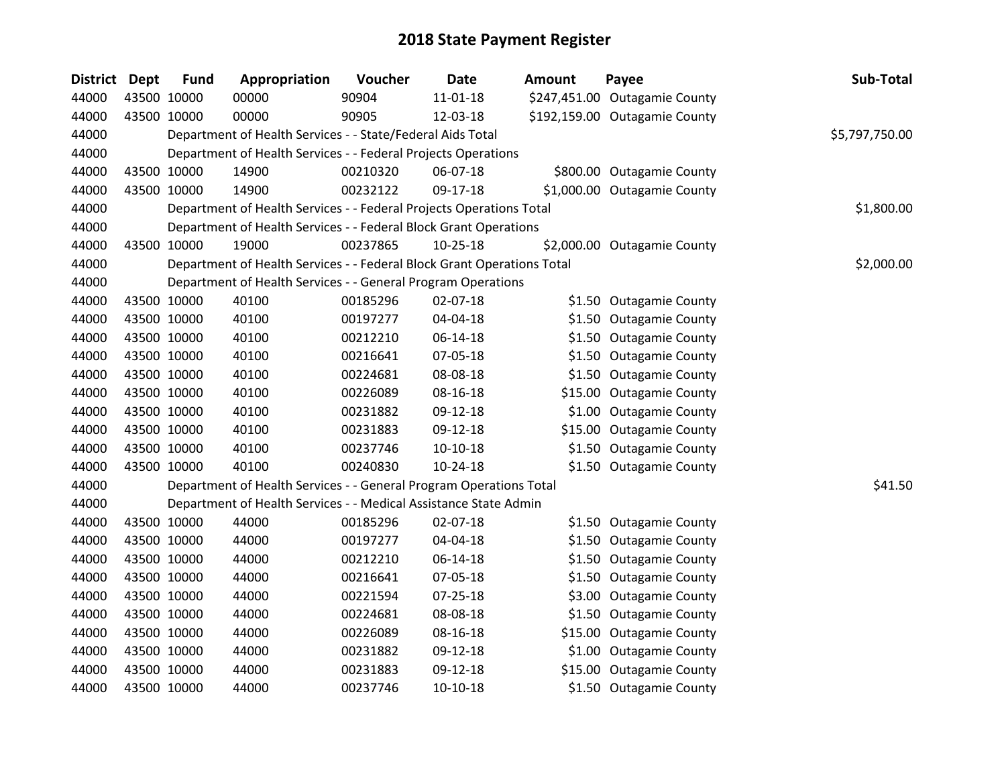| <b>District Dept</b> | <b>Fund</b> | Appropriation                                                          | Voucher  | Date           | <b>Amount</b> | Payee                         | Sub-Total      |
|----------------------|-------------|------------------------------------------------------------------------|----------|----------------|---------------|-------------------------------|----------------|
| 44000                | 43500 10000 | 00000                                                                  | 90904    | 11-01-18       |               | \$247,451.00 Outagamie County |                |
| 44000                | 43500 10000 | 00000                                                                  | 90905    | 12-03-18       |               | \$192,159.00 Outagamie County |                |
| 44000                |             | Department of Health Services - - State/Federal Aids Total             |          |                |               |                               | \$5,797,750.00 |
| 44000                |             | Department of Health Services - - Federal Projects Operations          |          |                |               |                               |                |
| 44000                | 43500 10000 | 14900                                                                  | 00210320 | 06-07-18       |               | \$800.00 Outagamie County     |                |
| 44000                | 43500 10000 | 14900                                                                  | 00232122 | 09-17-18       |               | \$1,000.00 Outagamie County   |                |
| 44000                |             | Department of Health Services - - Federal Projects Operations Total    |          |                |               |                               | \$1,800.00     |
| 44000                |             | Department of Health Services - - Federal Block Grant Operations       |          |                |               |                               |                |
| 44000                | 43500 10000 | 19000                                                                  | 00237865 | $10 - 25 - 18$ |               | \$2,000.00 Outagamie County   |                |
| 44000                |             | Department of Health Services - - Federal Block Grant Operations Total |          |                |               |                               | \$2,000.00     |
| 44000                |             | Department of Health Services - - General Program Operations           |          |                |               |                               |                |
| 44000                | 43500 10000 | 40100                                                                  | 00185296 | 02-07-18       |               | \$1.50 Outagamie County       |                |
| 44000                | 43500 10000 | 40100                                                                  | 00197277 | 04-04-18       |               | \$1.50 Outagamie County       |                |
| 44000                | 43500 10000 | 40100                                                                  | 00212210 | 06-14-18       |               | \$1.50 Outagamie County       |                |
| 44000                | 43500 10000 | 40100                                                                  | 00216641 | 07-05-18       |               | \$1.50 Outagamie County       |                |
| 44000                | 43500 10000 | 40100                                                                  | 00224681 | 08-08-18       |               | \$1.50 Outagamie County       |                |
| 44000                | 43500 10000 | 40100                                                                  | 00226089 | 08-16-18       |               | \$15.00 Outagamie County      |                |
| 44000                | 43500 10000 | 40100                                                                  | 00231882 | 09-12-18       |               | \$1.00 Outagamie County       |                |
| 44000                | 43500 10000 | 40100                                                                  | 00231883 | 09-12-18       |               | \$15.00 Outagamie County      |                |
| 44000                | 43500 10000 | 40100                                                                  | 00237746 | $10-10-18$     |               | \$1.50 Outagamie County       |                |
| 44000                | 43500 10000 | 40100                                                                  | 00240830 | $10-24-18$     |               | \$1.50 Outagamie County       |                |
| 44000                |             | Department of Health Services - - General Program Operations Total     |          |                |               |                               | \$41.50        |
| 44000                |             | Department of Health Services - - Medical Assistance State Admin       |          |                |               |                               |                |
| 44000                | 43500 10000 | 44000                                                                  | 00185296 | 02-07-18       |               | \$1.50 Outagamie County       |                |
| 44000                | 43500 10000 | 44000                                                                  | 00197277 | 04-04-18       |               | \$1.50 Outagamie County       |                |
| 44000                | 43500 10000 | 44000                                                                  | 00212210 | 06-14-18       |               | \$1.50 Outagamie County       |                |
| 44000                | 43500 10000 | 44000                                                                  | 00216641 | 07-05-18       |               | \$1.50 Outagamie County       |                |
| 44000                | 43500 10000 | 44000                                                                  | 00221594 | $07 - 25 - 18$ |               | \$3.00 Outagamie County       |                |
| 44000                | 43500 10000 | 44000                                                                  | 00224681 | 08-08-18       |               | \$1.50 Outagamie County       |                |
| 44000                | 43500 10000 | 44000                                                                  | 00226089 | 08-16-18       |               | \$15.00 Outagamie County      |                |
| 44000                | 43500 10000 | 44000                                                                  | 00231882 | 09-12-18       |               | \$1.00 Outagamie County       |                |
| 44000                | 43500 10000 | 44000                                                                  | 00231883 | 09-12-18       |               | \$15.00 Outagamie County      |                |
| 44000                | 43500 10000 | 44000                                                                  | 00237746 | $10-10-18$     |               | \$1.50 Outagamie County       |                |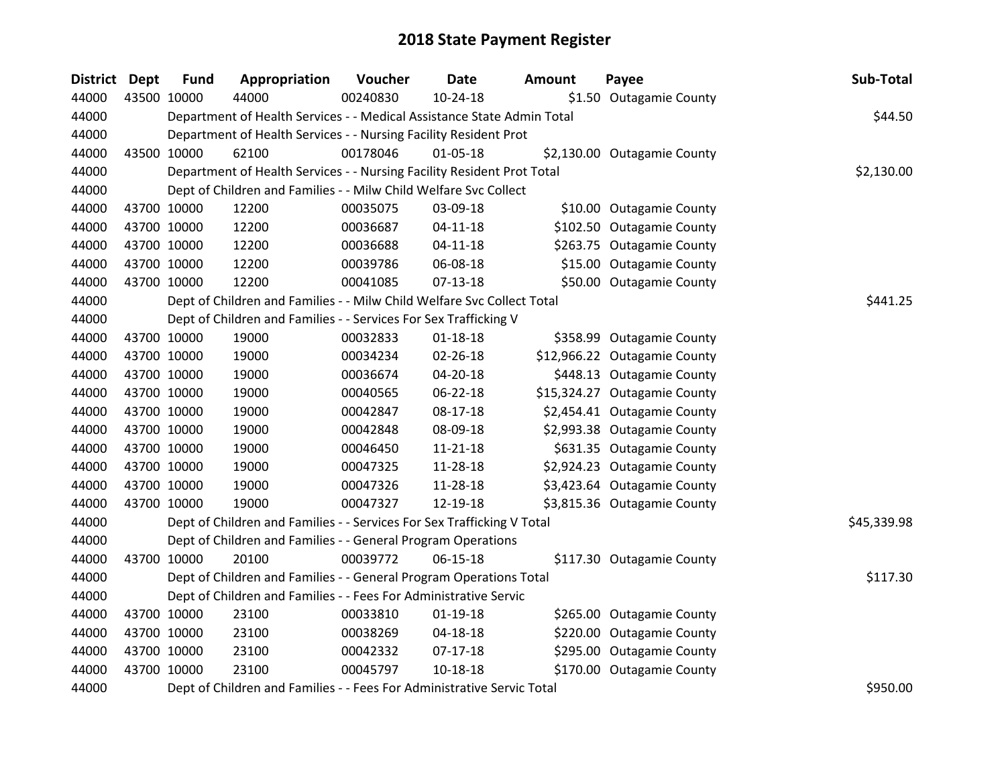| <b>District</b> | <b>Dept</b> | <b>Fund</b> | Appropriation                                                          | Voucher  | <b>Date</b>    | <b>Amount</b> | Payee                        | Sub-Total   |
|-----------------|-------------|-------------|------------------------------------------------------------------------|----------|----------------|---------------|------------------------------|-------------|
| 44000           |             | 43500 10000 | 44000                                                                  | 00240830 | 10-24-18       |               | \$1.50 Outagamie County      |             |
| 44000           |             |             | Department of Health Services - - Medical Assistance State Admin Total |          |                |               |                              | \$44.50     |
| 44000           |             |             | Department of Health Services - - Nursing Facility Resident Prot       |          |                |               |                              |             |
| 44000           |             | 43500 10000 | 62100                                                                  | 00178046 | 01-05-18       |               | \$2,130.00 Outagamie County  |             |
| 44000           |             |             | Department of Health Services - - Nursing Facility Resident Prot Total |          |                |               |                              | \$2,130.00  |
| 44000           |             |             | Dept of Children and Families - - Milw Child Welfare Svc Collect       |          |                |               |                              |             |
| 44000           |             | 43700 10000 | 12200                                                                  | 00035075 | 03-09-18       |               | \$10.00 Outagamie County     |             |
| 44000           |             | 43700 10000 | 12200                                                                  | 00036687 | $04 - 11 - 18$ |               | \$102.50 Outagamie County    |             |
| 44000           |             | 43700 10000 | 12200                                                                  | 00036688 | $04 - 11 - 18$ |               | \$263.75 Outagamie County    |             |
| 44000           |             | 43700 10000 | 12200                                                                  | 00039786 | 06-08-18       |               | \$15.00 Outagamie County     |             |
| 44000           |             | 43700 10000 | 12200                                                                  | 00041085 | $07-13-18$     |               | \$50.00 Outagamie County     |             |
| 44000           |             |             | Dept of Children and Families - - Milw Child Welfare Svc Collect Total |          |                |               |                              | \$441.25    |
| 44000           |             |             | Dept of Children and Families - - Services For Sex Trafficking V       |          |                |               |                              |             |
| 44000           |             | 43700 10000 | 19000                                                                  | 00032833 | $01 - 18 - 18$ |               | \$358.99 Outagamie County    |             |
| 44000           |             | 43700 10000 | 19000                                                                  | 00034234 | 02-26-18       |               | \$12,966.22 Outagamie County |             |
| 44000           |             | 43700 10000 | 19000                                                                  | 00036674 | 04-20-18       |               | \$448.13 Outagamie County    |             |
| 44000           |             | 43700 10000 | 19000                                                                  | 00040565 | 06-22-18       |               | \$15,324.27 Outagamie County |             |
| 44000           |             | 43700 10000 | 19000                                                                  | 00042847 | 08-17-18       |               | \$2,454.41 Outagamie County  |             |
| 44000           |             | 43700 10000 | 19000                                                                  | 00042848 | 08-09-18       |               | \$2,993.38 Outagamie County  |             |
| 44000           |             | 43700 10000 | 19000                                                                  | 00046450 | 11-21-18       |               | \$631.35 Outagamie County    |             |
| 44000           |             | 43700 10000 | 19000                                                                  | 00047325 | 11-28-18       |               | \$2,924.23 Outagamie County  |             |
| 44000           |             | 43700 10000 | 19000                                                                  | 00047326 | 11-28-18       |               | \$3,423.64 Outagamie County  |             |
| 44000           |             | 43700 10000 | 19000                                                                  | 00047327 | 12-19-18       |               | \$3,815.36 Outagamie County  |             |
| 44000           |             |             | Dept of Children and Families - - Services For Sex Trafficking V Total |          |                |               |                              | \$45,339.98 |
| 44000           |             |             | Dept of Children and Families - - General Program Operations           |          |                |               |                              |             |
| 44000           |             | 43700 10000 | 20100                                                                  | 00039772 | 06-15-18       |               | \$117.30 Outagamie County    |             |
| 44000           |             |             | Dept of Children and Families - - General Program Operations Total     |          |                |               |                              | \$117.30    |
| 44000           |             |             | Dept of Children and Families - - Fees For Administrative Servic       |          |                |               |                              |             |
| 44000           |             | 43700 10000 | 23100                                                                  | 00033810 | $01-19-18$     |               | \$265.00 Outagamie County    |             |
| 44000           |             | 43700 10000 | 23100                                                                  | 00038269 | 04-18-18       |               | \$220.00 Outagamie County    |             |
| 44000           |             | 43700 10000 | 23100                                                                  | 00042332 | $07-17-18$     |               | \$295.00 Outagamie County    |             |
| 44000           |             | 43700 10000 | 23100                                                                  | 00045797 | $10 - 18 - 18$ |               | \$170.00 Outagamie County    |             |
| 44000           |             |             | Dept of Children and Families - - Fees For Administrative Servic Total |          |                |               |                              | \$950.00    |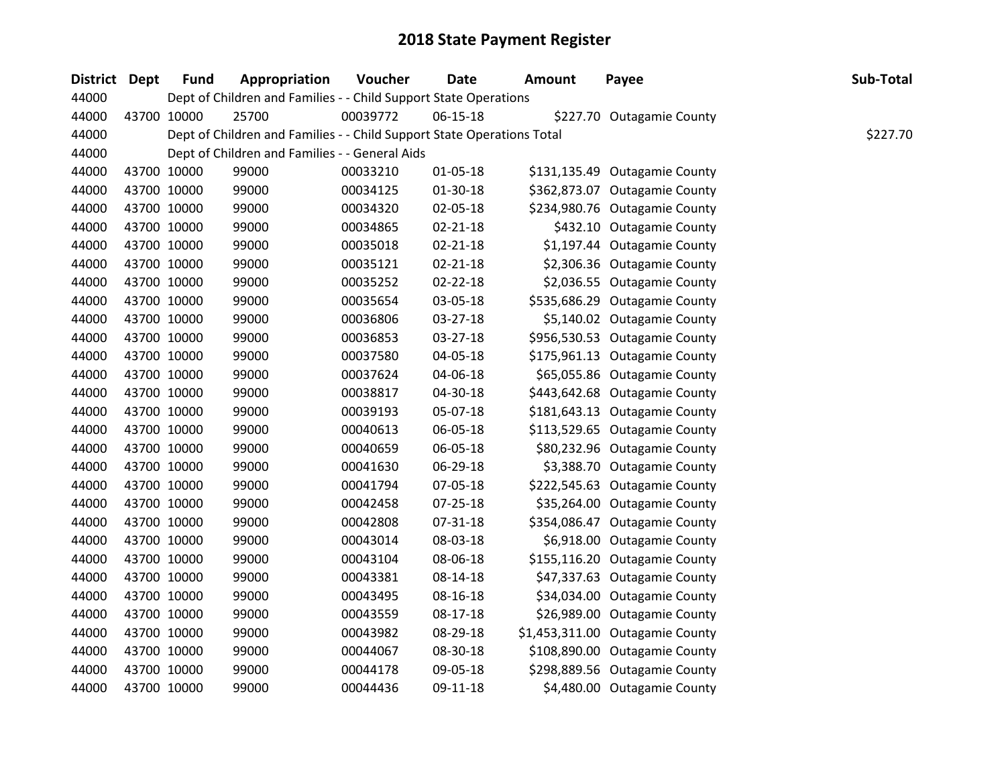| District Dept | <b>Fund</b> | Appropriation                                                          | Voucher  | <b>Date</b>    | <b>Amount</b> | Payee                           | Sub-Total |
|---------------|-------------|------------------------------------------------------------------------|----------|----------------|---------------|---------------------------------|-----------|
| 44000         |             | Dept of Children and Families - - Child Support State Operations       |          |                |               |                                 |           |
| 44000         | 43700 10000 | 25700                                                                  | 00039772 | $06-15-18$     |               | \$227.70 Outagamie County       |           |
| 44000         |             | Dept of Children and Families - - Child Support State Operations Total |          |                |               |                                 | \$227.70  |
| 44000         |             | Dept of Children and Families - - General Aids                         |          |                |               |                                 |           |
| 44000         | 43700 10000 | 99000                                                                  | 00033210 | 01-05-18       |               | \$131,135.49 Outagamie County   |           |
| 44000         | 43700 10000 | 99000                                                                  | 00034125 | 01-30-18       |               | \$362,873.07 Outagamie County   |           |
| 44000         | 43700 10000 | 99000                                                                  | 00034320 | 02-05-18       |               | \$234,980.76 Outagamie County   |           |
| 44000         | 43700 10000 | 99000                                                                  | 00034865 | 02-21-18       |               | \$432.10 Outagamie County       |           |
| 44000         | 43700 10000 | 99000                                                                  | 00035018 | $02 - 21 - 18$ |               | \$1,197.44 Outagamie County     |           |
| 44000         | 43700 10000 | 99000                                                                  | 00035121 | 02-21-18       |               | \$2,306.36 Outagamie County     |           |
| 44000         | 43700 10000 | 99000                                                                  | 00035252 | 02-22-18       |               | \$2,036.55 Outagamie County     |           |
| 44000         | 43700 10000 | 99000                                                                  | 00035654 | 03-05-18       |               | \$535,686.29 Outagamie County   |           |
| 44000         | 43700 10000 | 99000                                                                  | 00036806 | 03-27-18       |               | \$5,140.02 Outagamie County     |           |
| 44000         | 43700 10000 | 99000                                                                  | 00036853 | 03-27-18       |               | \$956,530.53 Outagamie County   |           |
| 44000         | 43700 10000 | 99000                                                                  | 00037580 | 04-05-18       |               | \$175,961.13 Outagamie County   |           |
| 44000         | 43700 10000 | 99000                                                                  | 00037624 | 04-06-18       |               | \$65,055.86 Outagamie County    |           |
| 44000         | 43700 10000 | 99000                                                                  | 00038817 | 04-30-18       |               | \$443,642.68 Outagamie County   |           |
| 44000         | 43700 10000 | 99000                                                                  | 00039193 | 05-07-18       |               | \$181,643.13 Outagamie County   |           |
| 44000         | 43700 10000 | 99000                                                                  | 00040613 | 06-05-18       |               | \$113,529.65 Outagamie County   |           |
| 44000         | 43700 10000 | 99000                                                                  | 00040659 | 06-05-18       |               | \$80,232.96 Outagamie County    |           |
| 44000         | 43700 10000 | 99000                                                                  | 00041630 | 06-29-18       |               | \$3,388.70 Outagamie County     |           |
| 44000         | 43700 10000 | 99000                                                                  | 00041794 | 07-05-18       |               | \$222,545.63 Outagamie County   |           |
| 44000         | 43700 10000 | 99000                                                                  | 00042458 | 07-25-18       |               | \$35,264.00 Outagamie County    |           |
| 44000         | 43700 10000 | 99000                                                                  | 00042808 | 07-31-18       |               | \$354,086.47 Outagamie County   |           |
| 44000         | 43700 10000 | 99000                                                                  | 00043014 | 08-03-18       |               | \$6,918.00 Outagamie County     |           |
| 44000         | 43700 10000 | 99000                                                                  | 00043104 | 08-06-18       |               | \$155,116.20 Outagamie County   |           |
| 44000         | 43700 10000 | 99000                                                                  | 00043381 | 08-14-18       |               | \$47,337.63 Outagamie County    |           |
| 44000         | 43700 10000 | 99000                                                                  | 00043495 | 08-16-18       |               | \$34,034.00 Outagamie County    |           |
| 44000         | 43700 10000 | 99000                                                                  | 00043559 | 08-17-18       |               | \$26,989.00 Outagamie County    |           |
| 44000         | 43700 10000 | 99000                                                                  | 00043982 | 08-29-18       |               | \$1,453,311.00 Outagamie County |           |
| 44000         | 43700 10000 | 99000                                                                  | 00044067 | 08-30-18       |               | \$108,890.00 Outagamie County   |           |
| 44000         | 43700 10000 | 99000                                                                  | 00044178 | 09-05-18       |               | \$298,889.56 Outagamie County   |           |
| 44000         | 43700 10000 | 99000                                                                  | 00044436 | 09-11-18       |               | \$4,480.00 Outagamie County     |           |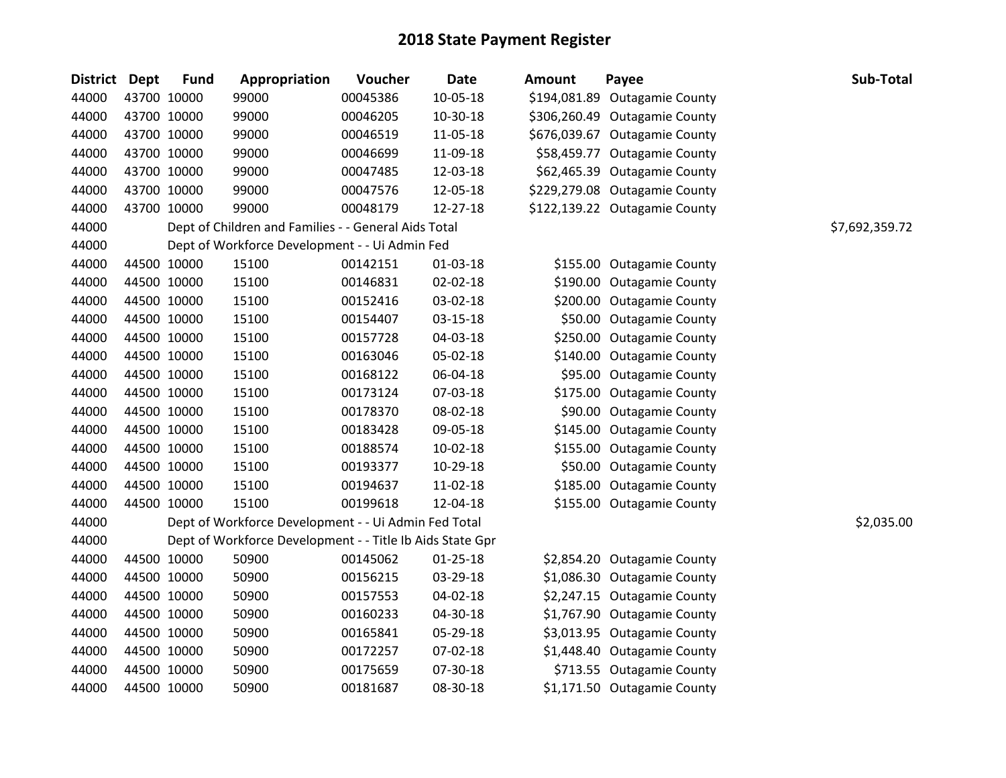| <b>District</b> | <b>Dept</b> | <b>Fund</b> | Appropriation                                             | Voucher  | <b>Date</b>    | <b>Amount</b> | Payee                         | Sub-Total      |
|-----------------|-------------|-------------|-----------------------------------------------------------|----------|----------------|---------------|-------------------------------|----------------|
| 44000           |             | 43700 10000 | 99000                                                     | 00045386 | $10 - 05 - 18$ |               | \$194,081.89 Outagamie County |                |
| 44000           |             | 43700 10000 | 99000                                                     | 00046205 | 10-30-18       |               | \$306,260.49 Outagamie County |                |
| 44000           |             | 43700 10000 | 99000                                                     | 00046519 | 11-05-18       |               | \$676,039.67 Outagamie County |                |
| 44000           | 43700 10000 |             | 99000                                                     | 00046699 | 11-09-18       |               | \$58,459.77 Outagamie County  |                |
| 44000           |             | 43700 10000 | 99000                                                     | 00047485 | 12-03-18       |               | \$62,465.39 Outagamie County  |                |
| 44000           |             | 43700 10000 | 99000                                                     | 00047576 | 12-05-18       |               | \$229,279.08 Outagamie County |                |
| 44000           |             | 43700 10000 | 99000                                                     | 00048179 | 12-27-18       |               | \$122,139.22 Outagamie County |                |
| 44000           |             |             | Dept of Children and Families - - General Aids Total      |          |                |               |                               | \$7,692,359.72 |
| 44000           |             |             | Dept of Workforce Development - - Ui Admin Fed            |          |                |               |                               |                |
| 44000           |             | 44500 10000 | 15100                                                     | 00142151 | $01-03-18$     |               | \$155.00 Outagamie County     |                |
| 44000           |             | 44500 10000 | 15100                                                     | 00146831 | 02-02-18       |               | \$190.00 Outagamie County     |                |
| 44000           |             | 44500 10000 | 15100                                                     | 00152416 | 03-02-18       |               | \$200.00 Outagamie County     |                |
| 44000           |             | 44500 10000 | 15100                                                     | 00154407 | 03-15-18       |               | \$50.00 Outagamie County      |                |
| 44000           |             | 44500 10000 | 15100                                                     | 00157728 | 04-03-18       |               | \$250.00 Outagamie County     |                |
| 44000           |             | 44500 10000 | 15100                                                     | 00163046 | 05-02-18       |               | \$140.00 Outagamie County     |                |
| 44000           |             | 44500 10000 | 15100                                                     | 00168122 | 06-04-18       |               | \$95.00 Outagamie County      |                |
| 44000           |             | 44500 10000 | 15100                                                     | 00173124 | 07-03-18       |               | \$175.00 Outagamie County     |                |
| 44000           |             | 44500 10000 | 15100                                                     | 00178370 | 08-02-18       |               | \$90.00 Outagamie County      |                |
| 44000           |             | 44500 10000 | 15100                                                     | 00183428 | 09-05-18       |               | \$145.00 Outagamie County     |                |
| 44000           |             | 44500 10000 | 15100                                                     | 00188574 | $10-02-18$     |               | \$155.00 Outagamie County     |                |
| 44000           |             | 44500 10000 | 15100                                                     | 00193377 | 10-29-18       |               | \$50.00 Outagamie County      |                |
| 44000           |             | 44500 10000 | 15100                                                     | 00194637 | 11-02-18       |               | \$185.00 Outagamie County     |                |
| 44000           |             | 44500 10000 | 15100                                                     | 00199618 | 12-04-18       |               | \$155.00 Outagamie County     |                |
| 44000           |             |             | Dept of Workforce Development - - Ui Admin Fed Total      |          |                |               |                               | \$2,035.00     |
| 44000           |             |             | Dept of Workforce Development - - Title Ib Aids State Gpr |          |                |               |                               |                |
| 44000           |             | 44500 10000 | 50900                                                     | 00145062 | $01 - 25 - 18$ |               | \$2,854.20 Outagamie County   |                |
| 44000           | 44500 10000 |             | 50900                                                     | 00156215 | 03-29-18       |               | \$1,086.30 Outagamie County   |                |
| 44000           |             | 44500 10000 | 50900                                                     | 00157553 | 04-02-18       |               | \$2,247.15 Outagamie County   |                |
| 44000           |             | 44500 10000 | 50900                                                     | 00160233 | 04-30-18       |               | \$1,767.90 Outagamie County   |                |
| 44000           |             | 44500 10000 | 50900                                                     | 00165841 | 05-29-18       |               | \$3,013.95 Outagamie County   |                |
| 44000           |             | 44500 10000 | 50900                                                     | 00172257 | 07-02-18       |               | \$1,448.40 Outagamie County   |                |
| 44000           |             | 44500 10000 | 50900                                                     | 00175659 | 07-30-18       |               | \$713.55 Outagamie County     |                |
| 44000           |             | 44500 10000 | 50900                                                     | 00181687 | 08-30-18       |               | \$1,171.50 Outagamie County   |                |
|                 |             |             |                                                           |          |                |               |                               |                |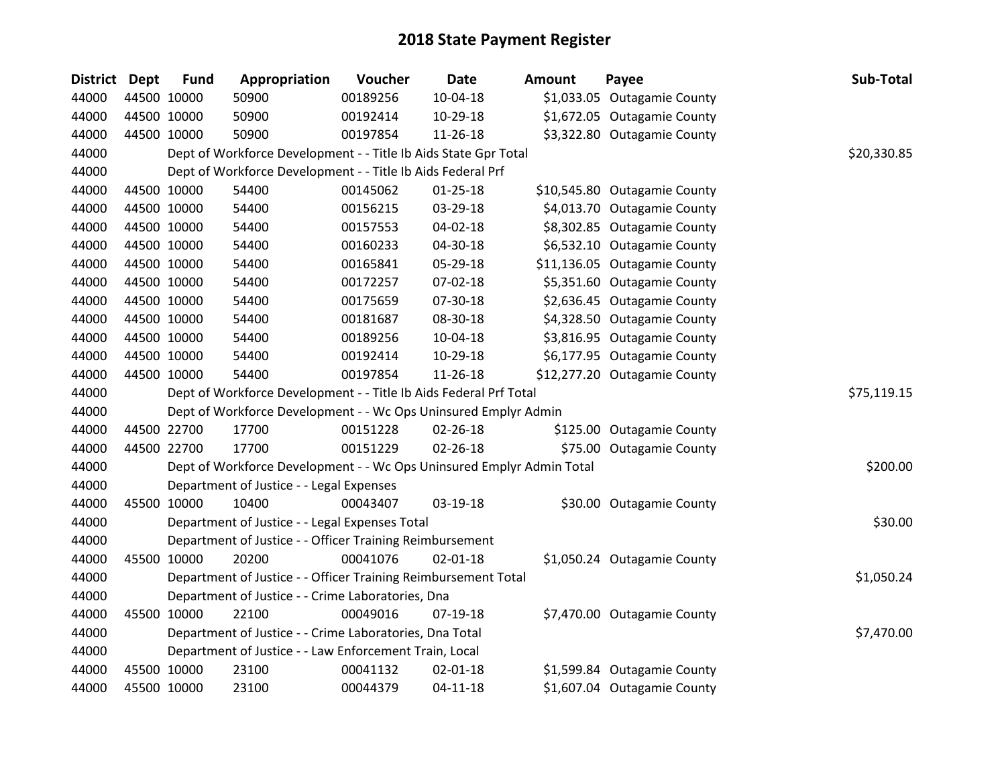| <b>District</b> | Dept        | <b>Fund</b> | Appropriation                                                         | Voucher  | <b>Date</b>    | <b>Amount</b> | Payee                        | Sub-Total   |
|-----------------|-------------|-------------|-----------------------------------------------------------------------|----------|----------------|---------------|------------------------------|-------------|
| 44000           | 44500 10000 |             | 50900                                                                 | 00189256 | 10-04-18       |               | \$1,033.05 Outagamie County  |             |
| 44000           | 44500 10000 |             | 50900                                                                 | 00192414 | 10-29-18       |               | \$1,672.05 Outagamie County  |             |
| 44000           | 44500 10000 |             | 50900                                                                 | 00197854 | 11-26-18       |               | \$3,322.80 Outagamie County  |             |
| 44000           |             |             | Dept of Workforce Development - - Title Ib Aids State Gpr Total       |          |                |               |                              | \$20,330.85 |
| 44000           |             |             | Dept of Workforce Development - - Title Ib Aids Federal Prf           |          |                |               |                              |             |
| 44000           |             | 44500 10000 | 54400                                                                 | 00145062 | $01 - 25 - 18$ |               | \$10,545.80 Outagamie County |             |
| 44000           |             | 44500 10000 | 54400                                                                 | 00156215 | 03-29-18       |               | \$4,013.70 Outagamie County  |             |
| 44000           | 44500 10000 |             | 54400                                                                 | 00157553 | 04-02-18       |               | \$8,302.85 Outagamie County  |             |
| 44000           | 44500 10000 |             | 54400                                                                 | 00160233 | 04-30-18       |               | \$6,532.10 Outagamie County  |             |
| 44000           |             | 44500 10000 | 54400                                                                 | 00165841 | 05-29-18       |               | \$11,136.05 Outagamie County |             |
| 44000           | 44500 10000 |             | 54400                                                                 | 00172257 | 07-02-18       |               | \$5,351.60 Outagamie County  |             |
| 44000           |             | 44500 10000 | 54400                                                                 | 00175659 | 07-30-18       |               | \$2,636.45 Outagamie County  |             |
| 44000           | 44500 10000 |             | 54400                                                                 | 00181687 | 08-30-18       |               | \$4,328.50 Outagamie County  |             |
| 44000           |             | 44500 10000 | 54400                                                                 | 00189256 | 10-04-18       |               | \$3,816.95 Outagamie County  |             |
| 44000           |             | 44500 10000 | 54400                                                                 | 00192414 | 10-29-18       |               | \$6,177.95 Outagamie County  |             |
| 44000           |             | 44500 10000 | 54400                                                                 | 00197854 | 11-26-18       |               | \$12,277.20 Outagamie County |             |
| 44000           |             |             | Dept of Workforce Development - - Title Ib Aids Federal Prf Total     |          |                |               |                              | \$75,119.15 |
| 44000           |             |             | Dept of Workforce Development - - Wc Ops Uninsured Emplyr Admin       |          |                |               |                              |             |
| 44000           | 44500 22700 |             | 17700                                                                 | 00151228 | 02-26-18       |               | \$125.00 Outagamie County    |             |
| 44000           |             | 44500 22700 | 17700                                                                 | 00151229 | 02-26-18       |               | \$75.00 Outagamie County     |             |
| 44000           |             |             | Dept of Workforce Development - - Wc Ops Uninsured Emplyr Admin Total |          |                |               |                              | \$200.00    |
| 44000           |             |             | Department of Justice - - Legal Expenses                              |          |                |               |                              |             |
| 44000           |             | 45500 10000 | 10400                                                                 | 00043407 | 03-19-18       |               | \$30.00 Outagamie County     |             |
| 44000           |             |             | Department of Justice - - Legal Expenses Total                        |          |                |               |                              | \$30.00     |
| 44000           |             |             | Department of Justice - - Officer Training Reimbursement              |          |                |               |                              |             |
| 44000           | 45500 10000 |             | 20200                                                                 | 00041076 | 02-01-18       |               | \$1,050.24 Outagamie County  |             |
| 44000           |             |             | Department of Justice - - Officer Training Reimbursement Total        |          |                |               |                              | \$1,050.24  |
| 44000           |             |             | Department of Justice - - Crime Laboratories, Dna                     |          |                |               |                              |             |
| 44000           | 45500 10000 |             | 22100                                                                 | 00049016 | 07-19-18       |               | \$7,470.00 Outagamie County  |             |
| 44000           |             |             | Department of Justice - - Crime Laboratories, Dna Total               |          |                |               |                              | \$7,470.00  |
| 44000           |             |             | Department of Justice - - Law Enforcement Train, Local                |          |                |               |                              |             |
| 44000           | 45500 10000 |             | 23100                                                                 | 00041132 | 02-01-18       |               | \$1,599.84 Outagamie County  |             |
| 44000           |             | 45500 10000 | 23100                                                                 | 00044379 | $04 - 11 - 18$ |               | \$1,607.04 Outagamie County  |             |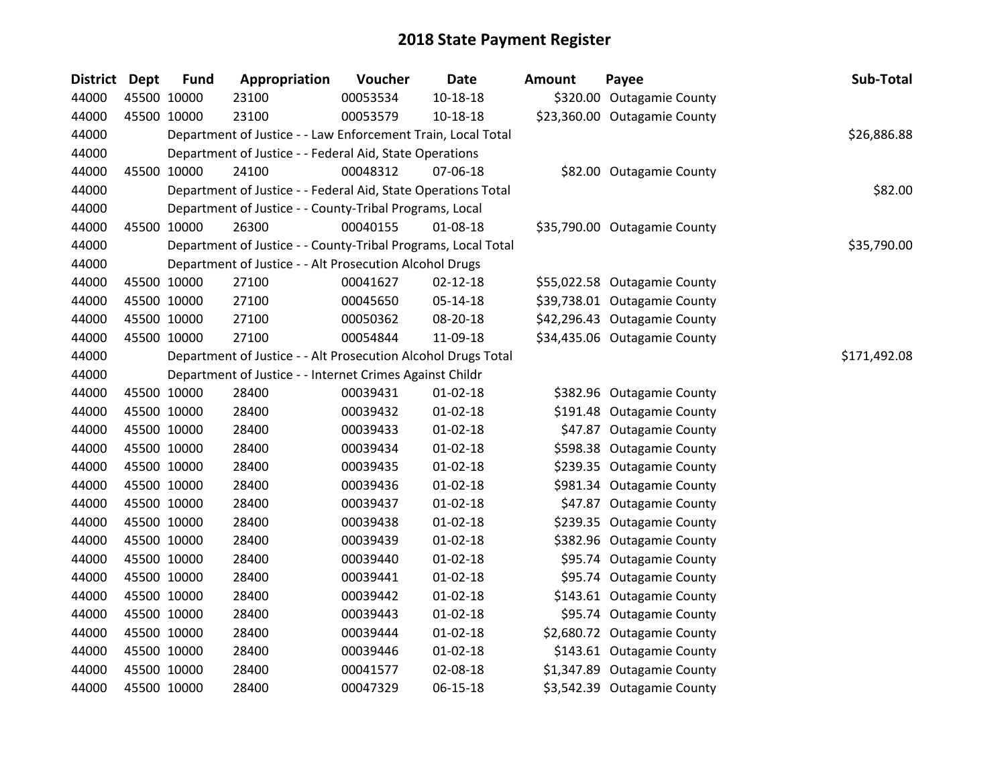| <b>District Dept</b> | <b>Fund</b> | Appropriation                                                 | Voucher     | <b>Date</b>    | <b>Amount</b> | Payee                        | Sub-Total    |
|----------------------|-------------|---------------------------------------------------------------|-------------|----------------|---------------|------------------------------|--------------|
| 44000                | 45500 10000 | 23100                                                         | 00053534    | 10-18-18       |               | \$320.00 Outagamie County    |              |
| 44000                | 45500 10000 | 23100                                                         | 00053579    | $10-18-18$     |               | \$23,360.00 Outagamie County |              |
| 44000                |             | Department of Justice - - Law Enforcement Train, Local Total  | \$26,886.88 |                |               |                              |              |
| 44000                |             | Department of Justice - - Federal Aid, State Operations       |             |                |               |                              |              |
| 44000                | 45500 10000 | 24100                                                         | 00048312    | 07-06-18       |               | \$82.00 Outagamie County     |              |
| 44000                |             | Department of Justice - - Federal Aid, State Operations Total |             |                |               |                              | \$82.00      |
| 44000                |             | Department of Justice - - County-Tribal Programs, Local       |             |                |               |                              |              |
| 44000                | 45500 10000 | 26300                                                         | 00040155    | 01-08-18       |               | \$35,790.00 Outagamie County |              |
| 44000                |             | Department of Justice - - County-Tribal Programs, Local Total |             |                |               |                              | \$35,790.00  |
| 44000                |             | Department of Justice - - Alt Prosecution Alcohol Drugs       |             |                |               |                              |              |
| 44000                | 45500 10000 | 27100                                                         | 00041627    | $02 - 12 - 18$ |               | \$55,022.58 Outagamie County |              |
| 44000                | 45500 10000 | 27100                                                         | 00045650    | 05-14-18       |               | \$39,738.01 Outagamie County |              |
| 44000                | 45500 10000 | 27100                                                         | 00050362    | 08-20-18       |               | \$42,296.43 Outagamie County |              |
| 44000                | 45500 10000 | 27100                                                         | 00054844    | 11-09-18       |               | \$34,435.06 Outagamie County |              |
| 44000                |             | Department of Justice - - Alt Prosecution Alcohol Drugs Total |             |                |               |                              | \$171,492.08 |
| 44000                |             | Department of Justice - - Internet Crimes Against Childr      |             |                |               |                              |              |
| 44000                | 45500 10000 | 28400                                                         | 00039431    | $01-02-18$     |               | \$382.96 Outagamie County    |              |
| 44000                | 45500 10000 | 28400                                                         | 00039432    | $01 - 02 - 18$ |               | \$191.48 Outagamie County    |              |
| 44000                | 45500 10000 | 28400                                                         | 00039433    | $01 - 02 - 18$ |               | \$47.87 Outagamie County     |              |
| 44000                | 45500 10000 | 28400                                                         | 00039434    | $01 - 02 - 18$ |               | \$598.38 Outagamie County    |              |
| 44000                | 45500 10000 | 28400                                                         | 00039435    | $01 - 02 - 18$ |               | \$239.35 Outagamie County    |              |
| 44000                | 45500 10000 | 28400                                                         | 00039436    | $01 - 02 - 18$ |               | \$981.34 Outagamie County    |              |
| 44000                | 45500 10000 | 28400                                                         | 00039437    | $01 - 02 - 18$ |               | \$47.87 Outagamie County     |              |
| 44000                | 45500 10000 | 28400                                                         | 00039438    | $01 - 02 - 18$ |               | \$239.35 Outagamie County    |              |
| 44000                | 45500 10000 | 28400                                                         | 00039439    | $01 - 02 - 18$ |               | \$382.96 Outagamie County    |              |
| 44000                | 45500 10000 | 28400                                                         | 00039440    | $01 - 02 - 18$ |               | \$95.74 Outagamie County     |              |
| 44000                | 45500 10000 | 28400                                                         | 00039441    | $01 - 02 - 18$ |               | \$95.74 Outagamie County     |              |
| 44000                | 45500 10000 | 28400                                                         | 00039442    | $01 - 02 - 18$ |               | \$143.61 Outagamie County    |              |
| 44000                | 45500 10000 | 28400                                                         | 00039443    | $01-02-18$     |               | \$95.74 Outagamie County     |              |
| 44000                | 45500 10000 | 28400                                                         | 00039444    | $01 - 02 - 18$ |               | \$2,680.72 Outagamie County  |              |
| 44000                | 45500 10000 | 28400                                                         | 00039446    | $01 - 02 - 18$ |               | \$143.61 Outagamie County    |              |
| 44000                | 45500 10000 | 28400                                                         | 00041577    | 02-08-18       |               | \$1,347.89 Outagamie County  |              |
| 44000                | 45500 10000 | 28400                                                         | 00047329    | 06-15-18       |               | \$3,542.39 Outagamie County  |              |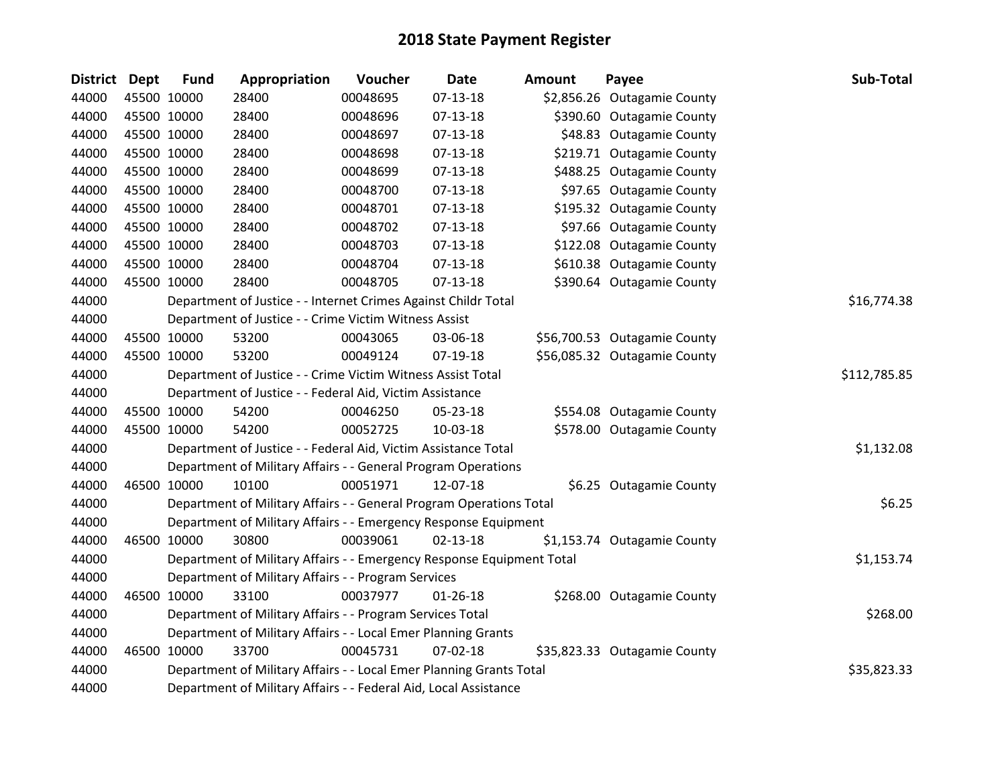| <b>District</b> | Dept | <b>Fund</b> | Appropriation                                                         | Voucher  | <b>Date</b>    | <b>Amount</b> | Payee                        | Sub-Total    |
|-----------------|------|-------------|-----------------------------------------------------------------------|----------|----------------|---------------|------------------------------|--------------|
| 44000           |      | 45500 10000 | 28400                                                                 | 00048695 | 07-13-18       |               | \$2,856.26 Outagamie County  |              |
| 44000           |      | 45500 10000 | 28400                                                                 | 00048696 | 07-13-18       |               | \$390.60 Outagamie County    |              |
| 44000           |      | 45500 10000 | 28400                                                                 | 00048697 | $07-13-18$     |               | \$48.83 Outagamie County     |              |
| 44000           |      | 45500 10000 | 28400                                                                 | 00048698 | 07-13-18       |               | \$219.71 Outagamie County    |              |
| 44000           |      | 45500 10000 | 28400                                                                 | 00048699 | $07-13-18$     |               | \$488.25 Outagamie County    |              |
| 44000           |      | 45500 10000 | 28400                                                                 | 00048700 | 07-13-18       |               | \$97.65 Outagamie County     |              |
| 44000           |      | 45500 10000 | 28400                                                                 | 00048701 | 07-13-18       |               | \$195.32 Outagamie County    |              |
| 44000           |      | 45500 10000 | 28400                                                                 | 00048702 | $07-13-18$     |               | \$97.66 Outagamie County     |              |
| 44000           |      | 45500 10000 | 28400                                                                 | 00048703 | 07-13-18       |               | \$122.08 Outagamie County    |              |
| 44000           |      | 45500 10000 | 28400                                                                 | 00048704 | $07 - 13 - 18$ |               | \$610.38 Outagamie County    |              |
| 44000           |      | 45500 10000 | 28400                                                                 | 00048705 | $07-13-18$     |               | \$390.64 Outagamie County    |              |
| 44000           |      |             | Department of Justice - - Internet Crimes Against Childr Total        |          |                |               |                              | \$16,774.38  |
| 44000           |      |             | Department of Justice - - Crime Victim Witness Assist                 |          |                |               |                              |              |
| 44000           |      | 45500 10000 | 53200                                                                 | 00043065 | 03-06-18       |               | \$56,700.53 Outagamie County |              |
| 44000           |      | 45500 10000 | 53200                                                                 | 00049124 | 07-19-18       |               | \$56,085.32 Outagamie County |              |
| 44000           |      |             | Department of Justice - - Crime Victim Witness Assist Total           |          |                |               |                              | \$112,785.85 |
| 44000           |      |             | Department of Justice - - Federal Aid, Victim Assistance              |          |                |               |                              |              |
| 44000           |      | 45500 10000 | 54200                                                                 | 00046250 | 05-23-18       |               | \$554.08 Outagamie County    |              |
| 44000           |      | 45500 10000 | 54200                                                                 | 00052725 | 10-03-18       |               | \$578.00 Outagamie County    |              |
| 44000           |      |             | Department of Justice - - Federal Aid, Victim Assistance Total        |          |                |               |                              | \$1,132.08   |
| 44000           |      |             | Department of Military Affairs - - General Program Operations         |          |                |               |                              |              |
| 44000           |      | 46500 10000 | 10100                                                                 | 00051971 | 12-07-18       |               | \$6.25 Outagamie County      |              |
| 44000           |      |             | Department of Military Affairs - - General Program Operations Total   |          |                |               |                              | \$6.25       |
| 44000           |      |             | Department of Military Affairs - - Emergency Response Equipment       |          |                |               |                              |              |
| 44000           |      | 46500 10000 | 30800                                                                 | 00039061 | $02 - 13 - 18$ |               | \$1,153.74 Outagamie County  |              |
| 44000           |      |             | Department of Military Affairs - - Emergency Response Equipment Total |          |                |               |                              | \$1,153.74   |
| 44000           |      |             | Department of Military Affairs - - Program Services                   |          |                |               |                              |              |
| 44000           |      | 46500 10000 | 33100                                                                 | 00037977 | $01 - 26 - 18$ |               | \$268.00 Outagamie County    |              |
| 44000           |      |             | Department of Military Affairs - - Program Services Total             |          |                |               |                              | \$268.00     |
| 44000           |      |             | Department of Military Affairs - - Local Emer Planning Grants         |          |                |               |                              |              |
| 44000           |      | 46500 10000 | 33700                                                                 | 00045731 | $07 - 02 - 18$ |               | \$35,823.33 Outagamie County |              |
| 44000           |      |             | Department of Military Affairs - - Local Emer Planning Grants Total   |          |                |               |                              | \$35,823.33  |
| 44000           |      |             | Department of Military Affairs - - Federal Aid, Local Assistance      |          |                |               |                              |              |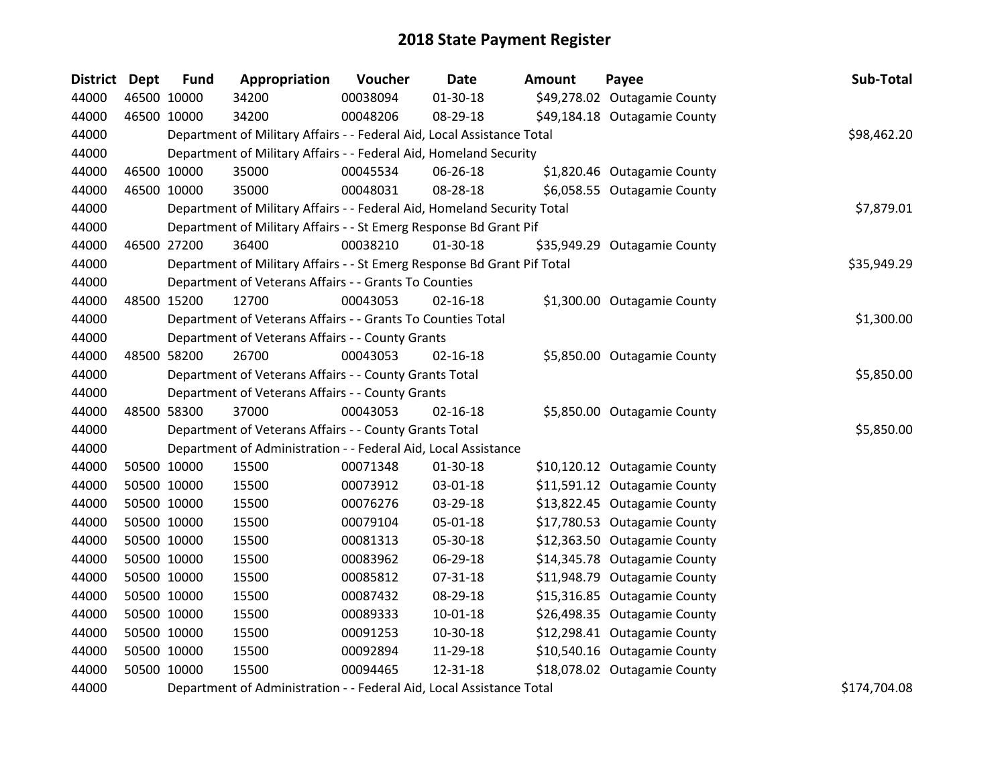| <b>District Dept</b> | <b>Fund</b> | Appropriation                                                           | Voucher  | Date           | <b>Amount</b> | Payee                        | Sub-Total    |
|----------------------|-------------|-------------------------------------------------------------------------|----------|----------------|---------------|------------------------------|--------------|
| 44000                | 46500 10000 | 34200                                                                   | 00038094 | 01-30-18       |               | \$49,278.02 Outagamie County |              |
| 44000                | 46500 10000 | 34200                                                                   | 00048206 | 08-29-18       |               | \$49,184.18 Outagamie County |              |
| 44000                |             | Department of Military Affairs - - Federal Aid, Local Assistance Total  |          |                |               |                              | \$98,462.20  |
| 44000                |             | Department of Military Affairs - - Federal Aid, Homeland Security       |          |                |               |                              |              |
| 44000                | 46500 10000 | 35000                                                                   | 00045534 | 06-26-18       |               | \$1,820.46 Outagamie County  |              |
| 44000                | 46500 10000 | 35000                                                                   | 00048031 | 08-28-18       |               | \$6,058.55 Outagamie County  |              |
| 44000                |             | Department of Military Affairs - - Federal Aid, Homeland Security Total |          |                |               |                              | \$7,879.01   |
| 44000                |             | Department of Military Affairs - - St Emerg Response Bd Grant Pif       |          |                |               |                              |              |
| 44000                | 46500 27200 | 36400                                                                   | 00038210 | 01-30-18       |               | \$35,949.29 Outagamie County |              |
| 44000                |             | Department of Military Affairs - - St Emerg Response Bd Grant Pif Total |          |                |               |                              | \$35,949.29  |
| 44000                |             | Department of Veterans Affairs - - Grants To Counties                   |          |                |               |                              |              |
| 44000                | 48500 15200 | 12700                                                                   | 00043053 | $02 - 16 - 18$ |               | \$1,300.00 Outagamie County  |              |
| 44000                |             | Department of Veterans Affairs - - Grants To Counties Total             |          |                |               |                              | \$1,300.00   |
| 44000                |             | Department of Veterans Affairs - - County Grants                        |          |                |               |                              |              |
| 44000                | 48500 58200 | 26700                                                                   | 00043053 | $02 - 16 - 18$ |               | \$5,850.00 Outagamie County  |              |
| 44000                |             | Department of Veterans Affairs - - County Grants Total                  |          |                |               |                              | \$5,850.00   |
| 44000                |             | Department of Veterans Affairs - - County Grants                        |          |                |               |                              |              |
| 44000                | 48500 58300 | 37000                                                                   | 00043053 | $02 - 16 - 18$ |               | \$5,850.00 Outagamie County  |              |
| 44000                |             | Department of Veterans Affairs - - County Grants Total                  |          |                |               |                              | \$5,850.00   |
| 44000                |             | Department of Administration - - Federal Aid, Local Assistance          |          |                |               |                              |              |
| 44000                | 50500 10000 | 15500                                                                   | 00071348 | 01-30-18       |               | \$10,120.12 Outagamie County |              |
| 44000                | 50500 10000 | 15500                                                                   | 00073912 | 03-01-18       |               | \$11,591.12 Outagamie County |              |
| 44000                | 50500 10000 | 15500                                                                   | 00076276 | 03-29-18       |               | \$13,822.45 Outagamie County |              |
| 44000                | 50500 10000 | 15500                                                                   | 00079104 | 05-01-18       |               | \$17,780.53 Outagamie County |              |
| 44000                | 50500 10000 | 15500                                                                   | 00081313 | 05-30-18       |               | \$12,363.50 Outagamie County |              |
| 44000                | 50500 10000 | 15500                                                                   | 00083962 | 06-29-18       |               | \$14,345.78 Outagamie County |              |
| 44000                | 50500 10000 | 15500                                                                   | 00085812 | 07-31-18       |               | \$11,948.79 Outagamie County |              |
| 44000                | 50500 10000 | 15500                                                                   | 00087432 | 08-29-18       |               | \$15,316.85 Outagamie County |              |
| 44000                | 50500 10000 | 15500                                                                   | 00089333 | $10 - 01 - 18$ |               | \$26,498.35 Outagamie County |              |
| 44000                | 50500 10000 | 15500                                                                   | 00091253 | 10-30-18       |               | \$12,298.41 Outagamie County |              |
| 44000                | 50500 10000 | 15500                                                                   | 00092894 | 11-29-18       |               | \$10,540.16 Outagamie County |              |
| 44000                | 50500 10000 | 15500                                                                   | 00094465 | 12-31-18       |               | \$18,078.02 Outagamie County |              |
| 44000                |             | Department of Administration - - Federal Aid, Local Assistance Total    |          |                |               |                              | \$174,704.08 |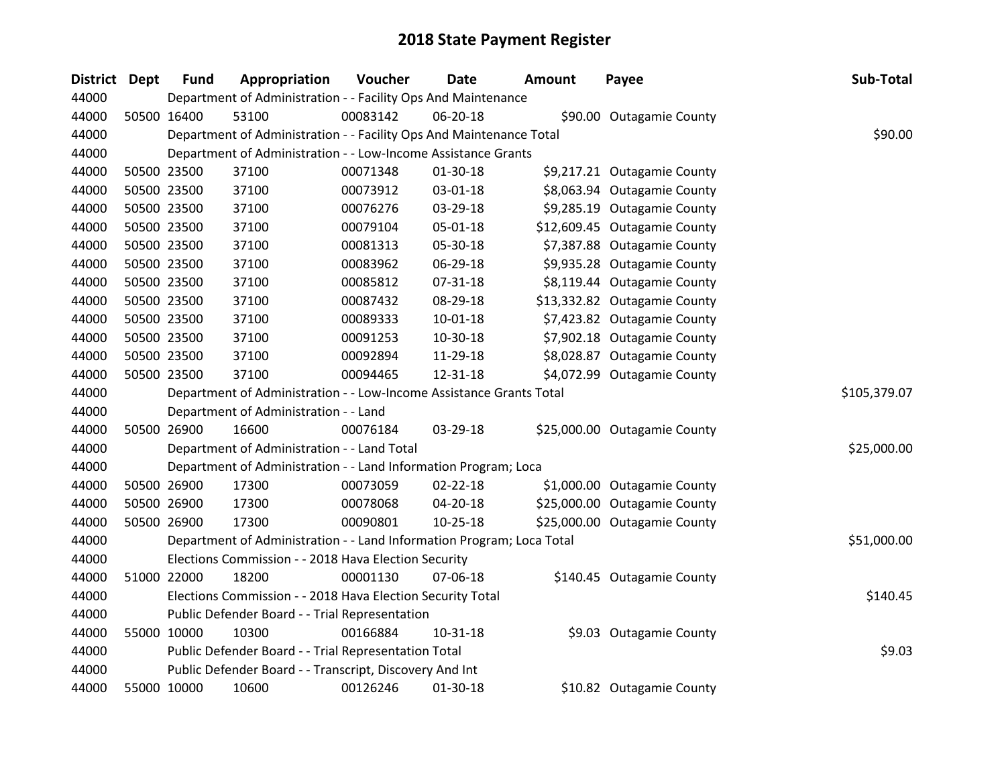| <b>District Dept</b> | <b>Fund</b> | Appropriation                                                         | Voucher  | Date           | Amount | Payee                        | Sub-Total    |
|----------------------|-------------|-----------------------------------------------------------------------|----------|----------------|--------|------------------------------|--------------|
| 44000                |             | Department of Administration - - Facility Ops And Maintenance         |          |                |        |                              |              |
| 44000                | 50500 16400 | 53100                                                                 | 00083142 | 06-20-18       |        | \$90.00 Outagamie County     |              |
| 44000                |             | Department of Administration - - Facility Ops And Maintenance Total   |          |                |        |                              | \$90.00      |
| 44000                |             | Department of Administration - - Low-Income Assistance Grants         |          |                |        |                              |              |
| 44000                | 50500 23500 | 37100                                                                 | 00071348 | 01-30-18       |        | \$9,217.21 Outagamie County  |              |
| 44000                | 50500 23500 | 37100                                                                 | 00073912 | 03-01-18       |        | \$8,063.94 Outagamie County  |              |
| 44000                | 50500 23500 | 37100                                                                 | 00076276 | 03-29-18       |        | \$9,285.19 Outagamie County  |              |
| 44000                | 50500 23500 | 37100                                                                 | 00079104 | 05-01-18       |        | \$12,609.45 Outagamie County |              |
| 44000                | 50500 23500 | 37100                                                                 | 00081313 | 05-30-18       |        | \$7,387.88 Outagamie County  |              |
| 44000                | 50500 23500 | 37100                                                                 | 00083962 | 06-29-18       |        | \$9,935.28 Outagamie County  |              |
| 44000                | 50500 23500 | 37100                                                                 | 00085812 | 07-31-18       |        | \$8,119.44 Outagamie County  |              |
| 44000                | 50500 23500 | 37100                                                                 | 00087432 | 08-29-18       |        | \$13,332.82 Outagamie County |              |
| 44000                | 50500 23500 | 37100                                                                 | 00089333 | $10-01-18$     |        | \$7,423.82 Outagamie County  |              |
| 44000                | 50500 23500 | 37100                                                                 | 00091253 | 10-30-18       |        | \$7,902.18 Outagamie County  |              |
| 44000                | 50500 23500 | 37100                                                                 | 00092894 | 11-29-18       |        | \$8,028.87 Outagamie County  |              |
| 44000                | 50500 23500 | 37100                                                                 | 00094465 | 12-31-18       |        | \$4,072.99 Outagamie County  |              |
| 44000                |             | Department of Administration - - Low-Income Assistance Grants Total   |          |                |        |                              | \$105,379.07 |
| 44000                |             | Department of Administration - - Land                                 |          |                |        |                              |              |
| 44000                | 50500 26900 | 16600                                                                 | 00076184 | 03-29-18       |        | \$25,000.00 Outagamie County |              |
| 44000                |             | Department of Administration - - Land Total                           |          |                |        |                              | \$25,000.00  |
| 44000                |             | Department of Administration - - Land Information Program; Loca       |          |                |        |                              |              |
| 44000                | 50500 26900 | 17300                                                                 | 00073059 | $02 - 22 - 18$ |        | \$1,000.00 Outagamie County  |              |
| 44000                | 50500 26900 | 17300                                                                 | 00078068 | 04-20-18       |        | \$25,000.00 Outagamie County |              |
| 44000                | 50500 26900 | 17300                                                                 | 00090801 | 10-25-18       |        | \$25,000.00 Outagamie County |              |
| 44000                |             | Department of Administration - - Land Information Program; Loca Total |          |                |        |                              | \$51,000.00  |
| 44000                |             | Elections Commission - - 2018 Hava Election Security                  |          |                |        |                              |              |
| 44000                | 51000 22000 | 18200                                                                 | 00001130 | 07-06-18       |        | \$140.45 Outagamie County    |              |
| 44000                |             | Elections Commission - - 2018 Hava Election Security Total            |          |                |        |                              | \$140.45     |
| 44000                |             | Public Defender Board - - Trial Representation                        |          |                |        |                              |              |
| 44000                | 55000 10000 | 10300                                                                 | 00166884 | 10-31-18       |        | \$9.03 Outagamie County      |              |
| 44000                |             | Public Defender Board - - Trial Representation Total                  |          |                |        |                              | \$9.03       |
| 44000                |             | Public Defender Board - - Transcript, Discovery And Int               |          |                |        |                              |              |
| 44000                | 55000 10000 | 10600                                                                 | 00126246 | 01-30-18       |        | \$10.82 Outagamie County     |              |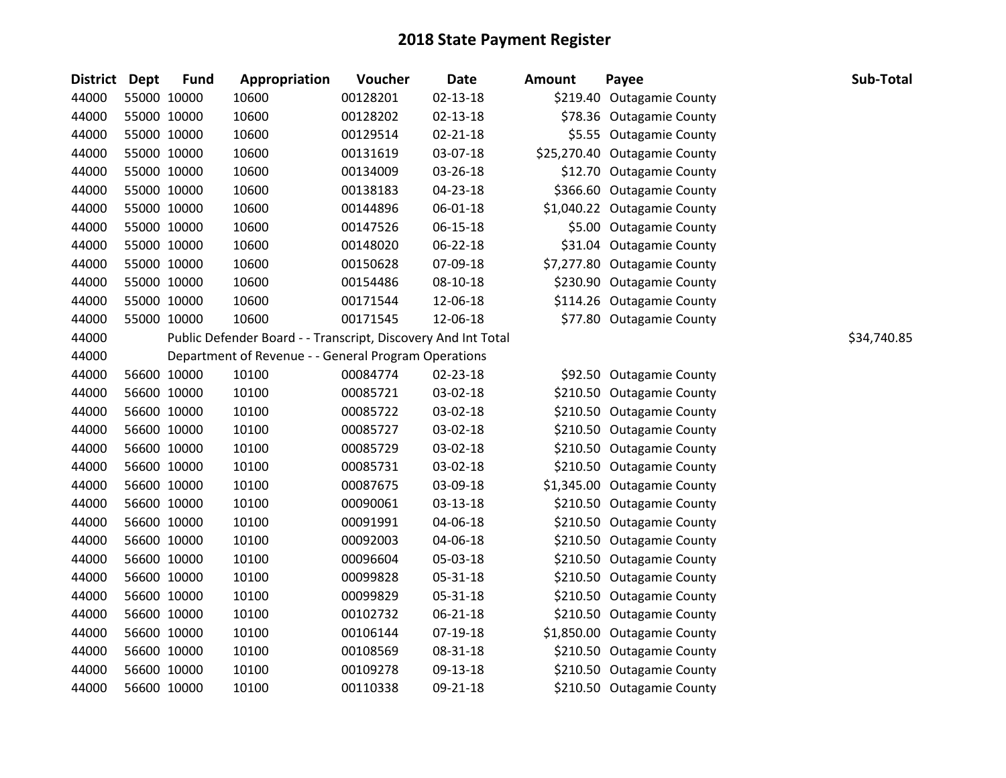| District Dept |             | <b>Fund</b> | Appropriation                                                 | Voucher  | <b>Date</b>    | <b>Amount</b> | Payee                        | Sub-Total   |
|---------------|-------------|-------------|---------------------------------------------------------------|----------|----------------|---------------|------------------------------|-------------|
| 44000         | 55000 10000 |             | 10600                                                         | 00128201 | $02 - 13 - 18$ |               | \$219.40 Outagamie County    |             |
| 44000         | 55000 10000 |             | 10600                                                         | 00128202 | $02 - 13 - 18$ |               | \$78.36 Outagamie County     |             |
| 44000         | 55000 10000 |             | 10600                                                         | 00129514 | $02 - 21 - 18$ |               | \$5.55 Outagamie County      |             |
| 44000         | 55000 10000 |             | 10600                                                         | 00131619 | 03-07-18       |               | \$25,270.40 Outagamie County |             |
| 44000         | 55000 10000 |             | 10600                                                         | 00134009 | 03-26-18       |               | \$12.70 Outagamie County     |             |
| 44000         | 55000 10000 |             | 10600                                                         | 00138183 | 04-23-18       |               | \$366.60 Outagamie County    |             |
| 44000         | 55000 10000 |             | 10600                                                         | 00144896 | 06-01-18       |               | \$1,040.22 Outagamie County  |             |
| 44000         | 55000 10000 |             | 10600                                                         | 00147526 | 06-15-18       |               | \$5.00 Outagamie County      |             |
| 44000         | 55000 10000 |             | 10600                                                         | 00148020 | 06-22-18       |               | \$31.04 Outagamie County     |             |
| 44000         | 55000 10000 |             | 10600                                                         | 00150628 | 07-09-18       |               | \$7,277.80 Outagamie County  |             |
| 44000         | 55000 10000 |             | 10600                                                         | 00154486 | 08-10-18       |               | \$230.90 Outagamie County    |             |
| 44000         | 55000 10000 |             | 10600                                                         | 00171544 | 12-06-18       |               | \$114.26 Outagamie County    |             |
| 44000         | 55000 10000 |             | 10600                                                         | 00171545 | 12-06-18       |               | \$77.80 Outagamie County     |             |
| 44000         |             |             | Public Defender Board - - Transcript, Discovery And Int Total |          |                |               |                              | \$34,740.85 |
| 44000         |             |             | Department of Revenue - - General Program Operations          |          |                |               |                              |             |
| 44000         | 56600 10000 |             | 10100                                                         | 00084774 | 02-23-18       |               | \$92.50 Outagamie County     |             |
| 44000         | 56600 10000 |             | 10100                                                         | 00085721 | 03-02-18       |               | \$210.50 Outagamie County    |             |
| 44000         | 56600 10000 |             | 10100                                                         | 00085722 | 03-02-18       |               | \$210.50 Outagamie County    |             |
| 44000         | 56600 10000 |             | 10100                                                         | 00085727 | 03-02-18       |               | \$210.50 Outagamie County    |             |
| 44000         | 56600 10000 |             | 10100                                                         | 00085729 | 03-02-18       |               | \$210.50 Outagamie County    |             |
| 44000         | 56600 10000 |             | 10100                                                         | 00085731 | 03-02-18       |               | \$210.50 Outagamie County    |             |
| 44000         | 56600 10000 |             | 10100                                                         | 00087675 | 03-09-18       |               | \$1,345.00 Outagamie County  |             |
| 44000         | 56600 10000 |             | 10100                                                         | 00090061 | 03-13-18       |               | \$210.50 Outagamie County    |             |
| 44000         | 56600 10000 |             | 10100                                                         | 00091991 | 04-06-18       |               | \$210.50 Outagamie County    |             |
| 44000         | 56600 10000 |             | 10100                                                         | 00092003 | 04-06-18       |               | \$210.50 Outagamie County    |             |
| 44000         | 56600 10000 |             | 10100                                                         | 00096604 | 05-03-18       |               | \$210.50 Outagamie County    |             |
| 44000         | 56600 10000 |             | 10100                                                         | 00099828 | 05-31-18       |               | \$210.50 Outagamie County    |             |
| 44000         | 56600 10000 |             | 10100                                                         | 00099829 | 05-31-18       |               | \$210.50 Outagamie County    |             |
| 44000         | 56600 10000 |             | 10100                                                         | 00102732 | 06-21-18       |               | \$210.50 Outagamie County    |             |
| 44000         | 56600 10000 |             | 10100                                                         | 00106144 | $07-19-18$     |               | \$1,850.00 Outagamie County  |             |
| 44000         | 56600 10000 |             | 10100                                                         | 00108569 | 08-31-18       |               | \$210.50 Outagamie County    |             |
| 44000         | 56600 10000 |             | 10100                                                         | 00109278 | 09-13-18       |               | \$210.50 Outagamie County    |             |
| 44000         | 56600 10000 |             | 10100                                                         | 00110338 | 09-21-18       |               | \$210.50 Outagamie County    |             |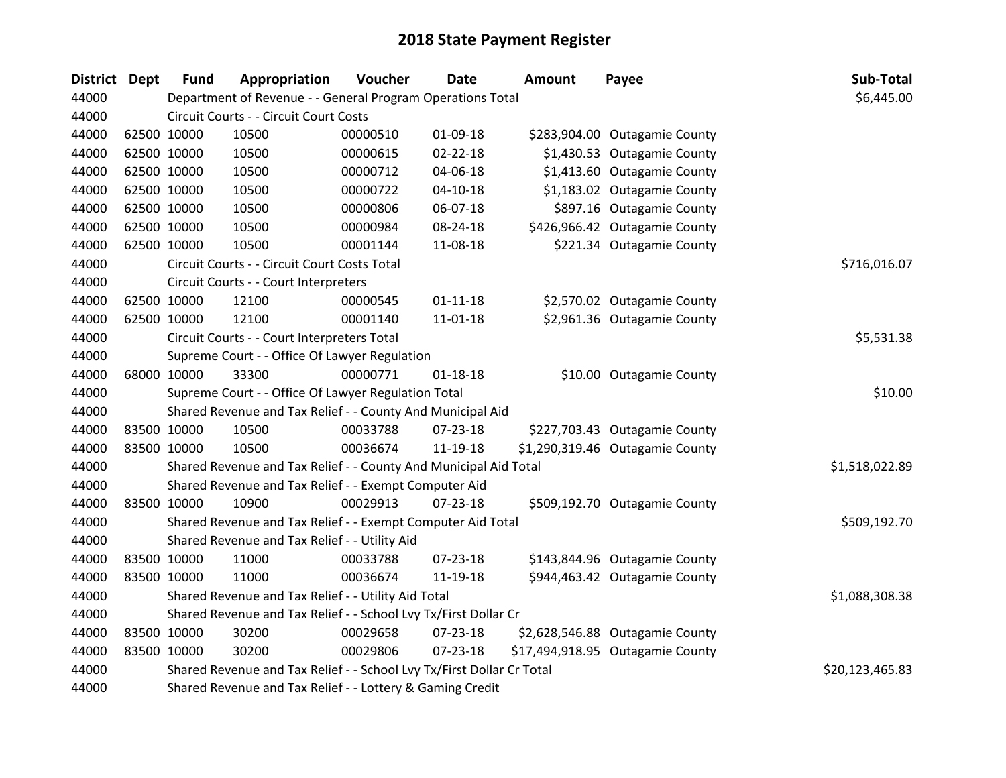| <b>District</b> | <b>Dept</b> | <b>Fund</b> | Appropriation                                                         | Voucher  | <b>Date</b>    | <b>Amount</b> | Payee                            | Sub-Total       |
|-----------------|-------------|-------------|-----------------------------------------------------------------------|----------|----------------|---------------|----------------------------------|-----------------|
| 44000           |             |             | Department of Revenue - - General Program Operations Total            |          |                |               |                                  | \$6,445.00      |
| 44000           |             |             | Circuit Courts - - Circuit Court Costs                                |          |                |               |                                  |                 |
| 44000           |             | 62500 10000 | 10500                                                                 | 00000510 | 01-09-18       |               | \$283,904.00 Outagamie County    |                 |
| 44000           |             | 62500 10000 | 10500                                                                 | 00000615 | $02 - 22 - 18$ |               | \$1,430.53 Outagamie County      |                 |
| 44000           |             | 62500 10000 | 10500                                                                 | 00000712 | 04-06-18       |               | \$1,413.60 Outagamie County      |                 |
| 44000           |             | 62500 10000 | 10500                                                                 | 00000722 | $04 - 10 - 18$ |               | \$1,183.02 Outagamie County      |                 |
| 44000           |             | 62500 10000 | 10500                                                                 | 00000806 | 06-07-18       |               | \$897.16 Outagamie County        |                 |
| 44000           |             | 62500 10000 | 10500                                                                 | 00000984 | 08-24-18       |               | \$426,966.42 Outagamie County    |                 |
| 44000           |             | 62500 10000 | 10500                                                                 | 00001144 | 11-08-18       |               | \$221.34 Outagamie County        |                 |
| 44000           |             |             | Circuit Courts - - Circuit Court Costs Total                          |          |                |               |                                  | \$716,016.07    |
| 44000           |             |             | Circuit Courts - - Court Interpreters                                 |          |                |               |                                  |                 |
| 44000           |             | 62500 10000 | 12100                                                                 | 00000545 | $01 - 11 - 18$ |               | \$2,570.02 Outagamie County      |                 |
| 44000           |             | 62500 10000 | 12100                                                                 | 00001140 | 11-01-18       |               | \$2,961.36 Outagamie County      |                 |
| 44000           |             |             | Circuit Courts - - Court Interpreters Total                           |          |                |               |                                  | \$5,531.38      |
| 44000           |             |             | Supreme Court - - Office Of Lawyer Regulation                         |          |                |               |                                  |                 |
| 44000           |             | 68000 10000 | 33300                                                                 | 00000771 | $01 - 18 - 18$ |               | \$10.00 Outagamie County         |                 |
| 44000           |             |             | Supreme Court - - Office Of Lawyer Regulation Total                   |          |                |               |                                  | \$10.00         |
| 44000           |             |             | Shared Revenue and Tax Relief - - County And Municipal Aid            |          |                |               |                                  |                 |
| 44000           |             | 83500 10000 | 10500                                                                 | 00033788 | $07 - 23 - 18$ |               | \$227,703.43 Outagamie County    |                 |
| 44000           |             | 83500 10000 | 10500                                                                 | 00036674 | 11-19-18       |               | \$1,290,319.46 Outagamie County  |                 |
| 44000           |             |             | Shared Revenue and Tax Relief - - County And Municipal Aid Total      |          |                |               |                                  | \$1,518,022.89  |
| 44000           |             |             | Shared Revenue and Tax Relief - - Exempt Computer Aid                 |          |                |               |                                  |                 |
| 44000           |             | 83500 10000 | 10900                                                                 | 00029913 | $07 - 23 - 18$ |               | \$509,192.70 Outagamie County    |                 |
| 44000           |             |             | Shared Revenue and Tax Relief - - Exempt Computer Aid Total           |          |                |               |                                  | \$509,192.70    |
| 44000           |             |             | Shared Revenue and Tax Relief - - Utility Aid                         |          |                |               |                                  |                 |
| 44000           |             | 83500 10000 | 11000                                                                 | 00033788 | $07 - 23 - 18$ |               | \$143,844.96 Outagamie County    |                 |
| 44000           |             | 83500 10000 | 11000                                                                 | 00036674 | 11-19-18       |               | \$944,463.42 Outagamie County    |                 |
| 44000           |             |             | Shared Revenue and Tax Relief - - Utility Aid Total                   |          |                |               |                                  | \$1,088,308.38  |
| 44000           |             |             | Shared Revenue and Tax Relief - - School Lvy Tx/First Dollar Cr       |          |                |               |                                  |                 |
| 44000           |             | 83500 10000 | 30200                                                                 | 00029658 | 07-23-18       |               | \$2,628,546.88 Outagamie County  |                 |
| 44000           |             | 83500 10000 | 30200                                                                 | 00029806 | 07-23-18       |               | \$17,494,918.95 Outagamie County |                 |
| 44000           |             |             | Shared Revenue and Tax Relief - - School Lvy Tx/First Dollar Cr Total |          |                |               |                                  | \$20,123,465.83 |
| 44000           |             |             | Shared Revenue and Tax Relief - - Lottery & Gaming Credit             |          |                |               |                                  |                 |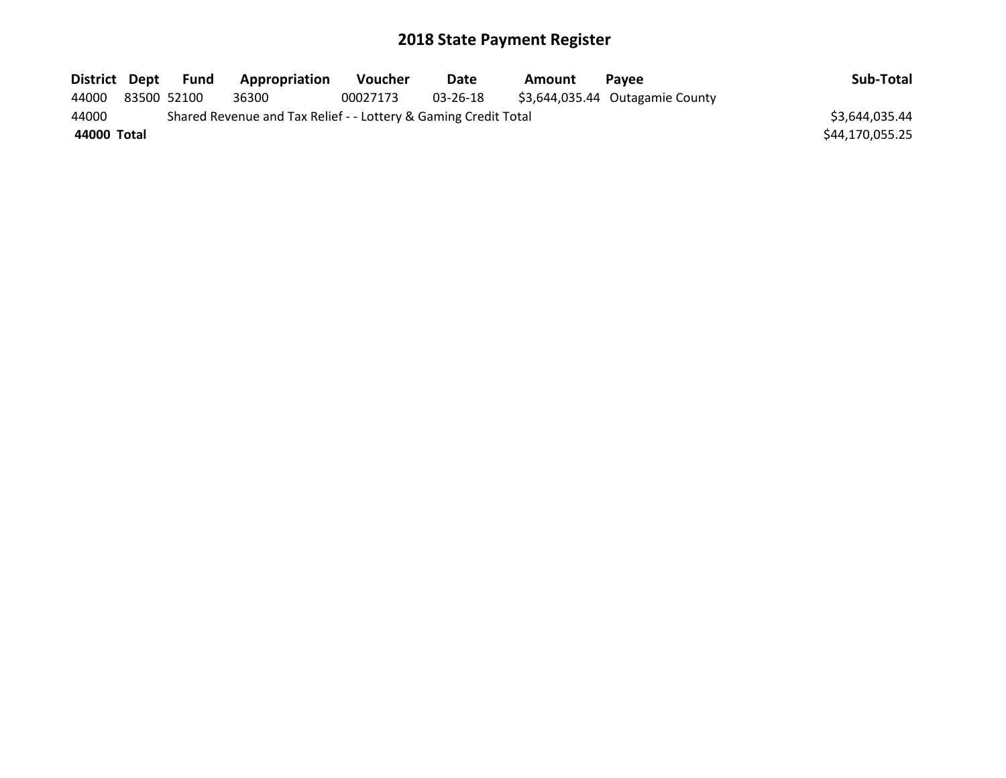| District Dept | Fund        | Appropriation                                                   | <b>Voucher</b> | <b>Date</b> | Amount | <b>Pavee</b>                    | Sub-Total       |
|---------------|-------------|-----------------------------------------------------------------|----------------|-------------|--------|---------------------------------|-----------------|
| 44000         | 83500 52100 | 36300                                                           | 00027173       | 03-26-18    |        | \$3,644,035.44 Outagamie County |                 |
| 44000         |             | Shared Revenue and Tax Relief - - Lottery & Gaming Credit Total |                |             |        |                                 | \$3,644,035.44  |
| 44000 Total   |             |                                                                 |                |             |        |                                 | \$44,170,055.25 |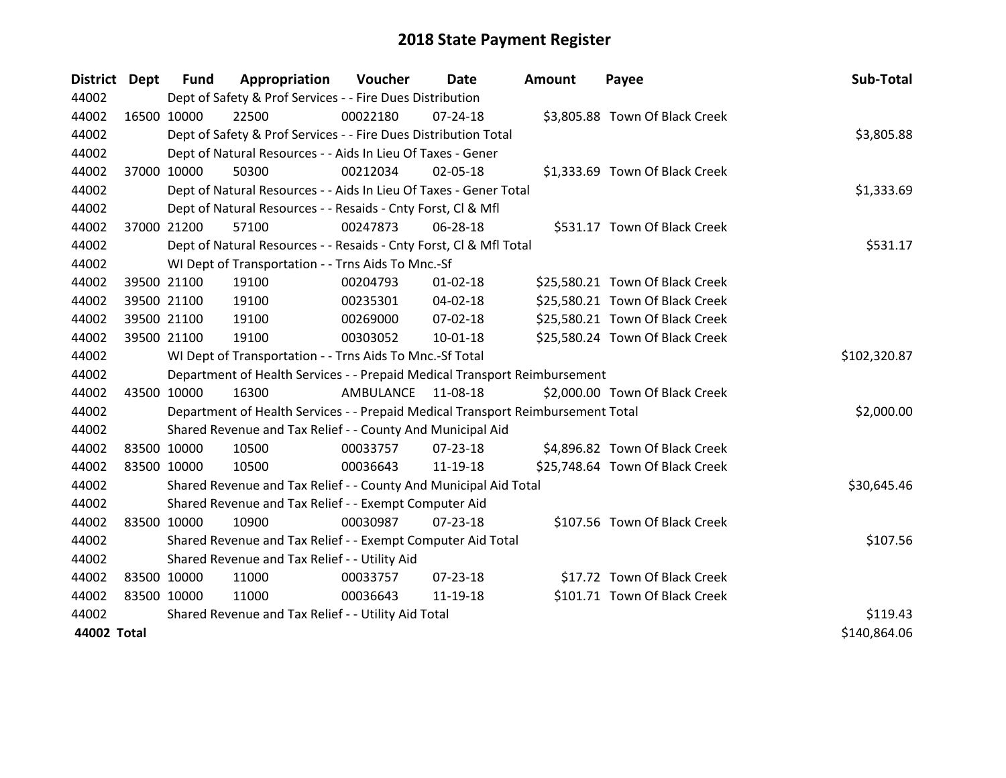| District Dept |             | <b>Fund</b> | Appropriation                                                                   | Voucher   | Date           | <b>Amount</b> | Payee                           | Sub-Total    |
|---------------|-------------|-------------|---------------------------------------------------------------------------------|-----------|----------------|---------------|---------------------------------|--------------|
| 44002         |             |             | Dept of Safety & Prof Services - - Fire Dues Distribution                       |           |                |               |                                 |              |
| 44002         |             | 16500 10000 | 22500                                                                           | 00022180  | 07-24-18       |               | \$3,805.88 Town Of Black Creek  |              |
| 44002         |             |             | Dept of Safety & Prof Services - - Fire Dues Distribution Total                 |           |                |               |                                 | \$3,805.88   |
| 44002         |             |             | Dept of Natural Resources - - Aids In Lieu Of Taxes - Gener                     |           |                |               |                                 |              |
| 44002         |             | 37000 10000 | 50300                                                                           | 00212034  | 02-05-18       |               | \$1,333.69 Town Of Black Creek  |              |
| 44002         |             |             | Dept of Natural Resources - - Aids In Lieu Of Taxes - Gener Total               |           |                |               |                                 | \$1,333.69   |
| 44002         |             |             | Dept of Natural Resources - - Resaids - Cnty Forst, CI & Mfl                    |           |                |               |                                 |              |
| 44002         |             | 37000 21200 | 57100                                                                           | 00247873  | 06-28-18       |               | \$531.17 Town Of Black Creek    |              |
| 44002         |             |             | Dept of Natural Resources - - Resaids - Cnty Forst, Cl & Mfl Total              |           |                |               |                                 | \$531.17     |
| 44002         |             |             | WI Dept of Transportation - - Trns Aids To Mnc.-Sf                              |           |                |               |                                 |              |
| 44002         |             | 39500 21100 | 19100                                                                           | 00204793  | $01 - 02 - 18$ |               | \$25,580.21 Town Of Black Creek |              |
| 44002         |             | 39500 21100 | 19100                                                                           | 00235301  | 04-02-18       |               | \$25,580.21 Town Of Black Creek |              |
| 44002         |             | 39500 21100 | 19100                                                                           | 00269000  | 07-02-18       |               | \$25,580.21 Town Of Black Creek |              |
| 44002         |             | 39500 21100 | 19100                                                                           | 00303052  | $10 - 01 - 18$ |               | \$25,580.24 Town Of Black Creek |              |
| 44002         |             |             | WI Dept of Transportation - - Trns Aids To Mnc.-Sf Total                        |           |                |               |                                 | \$102,320.87 |
| 44002         |             |             | Department of Health Services - - Prepaid Medical Transport Reimbursement       |           |                |               |                                 |              |
| 44002         |             | 43500 10000 | 16300                                                                           | AMBULANCE | 11-08-18       |               | \$2,000.00 Town Of Black Creek  |              |
| 44002         |             |             | Department of Health Services - - Prepaid Medical Transport Reimbursement Total |           |                |               |                                 | \$2,000.00   |
| 44002         |             |             | Shared Revenue and Tax Relief - - County And Municipal Aid                      |           |                |               |                                 |              |
| 44002         |             | 83500 10000 | 10500                                                                           | 00033757  | 07-23-18       |               | \$4,896.82 Town Of Black Creek  |              |
| 44002         |             | 83500 10000 | 10500                                                                           | 00036643  | 11-19-18       |               | \$25,748.64 Town Of Black Creek |              |
| 44002         |             |             | Shared Revenue and Tax Relief - - County And Municipal Aid Total                |           |                |               |                                 | \$30,645.46  |
| 44002         |             |             | Shared Revenue and Tax Relief - - Exempt Computer Aid                           |           |                |               |                                 |              |
| 44002         |             | 83500 10000 | 10900                                                                           | 00030987  | $07 - 23 - 18$ |               | \$107.56 Town Of Black Creek    |              |
| 44002         |             |             | Shared Revenue and Tax Relief - - Exempt Computer Aid Total                     |           |                |               |                                 | \$107.56     |
| 44002         |             |             | Shared Revenue and Tax Relief - - Utility Aid                                   |           |                |               |                                 |              |
| 44002         | 83500 10000 |             | 11000                                                                           | 00033757  | 07-23-18       |               | \$17.72 Town Of Black Creek     |              |
| 44002         | 83500 10000 |             | 11000                                                                           | 00036643  | 11-19-18       |               | \$101.71 Town Of Black Creek    |              |
| 44002         |             |             | Shared Revenue and Tax Relief - - Utility Aid Total                             |           |                |               |                                 | \$119.43     |
| 44002 Total   |             |             |                                                                                 |           |                |               |                                 | \$140,864.06 |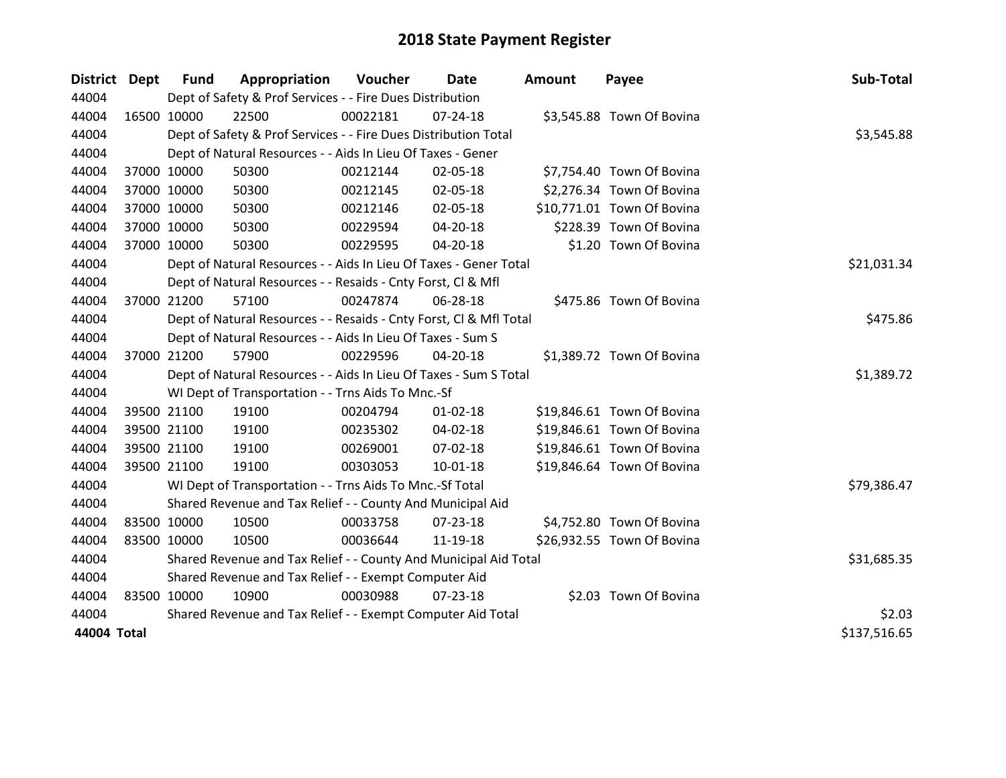| District Dept |             | <b>Fund</b> | Appropriation                                                      | Voucher  | Date           | <b>Amount</b> | Payee                      | Sub-Total    |
|---------------|-------------|-------------|--------------------------------------------------------------------|----------|----------------|---------------|----------------------------|--------------|
| 44004         |             |             | Dept of Safety & Prof Services - - Fire Dues Distribution          |          |                |               |                            |              |
| 44004         | 16500 10000 |             | 22500                                                              | 00022181 | 07-24-18       |               | \$3,545.88 Town Of Bovina  |              |
| 44004         |             |             | Dept of Safety & Prof Services - - Fire Dues Distribution Total    |          |                |               |                            | \$3,545.88   |
| 44004         |             |             | Dept of Natural Resources - - Aids In Lieu Of Taxes - Gener        |          |                |               |                            |              |
| 44004         | 37000 10000 |             | 50300                                                              | 00212144 | 02-05-18       |               | \$7,754.40 Town Of Bovina  |              |
| 44004         | 37000 10000 |             | 50300                                                              | 00212145 | 02-05-18       |               | \$2,276.34 Town Of Bovina  |              |
| 44004         | 37000 10000 |             | 50300                                                              | 00212146 | 02-05-18       |               | \$10,771.01 Town Of Bovina |              |
| 44004         | 37000 10000 |             | 50300                                                              | 00229594 | 04-20-18       |               | \$228.39 Town Of Bovina    |              |
| 44004         | 37000 10000 |             | 50300                                                              | 00229595 | 04-20-18       |               | \$1.20 Town Of Bovina      |              |
| 44004         |             |             | Dept of Natural Resources - - Aids In Lieu Of Taxes - Gener Total  |          |                |               |                            | \$21,031.34  |
| 44004         |             |             | Dept of Natural Resources - - Resaids - Cnty Forst, Cl & Mfl       |          |                |               |                            |              |
| 44004         |             | 37000 21200 | 57100                                                              | 00247874 | 06-28-18       |               | \$475.86 Town Of Bovina    |              |
| 44004         |             |             | Dept of Natural Resources - - Resaids - Cnty Forst, Cl & Mfl Total |          |                |               |                            | \$475.86     |
| 44004         |             |             | Dept of Natural Resources - - Aids In Lieu Of Taxes - Sum S        |          |                |               |                            |              |
| 44004         |             | 37000 21200 | 57900                                                              | 00229596 | 04-20-18       |               | \$1,389.72 Town Of Bovina  |              |
| 44004         |             |             | Dept of Natural Resources - - Aids In Lieu Of Taxes - Sum S Total  |          |                |               |                            | \$1,389.72   |
| 44004         |             |             | WI Dept of Transportation - - Trns Aids To Mnc.-Sf                 |          |                |               |                            |              |
| 44004         |             | 39500 21100 | 19100                                                              | 00204794 | $01 - 02 - 18$ |               | \$19,846.61 Town Of Bovina |              |
| 44004         |             | 39500 21100 | 19100                                                              | 00235302 | 04-02-18       |               | \$19,846.61 Town Of Bovina |              |
| 44004         |             | 39500 21100 | 19100                                                              | 00269001 | 07-02-18       |               | \$19,846.61 Town Of Bovina |              |
| 44004         |             | 39500 21100 | 19100                                                              | 00303053 | $10 - 01 - 18$ |               | \$19,846.64 Town Of Bovina |              |
| 44004         |             |             | WI Dept of Transportation - - Trns Aids To Mnc.-Sf Total           |          |                |               |                            | \$79,386.47  |
| 44004         |             |             | Shared Revenue and Tax Relief - - County And Municipal Aid         |          |                |               |                            |              |
| 44004         |             | 83500 10000 | 10500                                                              | 00033758 | 07-23-18       |               | \$4,752.80 Town Of Bovina  |              |
| 44004         | 83500 10000 |             | 10500                                                              | 00036644 | 11-19-18       |               | \$26,932.55 Town Of Bovina |              |
| 44004         |             |             | Shared Revenue and Tax Relief - - County And Municipal Aid Total   |          |                |               |                            | \$31,685.35  |
| 44004         |             |             | Shared Revenue and Tax Relief - - Exempt Computer Aid              |          |                |               |                            |              |
| 44004         |             | 83500 10000 | 10900                                                              | 00030988 | 07-23-18       |               | \$2.03 Town Of Bovina      |              |
| 44004         |             |             | Shared Revenue and Tax Relief - - Exempt Computer Aid Total        |          |                |               |                            | \$2.03       |
| 44004 Total   |             |             |                                                                    |          |                |               |                            | \$137,516.65 |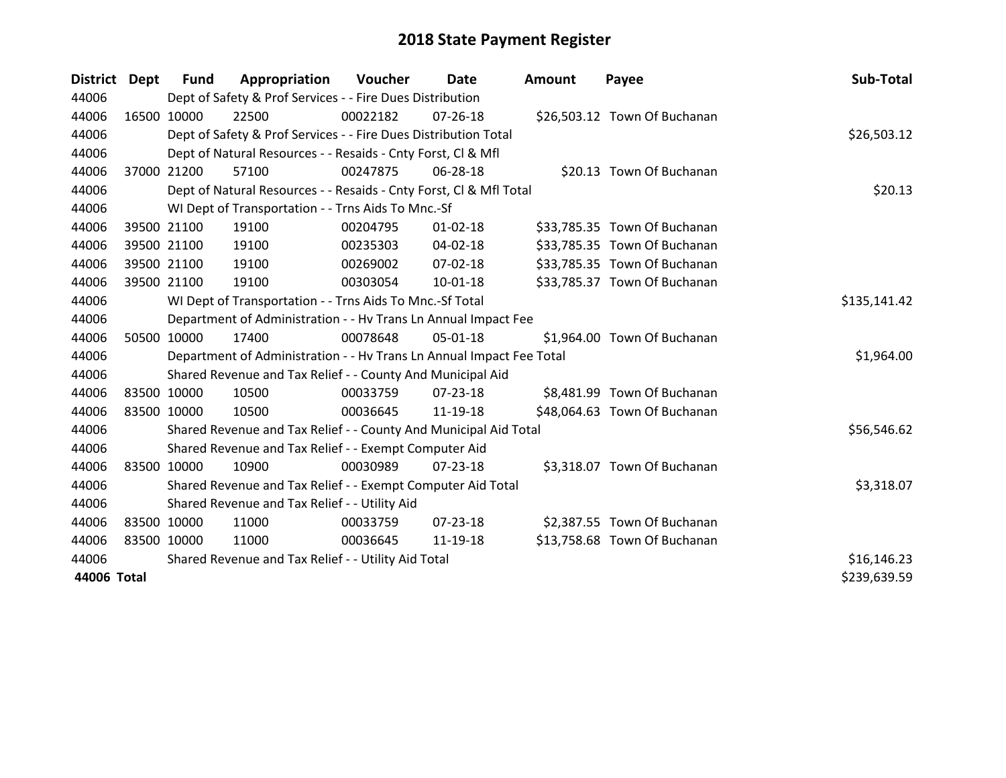| <b>District</b> | Dept | Fund                                                | Appropriation                                                        | Voucher  | Date           | <b>Amount</b> | Payee                        | Sub-Total    |
|-----------------|------|-----------------------------------------------------|----------------------------------------------------------------------|----------|----------------|---------------|------------------------------|--------------|
| 44006           |      |                                                     | Dept of Safety & Prof Services - - Fire Dues Distribution            |          |                |               |                              |              |
| 44006           |      | 16500 10000                                         | 22500                                                                | 00022182 | 07-26-18       |               | \$26,503.12 Town Of Buchanan |              |
| 44006           |      |                                                     | Dept of Safety & Prof Services - - Fire Dues Distribution Total      |          |                |               |                              | \$26,503.12  |
| 44006           |      |                                                     | Dept of Natural Resources - - Resaids - Cnty Forst, CI & Mfl         |          |                |               |                              |              |
| 44006           |      | 37000 21200                                         | 57100                                                                | 00247875 | 06-28-18       |               | \$20.13 Town Of Buchanan     |              |
| 44006           |      |                                                     | Dept of Natural Resources - - Resaids - Cnty Forst, Cl & Mfl Total   |          | \$20.13        |               |                              |              |
| 44006           |      |                                                     | WI Dept of Transportation - - Trns Aids To Mnc.-Sf                   |          |                |               |                              |              |
| 44006           |      | 39500 21100                                         | 19100                                                                | 00204795 | $01 - 02 - 18$ |               | \$33,785.35 Town Of Buchanan |              |
| 44006           |      | 39500 21100                                         | 19100                                                                | 00235303 | 04-02-18       |               | \$33,785.35 Town Of Buchanan |              |
| 44006           |      | 39500 21100                                         | 19100                                                                | 00269002 | 07-02-18       |               | \$33,785.35 Town Of Buchanan |              |
| 44006           |      | 39500 21100                                         | 19100                                                                | 00303054 | $10 - 01 - 18$ |               | \$33,785.37 Town Of Buchanan |              |
| 44006           |      |                                                     | WI Dept of Transportation - - Trns Aids To Mnc.-Sf Total             |          |                |               |                              | \$135,141.42 |
| 44006           |      |                                                     | Department of Administration - - Hv Trans Ln Annual Impact Fee       |          |                |               |                              |              |
| 44006           |      | 50500 10000                                         | 17400                                                                | 00078648 | 05-01-18       |               | \$1,964.00 Town Of Buchanan  |              |
| 44006           |      |                                                     | Department of Administration - - Hv Trans Ln Annual Impact Fee Total |          |                |               |                              | \$1,964.00   |
| 44006           |      |                                                     | Shared Revenue and Tax Relief - - County And Municipal Aid           |          |                |               |                              |              |
| 44006           |      | 83500 10000                                         | 10500                                                                | 00033759 | $07 - 23 - 18$ |               | \$8,481.99 Town Of Buchanan  |              |
| 44006           |      | 83500 10000                                         | 10500                                                                | 00036645 | 11-19-18       |               | \$48,064.63 Town Of Buchanan |              |
| 44006           |      |                                                     | Shared Revenue and Tax Relief - - County And Municipal Aid Total     |          |                |               |                              | \$56,546.62  |
| 44006           |      |                                                     | Shared Revenue and Tax Relief - - Exempt Computer Aid                |          |                |               |                              |              |
| 44006           |      | 83500 10000                                         | 10900                                                                | 00030989 | $07 - 23 - 18$ |               | \$3,318.07 Town Of Buchanan  |              |
| 44006           |      |                                                     | Shared Revenue and Tax Relief - - Exempt Computer Aid Total          |          |                |               |                              | \$3,318.07   |
| 44006           |      |                                                     | Shared Revenue and Tax Relief - - Utility Aid                        |          |                |               |                              |              |
| 44006           |      | 83500 10000                                         | 11000                                                                | 00033759 | $07 - 23 - 18$ |               | \$2,387.55 Town Of Buchanan  |              |
| 44006           |      | 83500 10000                                         | 11000                                                                | 00036645 | 11-19-18       |               | \$13,758.68 Town Of Buchanan |              |
| 44006           |      | Shared Revenue and Tax Relief - - Utility Aid Total | \$16,146.23                                                          |          |                |               |                              |              |
| 44006 Total     |      |                                                     |                                                                      |          |                |               |                              | \$239,639.59 |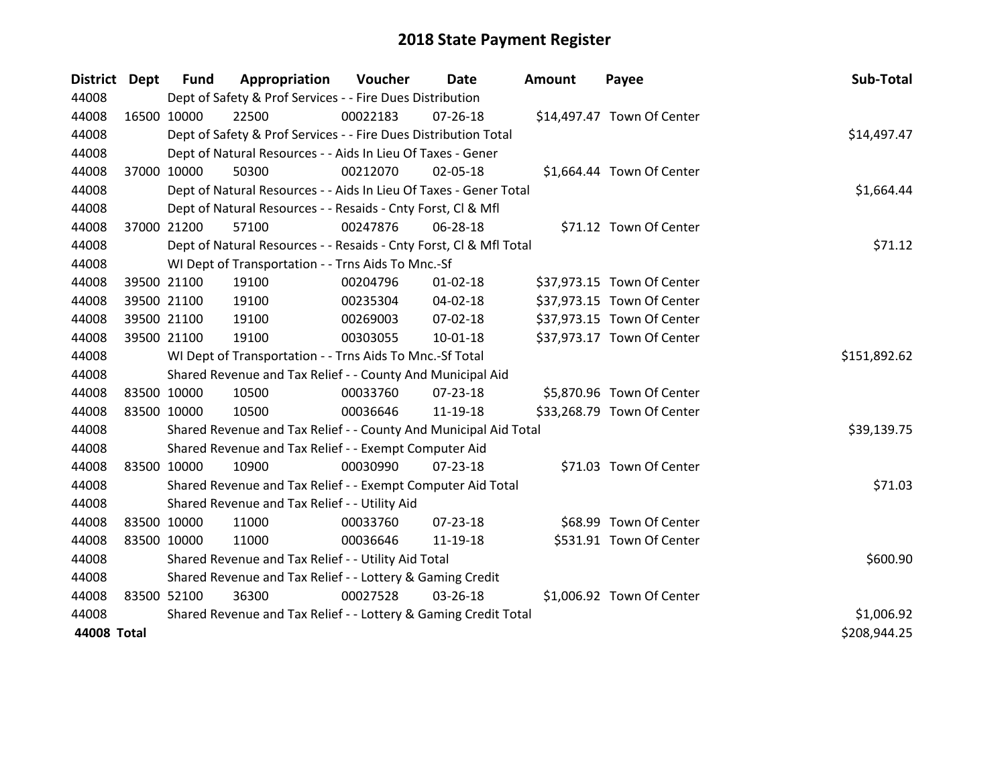| <b>District</b> | Dept | <b>Fund</b> | Appropriation                                                      | Voucher    | Date           | <b>Amount</b> | Payee                      | Sub-Total    |
|-----------------|------|-------------|--------------------------------------------------------------------|------------|----------------|---------------|----------------------------|--------------|
| 44008           |      |             | Dept of Safety & Prof Services - - Fire Dues Distribution          |            |                |               |                            |              |
| 44008           |      | 16500 10000 | 22500                                                              | 00022183   | $07 - 26 - 18$ |               | \$14,497.47 Town Of Center |              |
| 44008           |      |             | Dept of Safety & Prof Services - - Fire Dues Distribution Total    |            |                |               |                            | \$14,497.47  |
| 44008           |      |             | Dept of Natural Resources - - Aids In Lieu Of Taxes - Gener        |            |                |               |                            |              |
| 44008           |      | 37000 10000 | 50300                                                              | 00212070   | 02-05-18       |               | \$1,664.44 Town Of Center  |              |
| 44008           |      |             | Dept of Natural Resources - - Aids In Lieu Of Taxes - Gener Total  | \$1,664.44 |                |               |                            |              |
| 44008           |      |             | Dept of Natural Resources - - Resaids - Cnty Forst, CI & Mfl       |            |                |               |                            |              |
| 44008           |      | 37000 21200 | 57100                                                              | 00247876   | 06-28-18       |               | \$71.12 Town Of Center     |              |
| 44008           |      |             | Dept of Natural Resources - - Resaids - Cnty Forst, Cl & Mfl Total |            |                |               |                            | \$71.12      |
| 44008           |      |             | WI Dept of Transportation - - Trns Aids To Mnc.-Sf                 |            |                |               |                            |              |
| 44008           |      | 39500 21100 | 19100                                                              | 00204796   | $01 - 02 - 18$ |               | \$37,973.15 Town Of Center |              |
| 44008           |      | 39500 21100 | 19100                                                              | 00235304   | 04-02-18       |               | \$37,973.15 Town Of Center |              |
| 44008           |      | 39500 21100 | 19100                                                              | 00269003   | $07 - 02 - 18$ |               | \$37,973.15 Town Of Center |              |
| 44008           |      | 39500 21100 | 19100                                                              | 00303055   | $10-01-18$     |               | \$37,973.17 Town Of Center |              |
| 44008           |      |             | WI Dept of Transportation - - Trns Aids To Mnc.-Sf Total           |            |                |               |                            | \$151,892.62 |
| 44008           |      |             | Shared Revenue and Tax Relief - - County And Municipal Aid         |            |                |               |                            |              |
| 44008           |      | 83500 10000 | 10500                                                              | 00033760   | 07-23-18       |               | \$5,870.96 Town Of Center  |              |
| 44008           |      | 83500 10000 | 10500                                                              | 00036646   | 11-19-18       |               | \$33,268.79 Town Of Center |              |
| 44008           |      |             | Shared Revenue and Tax Relief - - County And Municipal Aid Total   |            |                |               |                            | \$39,139.75  |
| 44008           |      |             | Shared Revenue and Tax Relief - - Exempt Computer Aid              |            |                |               |                            |              |
| 44008           |      | 83500 10000 | 10900                                                              | 00030990   | $07 - 23 - 18$ |               | \$71.03 Town Of Center     |              |
| 44008           |      |             | Shared Revenue and Tax Relief - - Exempt Computer Aid Total        |            |                |               |                            | \$71.03      |
| 44008           |      |             | Shared Revenue and Tax Relief - - Utility Aid                      |            |                |               |                            |              |
| 44008           |      | 83500 10000 | 11000                                                              | 00033760   | $07 - 23 - 18$ |               | \$68.99 Town Of Center     |              |
| 44008           |      | 83500 10000 | 11000                                                              | 00036646   | 11-19-18       |               | \$531.91 Town Of Center    |              |
| 44008           |      |             | Shared Revenue and Tax Relief - - Utility Aid Total                |            |                |               |                            | \$600.90     |
| 44008           |      |             | Shared Revenue and Tax Relief - - Lottery & Gaming Credit          |            |                |               |                            |              |
| 44008           |      | 83500 52100 | 36300                                                              | 00027528   | 03-26-18       |               | \$1,006.92 Town Of Center  |              |
| 44008           |      |             | Shared Revenue and Tax Relief - - Lottery & Gaming Credit Total    |            |                |               |                            | \$1,006.92   |
| 44008 Total     |      |             |                                                                    |            |                |               |                            | \$208,944.25 |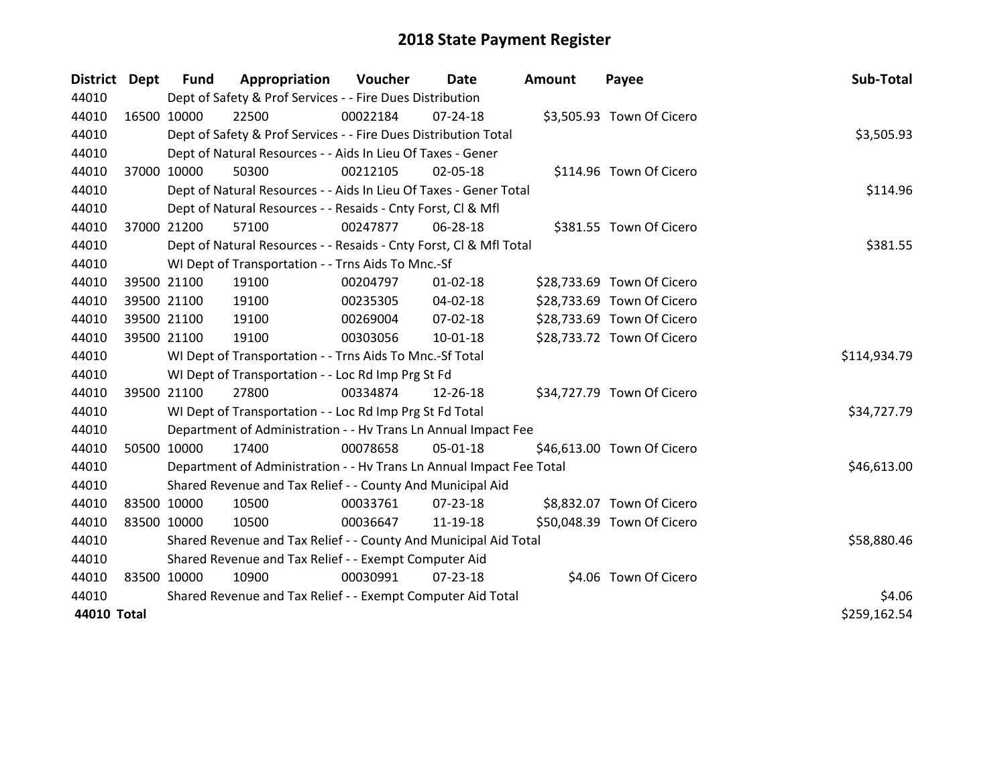| District Dept | <b>Fund</b>                                           | Appropriation                                                        | Voucher  | Date           | <b>Amount</b> | Payee                      | Sub-Total    |
|---------------|-------------------------------------------------------|----------------------------------------------------------------------|----------|----------------|---------------|----------------------------|--------------|
| 44010         |                                                       | Dept of Safety & Prof Services - - Fire Dues Distribution            |          |                |               |                            |              |
| 44010         | 16500 10000                                           | 22500                                                                | 00022184 | 07-24-18       |               | \$3,505.93 Town Of Cicero  |              |
| 44010         |                                                       | Dept of Safety & Prof Services - - Fire Dues Distribution Total      |          |                |               |                            | \$3,505.93   |
| 44010         |                                                       | Dept of Natural Resources - - Aids In Lieu Of Taxes - Gener          |          |                |               |                            |              |
| 44010         | 37000 10000                                           | 50300                                                                | 00212105 | 02-05-18       |               | \$114.96 Town Of Cicero    |              |
| 44010         |                                                       | Dept of Natural Resources - - Aids In Lieu Of Taxes - Gener Total    | \$114.96 |                |               |                            |              |
| 44010         |                                                       | Dept of Natural Resources - - Resaids - Cnty Forst, CI & Mfl         |          |                |               |                            |              |
| 44010         | 37000 21200                                           | 57100                                                                | 00247877 | 06-28-18       |               | \$381.55 Town Of Cicero    |              |
| 44010         |                                                       | Dept of Natural Resources - - Resaids - Cnty Forst, Cl & Mfl Total   |          |                |               |                            | \$381.55     |
| 44010         |                                                       | WI Dept of Transportation - - Trns Aids To Mnc.-Sf                   |          |                |               |                            |              |
| 44010         | 39500 21100                                           | 19100                                                                | 00204797 | $01 - 02 - 18$ |               | \$28,733.69 Town Of Cicero |              |
| 44010         | 39500 21100                                           | 19100                                                                | 00235305 | $04 - 02 - 18$ |               | \$28,733.69 Town Of Cicero |              |
| 44010         | 39500 21100                                           | 19100                                                                | 00269004 | 07-02-18       |               | \$28,733.69 Town Of Cicero |              |
| 44010         | 39500 21100                                           | 19100                                                                | 00303056 | $10 - 01 - 18$ |               | \$28,733.72 Town Of Cicero |              |
| 44010         |                                                       | WI Dept of Transportation - - Trns Aids To Mnc.-Sf Total             |          |                |               |                            | \$114,934.79 |
| 44010         |                                                       | WI Dept of Transportation - - Loc Rd Imp Prg St Fd                   |          |                |               |                            |              |
| 44010         | 39500 21100                                           | 27800                                                                | 00334874 | 12-26-18       |               | \$34,727.79 Town Of Cicero |              |
| 44010         |                                                       | WI Dept of Transportation - - Loc Rd Imp Prg St Fd Total             |          |                |               |                            | \$34,727.79  |
| 44010         |                                                       | Department of Administration - - Hv Trans Ln Annual Impact Fee       |          |                |               |                            |              |
| 44010         | 50500 10000                                           | 17400                                                                | 00078658 | 05-01-18       |               | \$46,613.00 Town Of Cicero |              |
| 44010         |                                                       | Department of Administration - - Hv Trans Ln Annual Impact Fee Total |          |                |               |                            | \$46,613.00  |
| 44010         |                                                       | Shared Revenue and Tax Relief - - County And Municipal Aid           |          |                |               |                            |              |
| 44010         | 83500 10000                                           | 10500                                                                | 00033761 | 07-23-18       |               | \$8,832.07 Town Of Cicero  |              |
| 44010         | 83500 10000                                           | 10500                                                                | 00036647 | 11-19-18       |               | \$50,048.39 Town Of Cicero |              |
| 44010         |                                                       | Shared Revenue and Tax Relief - - County And Municipal Aid Total     |          |                |               |                            | \$58,880.46  |
| 44010         | Shared Revenue and Tax Relief - - Exempt Computer Aid |                                                                      |          |                |               |                            |              |
| 44010         | 83500 10000                                           | 10900                                                                | 00030991 | $07 - 23 - 18$ |               | \$4.06 Town Of Cicero      |              |
| 44010         |                                                       | Shared Revenue and Tax Relief - - Exempt Computer Aid Total          | \$4.06   |                |               |                            |              |
| 44010 Total   |                                                       |                                                                      |          |                |               |                            | \$259,162.54 |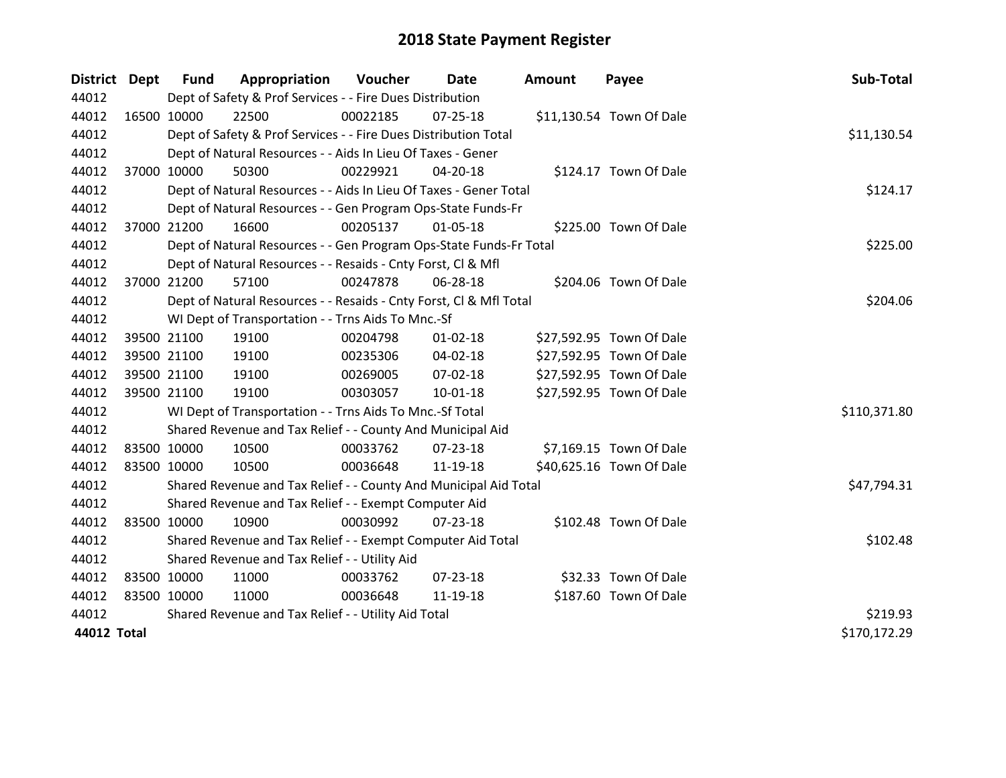| District Dept |             | <b>Fund</b> | Appropriation                                                      | Voucher  | Date           | <b>Amount</b> | Payee                    | Sub-Total    |
|---------------|-------------|-------------|--------------------------------------------------------------------|----------|----------------|---------------|--------------------------|--------------|
| 44012         |             |             | Dept of Safety & Prof Services - - Fire Dues Distribution          |          |                |               |                          |              |
| 44012         |             | 16500 10000 | 22500                                                              | 00022185 | $07 - 25 - 18$ |               | \$11,130.54 Town Of Dale |              |
| 44012         |             |             | Dept of Safety & Prof Services - - Fire Dues Distribution Total    |          |                |               |                          | \$11,130.54  |
| 44012         |             |             | Dept of Natural Resources - - Aids In Lieu Of Taxes - Gener        |          |                |               |                          |              |
| 44012         |             | 37000 10000 | 50300                                                              | 00229921 | 04-20-18       |               | \$124.17 Town Of Dale    |              |
| 44012         |             |             | Dept of Natural Resources - - Aids In Lieu Of Taxes - Gener Total  | \$124.17 |                |               |                          |              |
| 44012         |             |             | Dept of Natural Resources - - Gen Program Ops-State Funds-Fr       |          |                |               |                          |              |
| 44012         |             | 37000 21200 | 16600                                                              | 00205137 | 01-05-18       |               | \$225.00 Town Of Dale    |              |
| 44012         |             |             | Dept of Natural Resources - - Gen Program Ops-State Funds-Fr Total |          |                |               |                          | \$225.00     |
| 44012         |             |             | Dept of Natural Resources - - Resaids - Cnty Forst, Cl & Mfl       |          |                |               |                          |              |
| 44012         |             | 37000 21200 | 57100                                                              | 00247878 | 06-28-18       |               | \$204.06 Town Of Dale    |              |
| 44012         |             |             | Dept of Natural Resources - - Resaids - Cnty Forst, Cl & Mfl Total |          |                |               |                          | \$204.06     |
| 44012         |             |             | WI Dept of Transportation - - Trns Aids To Mnc.-Sf                 |          |                |               |                          |              |
| 44012         |             | 39500 21100 | 19100                                                              | 00204798 | $01 - 02 - 18$ |               | \$27,592.95 Town Of Dale |              |
| 44012         |             | 39500 21100 | 19100                                                              | 00235306 | 04-02-18       |               | \$27,592.95 Town Of Dale |              |
| 44012         |             | 39500 21100 | 19100                                                              | 00269005 | 07-02-18       |               | \$27,592.95 Town Of Dale |              |
| 44012         |             | 39500 21100 | 19100                                                              | 00303057 | $10 - 01 - 18$ |               | \$27,592.95 Town Of Dale |              |
| 44012         |             |             | WI Dept of Transportation - - Trns Aids To Mnc.-Sf Total           |          |                |               |                          | \$110,371.80 |
| 44012         |             |             | Shared Revenue and Tax Relief - - County And Municipal Aid         |          |                |               |                          |              |
| 44012         |             | 83500 10000 | 10500                                                              | 00033762 | 07-23-18       |               | \$7,169.15 Town Of Dale  |              |
| 44012         |             | 83500 10000 | 10500                                                              | 00036648 | 11-19-18       |               | \$40,625.16 Town Of Dale |              |
| 44012         |             |             | Shared Revenue and Tax Relief - - County And Municipal Aid Total   |          |                |               |                          | \$47,794.31  |
| 44012         |             |             | Shared Revenue and Tax Relief - - Exempt Computer Aid              |          |                |               |                          |              |
| 44012         |             | 83500 10000 | 10900                                                              | 00030992 | $07 - 23 - 18$ |               | \$102.48 Town Of Dale    |              |
| 44012         |             |             | Shared Revenue and Tax Relief - - Exempt Computer Aid Total        |          |                |               |                          | \$102.48     |
| 44012         |             |             | Shared Revenue and Tax Relief - - Utility Aid                      |          |                |               |                          |              |
| 44012         |             | 83500 10000 | 11000                                                              | 00033762 | 07-23-18       |               | \$32.33 Town Of Dale     |              |
| 44012         | 83500 10000 |             | 11000                                                              | 00036648 | 11-19-18       |               | \$187.60 Town Of Dale    |              |
| 44012         |             |             | Shared Revenue and Tax Relief - - Utility Aid Total                |          |                |               |                          | \$219.93     |
| 44012 Total   |             |             |                                                                    |          |                |               |                          | \$170,172.29 |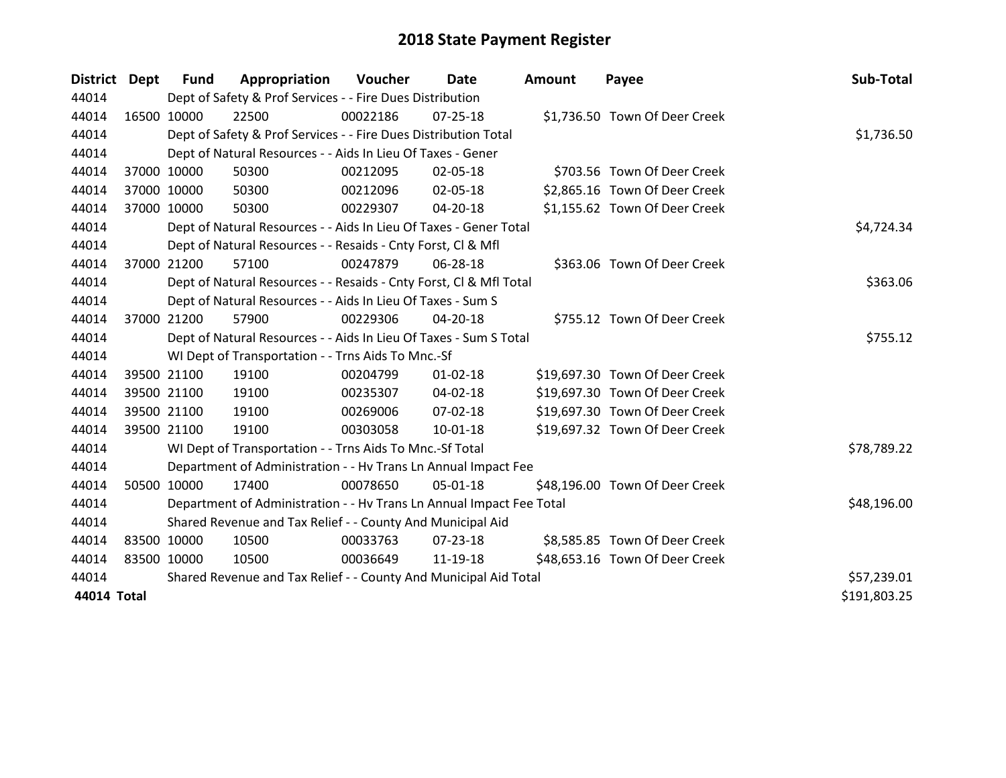| District Dept |             | <b>Fund</b>                                                      | Appropriation                                                        | Voucher  | Date           | <b>Amount</b> | Payee                          | Sub-Total    |
|---------------|-------------|------------------------------------------------------------------|----------------------------------------------------------------------|----------|----------------|---------------|--------------------------------|--------------|
| 44014         |             |                                                                  | Dept of Safety & Prof Services - - Fire Dues Distribution            |          |                |               |                                |              |
| 44014         | 16500 10000 |                                                                  | 22500                                                                | 00022186 | $07 - 25 - 18$ |               | \$1,736.50 Town Of Deer Creek  |              |
| 44014         |             |                                                                  | Dept of Safety & Prof Services - - Fire Dues Distribution Total      |          |                |               |                                | \$1,736.50   |
| 44014         |             |                                                                  | Dept of Natural Resources - - Aids In Lieu Of Taxes - Gener          |          |                |               |                                |              |
| 44014         |             | 37000 10000                                                      | 50300                                                                | 00212095 | 02-05-18       |               | \$703.56 Town Of Deer Creek    |              |
| 44014         | 37000 10000 |                                                                  | 50300                                                                | 00212096 | 02-05-18       |               | \$2,865.16 Town Of Deer Creek  |              |
| 44014         |             | 37000 10000                                                      | 50300                                                                | 00229307 | 04-20-18       |               | \$1,155.62 Town Of Deer Creek  |              |
| 44014         |             |                                                                  | Dept of Natural Resources - - Aids In Lieu Of Taxes - Gener Total    |          |                |               |                                | \$4,724.34   |
| 44014         |             |                                                                  | Dept of Natural Resources - - Resaids - Cnty Forst, CI & Mfl         |          |                |               |                                |              |
| 44014         |             | 37000 21200                                                      | 57100                                                                | 00247879 | 06-28-18       |               | \$363.06 Town Of Deer Creek    |              |
| 44014         |             |                                                                  | Dept of Natural Resources - - Resaids - Cnty Forst, CI & Mfl Total   |          |                |               |                                | \$363.06     |
| 44014         |             |                                                                  | Dept of Natural Resources - - Aids In Lieu Of Taxes - Sum S          |          |                |               |                                |              |
| 44014         |             | 37000 21200                                                      | 57900                                                                | 00229306 | 04-20-18       |               | \$755.12 Town Of Deer Creek    |              |
| 44014         |             |                                                                  | Dept of Natural Resources - - Aids In Lieu Of Taxes - Sum S Total    |          |                |               |                                | \$755.12     |
| 44014         |             |                                                                  | WI Dept of Transportation - - Trns Aids To Mnc.-Sf                   |          |                |               |                                |              |
| 44014         |             | 39500 21100                                                      | 19100                                                                | 00204799 | $01 - 02 - 18$ |               | \$19,697.30 Town Of Deer Creek |              |
| 44014         |             | 39500 21100                                                      | 19100                                                                | 00235307 | $04 - 02 - 18$ |               | \$19,697.30 Town Of Deer Creek |              |
| 44014         |             | 39500 21100                                                      | 19100                                                                | 00269006 | 07-02-18       |               | \$19,697.30 Town Of Deer Creek |              |
| 44014         |             | 39500 21100                                                      | 19100                                                                | 00303058 | $10 - 01 - 18$ |               | \$19,697.32 Town Of Deer Creek |              |
| 44014         |             |                                                                  | WI Dept of Transportation - - Trns Aids To Mnc.-Sf Total             |          |                |               |                                | \$78,789.22  |
| 44014         |             |                                                                  | Department of Administration - - Hv Trans Ln Annual Impact Fee       |          |                |               |                                |              |
| 44014         |             | 50500 10000                                                      | 17400                                                                | 00078650 | 05-01-18       |               | \$48,196.00 Town Of Deer Creek |              |
| 44014         |             |                                                                  | Department of Administration - - Hv Trans Ln Annual Impact Fee Total |          |                |               |                                | \$48,196.00  |
| 44014         |             |                                                                  | Shared Revenue and Tax Relief - - County And Municipal Aid           |          |                |               |                                |              |
| 44014         | 83500 10000 |                                                                  | 10500                                                                | 00033763 | 07-23-18       |               | \$8,585.85 Town Of Deer Creek  |              |
| 44014         | 83500 10000 |                                                                  | 10500                                                                | 00036649 | 11-19-18       |               | \$48,653.16 Town Of Deer Creek |              |
| 44014         |             | Shared Revenue and Tax Relief - - County And Municipal Aid Total | \$57,239.01                                                          |          |                |               |                                |              |
| 44014 Total   |             |                                                                  |                                                                      |          |                |               |                                | \$191,803.25 |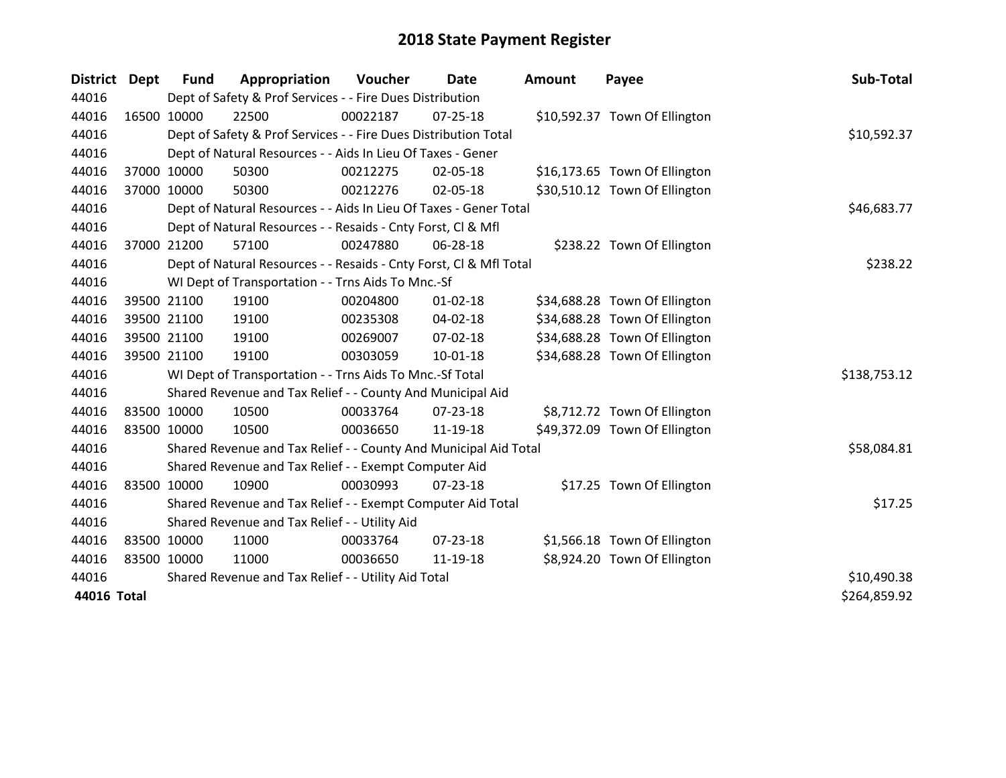| <b>District</b> | Dept        | <b>Fund</b> | Appropriation                                                      | Voucher  | Date           | <b>Amount</b> | Payee                         | Sub-Total    |
|-----------------|-------------|-------------|--------------------------------------------------------------------|----------|----------------|---------------|-------------------------------|--------------|
| 44016           |             |             | Dept of Safety & Prof Services - - Fire Dues Distribution          |          |                |               |                               |              |
| 44016           |             | 16500 10000 | 22500                                                              | 00022187 | $07 - 25 - 18$ |               | \$10,592.37 Town Of Ellington |              |
| 44016           |             |             | Dept of Safety & Prof Services - - Fire Dues Distribution Total    |          |                |               |                               | \$10,592.37  |
| 44016           |             |             | Dept of Natural Resources - - Aids In Lieu Of Taxes - Gener        |          |                |               |                               |              |
| 44016           |             | 37000 10000 | 50300                                                              | 00212275 | 02-05-18       |               | \$16,173.65 Town Of Ellington |              |
| 44016           |             | 37000 10000 | 50300                                                              | 00212276 | 02-05-18       |               | \$30,510.12 Town Of Ellington |              |
| 44016           |             |             | Dept of Natural Resources - - Aids In Lieu Of Taxes - Gener Total  |          |                |               |                               | \$46,683.77  |
| 44016           |             |             | Dept of Natural Resources - - Resaids - Cnty Forst, CI & Mfl       |          |                |               |                               |              |
| 44016           |             | 37000 21200 | 57100                                                              | 00247880 | 06-28-18       |               | \$238.22 Town Of Ellington    |              |
| 44016           |             |             | Dept of Natural Resources - - Resaids - Cnty Forst, Cl & Mfl Total |          |                |               |                               | \$238.22     |
| 44016           |             |             | WI Dept of Transportation - - Trns Aids To Mnc.-Sf                 |          |                |               |                               |              |
| 44016           |             | 39500 21100 | 19100                                                              | 00204800 | $01 - 02 - 18$ |               | \$34,688.28 Town Of Ellington |              |
| 44016           |             | 39500 21100 | 19100                                                              | 00235308 | 04-02-18       |               | \$34,688.28 Town Of Ellington |              |
| 44016           |             | 39500 21100 | 19100                                                              | 00269007 | 07-02-18       |               | \$34,688.28 Town Of Ellington |              |
| 44016           |             | 39500 21100 | 19100                                                              | 00303059 | $10 - 01 - 18$ |               | \$34,688.28 Town Of Ellington |              |
| 44016           |             |             | WI Dept of Transportation - - Trns Aids To Mnc.-Sf Total           |          |                |               |                               | \$138,753.12 |
| 44016           |             |             | Shared Revenue and Tax Relief - - County And Municipal Aid         |          |                |               |                               |              |
| 44016           |             | 83500 10000 | 10500                                                              | 00033764 | 07-23-18       |               | \$8,712.72 Town Of Ellington  |              |
| 44016           |             | 83500 10000 | 10500                                                              | 00036650 | 11-19-18       |               | \$49,372.09 Town Of Ellington |              |
| 44016           |             |             | Shared Revenue and Tax Relief - - County And Municipal Aid Total   |          |                |               |                               | \$58,084.81  |
| 44016           |             |             | Shared Revenue and Tax Relief - - Exempt Computer Aid              |          |                |               |                               |              |
| 44016           |             | 83500 10000 | 10900                                                              | 00030993 | $07 - 23 - 18$ |               | \$17.25 Town Of Ellington     |              |
| 44016           |             |             | Shared Revenue and Tax Relief - - Exempt Computer Aid Total        |          |                |               |                               | \$17.25      |
| 44016           |             |             | Shared Revenue and Tax Relief - - Utility Aid                      |          |                |               |                               |              |
| 44016           | 83500 10000 |             | 11000                                                              | 00033764 | $07 - 23 - 18$ |               | \$1,566.18 Town Of Ellington  |              |
| 44016           |             | 83500 10000 | 11000                                                              | 00036650 | 11-19-18       |               | \$8,924.20 Town Of Ellington  |              |
| 44016           |             |             | Shared Revenue and Tax Relief - - Utility Aid Total                |          | \$10,490.38    |               |                               |              |
| 44016 Total     |             |             |                                                                    |          |                |               |                               | \$264,859.92 |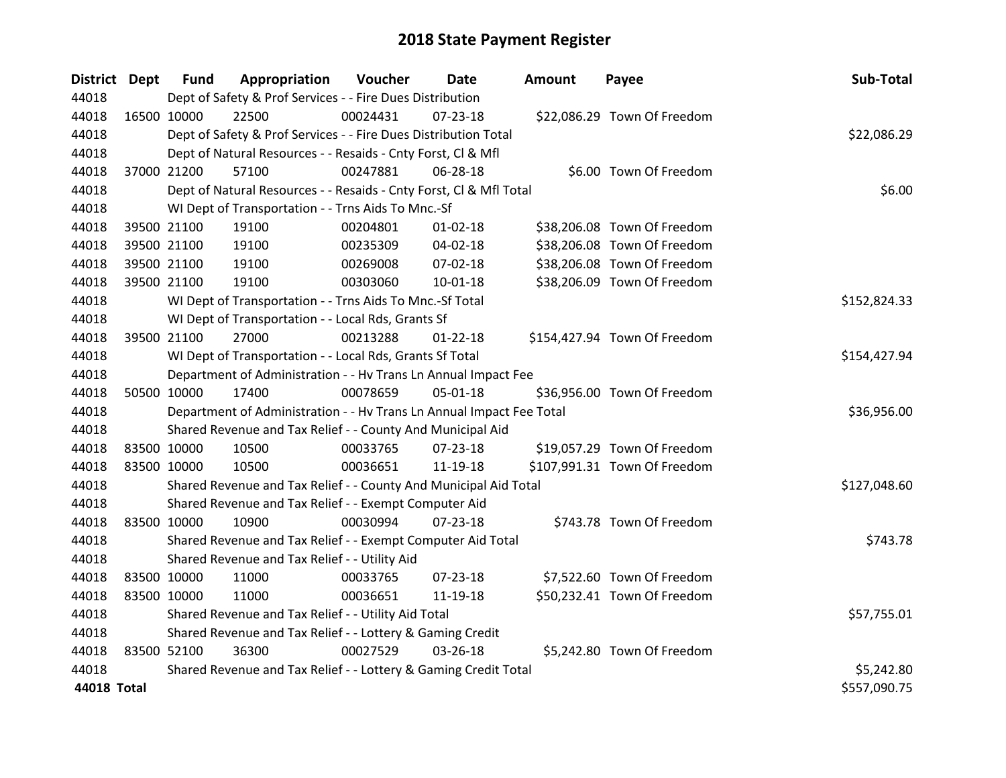| District Dept | <b>Fund</b>                                               | Appropriation                                                        | Voucher  | Date           | <b>Amount</b> | Payee                        | Sub-Total    |
|---------------|-----------------------------------------------------------|----------------------------------------------------------------------|----------|----------------|---------------|------------------------------|--------------|
| 44018         |                                                           | Dept of Safety & Prof Services - - Fire Dues Distribution            |          |                |               |                              |              |
| 44018         | 16500 10000                                               | 22500                                                                | 00024431 | $07 - 23 - 18$ |               | \$22,086.29 Town Of Freedom  |              |
| 44018         |                                                           | Dept of Safety & Prof Services - - Fire Dues Distribution Total      |          |                |               |                              | \$22,086.29  |
| 44018         |                                                           | Dept of Natural Resources - - Resaids - Cnty Forst, Cl & Mfl         |          |                |               |                              |              |
| 44018         | 37000 21200                                               | 57100                                                                | 00247881 | 06-28-18       |               | \$6.00 Town Of Freedom       |              |
| 44018         |                                                           | Dept of Natural Resources - - Resaids - Cnty Forst, Cl & Mfl Total   |          |                |               |                              | \$6.00       |
| 44018         |                                                           | WI Dept of Transportation - - Trns Aids To Mnc.-Sf                   |          |                |               |                              |              |
| 44018         | 39500 21100                                               | 19100                                                                | 00204801 | $01 - 02 - 18$ |               | \$38,206.08 Town Of Freedom  |              |
| 44018         | 39500 21100                                               | 19100                                                                | 00235309 | 04-02-18       |               | \$38,206.08 Town Of Freedom  |              |
| 44018         | 39500 21100                                               | 19100                                                                | 00269008 | 07-02-18       |               | \$38,206.08 Town Of Freedom  |              |
| 44018         | 39500 21100                                               | 19100                                                                | 00303060 | 10-01-18       |               | \$38,206.09 Town Of Freedom  |              |
| 44018         |                                                           | WI Dept of Transportation - - Trns Aids To Mnc.-Sf Total             |          |                |               |                              | \$152,824.33 |
| 44018         |                                                           | WI Dept of Transportation - - Local Rds, Grants Sf                   |          |                |               |                              |              |
| 44018         | 39500 21100                                               | 27000                                                                | 00213288 | $01 - 22 - 18$ |               | \$154,427.94 Town Of Freedom |              |
| 44018         |                                                           | WI Dept of Transportation - - Local Rds, Grants Sf Total             |          |                |               |                              | \$154,427.94 |
| 44018         |                                                           | Department of Administration - - Hv Trans Ln Annual Impact Fee       |          |                |               |                              |              |
| 44018         | 50500 10000                                               | 17400                                                                | 00078659 | $05 - 01 - 18$ |               | \$36,956.00 Town Of Freedom  |              |
| 44018         |                                                           | Department of Administration - - Hv Trans Ln Annual Impact Fee Total |          |                |               |                              | \$36,956.00  |
| 44018         |                                                           | Shared Revenue and Tax Relief - - County And Municipal Aid           |          |                |               |                              |              |
| 44018         | 83500 10000                                               | 10500                                                                | 00033765 | 07-23-18       |               | \$19,057.29 Town Of Freedom  |              |
| 44018         | 83500 10000                                               | 10500                                                                | 00036651 | 11-19-18       |               | \$107,991.31 Town Of Freedom |              |
| 44018         |                                                           | Shared Revenue and Tax Relief - - County And Municipal Aid Total     |          |                |               |                              | \$127,048.60 |
| 44018         |                                                           | Shared Revenue and Tax Relief - - Exempt Computer Aid                |          |                |               |                              |              |
| 44018         | 83500 10000                                               | 10900                                                                | 00030994 | $07 - 23 - 18$ |               | \$743.78 Town Of Freedom     |              |
| 44018         |                                                           | Shared Revenue and Tax Relief - - Exempt Computer Aid Total          |          |                |               |                              | \$743.78     |
| 44018         |                                                           | Shared Revenue and Tax Relief - - Utility Aid                        |          |                |               |                              |              |
| 44018         | 83500 10000                                               | 11000                                                                | 00033765 | 07-23-18       |               | \$7,522.60 Town Of Freedom   |              |
| 44018         | 83500 10000                                               | 11000                                                                | 00036651 | 11-19-18       |               | \$50,232.41 Town Of Freedom  |              |
| 44018         |                                                           | Shared Revenue and Tax Relief - - Utility Aid Total                  |          |                |               |                              | \$57,755.01  |
| 44018         | Shared Revenue and Tax Relief - - Lottery & Gaming Credit |                                                                      |          |                |               |                              |              |
| 44018         | 83500 52100                                               | 36300                                                                | 00027529 | 03-26-18       |               | \$5,242.80 Town Of Freedom   |              |
| 44018         |                                                           | Shared Revenue and Tax Relief - - Lottery & Gaming Credit Total      |          |                |               |                              | \$5,242.80   |
| 44018 Total   |                                                           |                                                                      |          |                |               |                              | \$557,090.75 |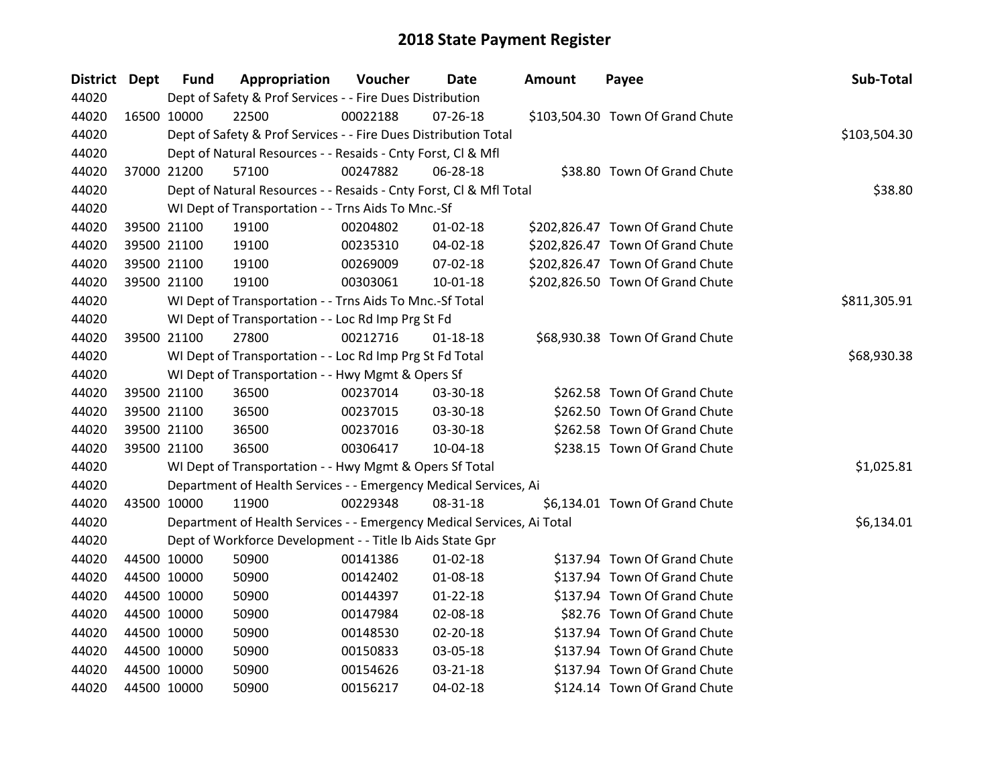| District Dept | <b>Fund</b> | Appropriation                                                          | Voucher  | <b>Date</b>    | Amount | Payee                            | Sub-Total    |
|---------------|-------------|------------------------------------------------------------------------|----------|----------------|--------|----------------------------------|--------------|
| 44020         |             | Dept of Safety & Prof Services - - Fire Dues Distribution              |          |                |        |                                  |              |
| 44020         | 16500 10000 | 22500                                                                  | 00022188 | $07 - 26 - 18$ |        | \$103,504.30 Town Of Grand Chute |              |
| 44020         |             | Dept of Safety & Prof Services - - Fire Dues Distribution Total        |          |                |        |                                  | \$103,504.30 |
| 44020         |             | Dept of Natural Resources - - Resaids - Cnty Forst, CI & Mfl           |          |                |        |                                  |              |
| 44020         | 37000 21200 | 57100                                                                  | 00247882 | 06-28-18       |        | \$38.80 Town Of Grand Chute      |              |
| 44020         |             | Dept of Natural Resources - - Resaids - Cnty Forst, Cl & Mfl Total     |          |                |        |                                  | \$38.80      |
| 44020         |             | WI Dept of Transportation - - Trns Aids To Mnc.-Sf                     |          |                |        |                                  |              |
| 44020         | 39500 21100 | 19100                                                                  | 00204802 | $01 - 02 - 18$ |        | \$202,826.47 Town Of Grand Chute |              |
| 44020         | 39500 21100 | 19100                                                                  | 00235310 | 04-02-18       |        | \$202,826.47 Town Of Grand Chute |              |
| 44020         | 39500 21100 | 19100                                                                  | 00269009 | 07-02-18       |        | \$202,826.47 Town Of Grand Chute |              |
| 44020         | 39500 21100 | 19100                                                                  | 00303061 | $10-01-18$     |        | \$202,826.50 Town Of Grand Chute |              |
| 44020         |             | WI Dept of Transportation - - Trns Aids To Mnc.-Sf Total               |          |                |        |                                  | \$811,305.91 |
| 44020         |             | WI Dept of Transportation - - Loc Rd Imp Prg St Fd                     |          |                |        |                                  |              |
| 44020         | 39500 21100 | 27800                                                                  | 00212716 | $01 - 18 - 18$ |        | \$68,930.38 Town Of Grand Chute  |              |
| 44020         |             | WI Dept of Transportation - - Loc Rd Imp Prg St Fd Total               |          |                |        |                                  | \$68,930.38  |
| 44020         |             | WI Dept of Transportation - - Hwy Mgmt & Opers Sf                      |          |                |        |                                  |              |
| 44020         | 39500 21100 | 36500                                                                  | 00237014 | 03-30-18       |        | \$262.58 Town Of Grand Chute     |              |
| 44020         | 39500 21100 | 36500                                                                  | 00237015 | 03-30-18       |        | \$262.50 Town Of Grand Chute     |              |
| 44020         | 39500 21100 | 36500                                                                  | 00237016 | 03-30-18       |        | \$262.58 Town Of Grand Chute     |              |
| 44020         | 39500 21100 | 36500                                                                  | 00306417 | 10-04-18       |        | \$238.15 Town Of Grand Chute     |              |
| 44020         |             | WI Dept of Transportation - - Hwy Mgmt & Opers Sf Total                |          |                |        |                                  | \$1,025.81   |
| 44020         |             | Department of Health Services - - Emergency Medical Services, Ai       |          |                |        |                                  |              |
| 44020         | 43500 10000 | 11900                                                                  | 00229348 | 08-31-18       |        | \$6,134.01 Town Of Grand Chute   |              |
| 44020         |             | Department of Health Services - - Emergency Medical Services, Ai Total |          |                |        |                                  | \$6,134.01   |
| 44020         |             | Dept of Workforce Development - - Title Ib Aids State Gpr              |          |                |        |                                  |              |
| 44020         | 44500 10000 | 50900                                                                  | 00141386 | $01 - 02 - 18$ |        | \$137.94 Town Of Grand Chute     |              |
| 44020         | 44500 10000 | 50900                                                                  | 00142402 | 01-08-18       |        | \$137.94 Town Of Grand Chute     |              |
| 44020         | 44500 10000 | 50900                                                                  | 00144397 | $01 - 22 - 18$ |        | \$137.94 Town Of Grand Chute     |              |
| 44020         | 44500 10000 | 50900                                                                  | 00147984 | 02-08-18       |        | \$82.76 Town Of Grand Chute      |              |
| 44020         | 44500 10000 | 50900                                                                  | 00148530 | 02-20-18       |        | \$137.94 Town Of Grand Chute     |              |
| 44020         | 44500 10000 | 50900                                                                  | 00150833 | 03-05-18       |        | \$137.94 Town Of Grand Chute     |              |
| 44020         | 44500 10000 | 50900                                                                  | 00154626 | 03-21-18       |        | \$137.94 Town Of Grand Chute     |              |
| 44020         | 44500 10000 | 50900                                                                  | 00156217 | 04-02-18       |        | \$124.14 Town Of Grand Chute     |              |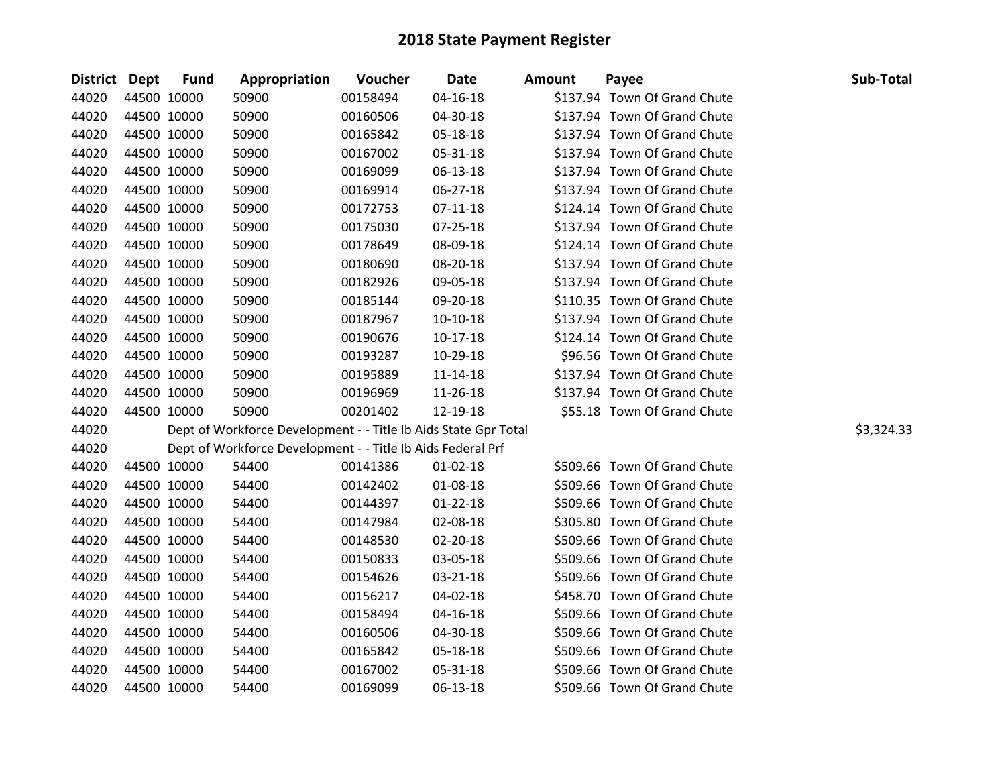| District Dept |             | <b>Fund</b> | Appropriation                                                   | Voucher  | <b>Date</b>    | <b>Amount</b> | Payee                        | Sub-Total  |
|---------------|-------------|-------------|-----------------------------------------------------------------|----------|----------------|---------------|------------------------------|------------|
| 44020         | 44500 10000 |             | 50900                                                           | 00158494 | $04 - 16 - 18$ |               | \$137.94 Town Of Grand Chute |            |
| 44020         | 44500 10000 |             | 50900                                                           | 00160506 | 04-30-18       |               | \$137.94 Town Of Grand Chute |            |
| 44020         | 44500 10000 |             | 50900                                                           | 00165842 | 05-18-18       |               | \$137.94 Town Of Grand Chute |            |
| 44020         | 44500 10000 |             | 50900                                                           | 00167002 | 05-31-18       |               | \$137.94 Town Of Grand Chute |            |
| 44020         | 44500 10000 |             | 50900                                                           | 00169099 | 06-13-18       |               | \$137.94 Town Of Grand Chute |            |
| 44020         | 44500 10000 |             | 50900                                                           | 00169914 | $06 - 27 - 18$ |               | \$137.94 Town Of Grand Chute |            |
| 44020         | 44500 10000 |             | 50900                                                           | 00172753 | 07-11-18       |               | \$124.14 Town Of Grand Chute |            |
| 44020         | 44500 10000 |             | 50900                                                           | 00175030 | 07-25-18       |               | \$137.94 Town Of Grand Chute |            |
| 44020         | 44500 10000 |             | 50900                                                           | 00178649 | 08-09-18       |               | \$124.14 Town Of Grand Chute |            |
| 44020         | 44500 10000 |             | 50900                                                           | 00180690 | 08-20-18       |               | \$137.94 Town Of Grand Chute |            |
| 44020         | 44500 10000 |             | 50900                                                           | 00182926 | 09-05-18       |               | \$137.94 Town Of Grand Chute |            |
| 44020         | 44500 10000 |             | 50900                                                           | 00185144 | 09-20-18       |               | \$110.35 Town Of Grand Chute |            |
| 44020         | 44500 10000 |             | 50900                                                           | 00187967 | $10-10-18$     |               | \$137.94 Town Of Grand Chute |            |
| 44020         | 44500 10000 |             | 50900                                                           | 00190676 | 10-17-18       |               | \$124.14 Town Of Grand Chute |            |
| 44020         | 44500 10000 |             | 50900                                                           | 00193287 | 10-29-18       |               | \$96.56 Town Of Grand Chute  |            |
| 44020         | 44500 10000 |             | 50900                                                           | 00195889 | $11 - 14 - 18$ |               | \$137.94 Town Of Grand Chute |            |
| 44020         | 44500 10000 |             | 50900                                                           | 00196969 | 11-26-18       |               | \$137.94 Town Of Grand Chute |            |
| 44020         | 44500 10000 |             | 50900                                                           | 00201402 | 12-19-18       |               | \$55.18 Town Of Grand Chute  |            |
| 44020         |             |             | Dept of Workforce Development - - Title Ib Aids State Gpr Total |          |                |               |                              | \$3,324.33 |
| 44020         |             |             | Dept of Workforce Development - - Title Ib Aids Federal Prf     |          |                |               |                              |            |
| 44020         | 44500 10000 |             | 54400                                                           | 00141386 | $01 - 02 - 18$ |               | \$509.66 Town Of Grand Chute |            |
| 44020         | 44500 10000 |             | 54400                                                           | 00142402 | 01-08-18       |               | \$509.66 Town Of Grand Chute |            |
| 44020         | 44500 10000 |             | 54400                                                           | 00144397 | $01 - 22 - 18$ |               | \$509.66 Town Of Grand Chute |            |
| 44020         | 44500 10000 |             | 54400                                                           | 00147984 | 02-08-18       |               | \$305.80 Town Of Grand Chute |            |
| 44020         | 44500 10000 |             | 54400                                                           | 00148530 | 02-20-18       |               | \$509.66 Town Of Grand Chute |            |
| 44020         | 44500 10000 |             | 54400                                                           | 00150833 | 03-05-18       |               | \$509.66 Town Of Grand Chute |            |
| 44020         | 44500 10000 |             | 54400                                                           | 00154626 | 03-21-18       |               | \$509.66 Town Of Grand Chute |            |
| 44020         | 44500 10000 |             | 54400                                                           | 00156217 | 04-02-18       |               | \$458.70 Town Of Grand Chute |            |
| 44020         | 44500 10000 |             | 54400                                                           | 00158494 | $04 - 16 - 18$ |               | \$509.66 Town Of Grand Chute |            |
| 44020         | 44500 10000 |             | 54400                                                           | 00160506 | 04-30-18       |               | \$509.66 Town Of Grand Chute |            |
| 44020         | 44500 10000 |             | 54400                                                           | 00165842 | 05-18-18       |               | \$509.66 Town Of Grand Chute |            |
| 44020         | 44500 10000 |             | 54400                                                           | 00167002 | 05-31-18       |               | \$509.66 Town Of Grand Chute |            |
| 44020         | 44500 10000 |             | 54400                                                           | 00169099 | 06-13-18       |               | \$509.66 Town Of Grand Chute |            |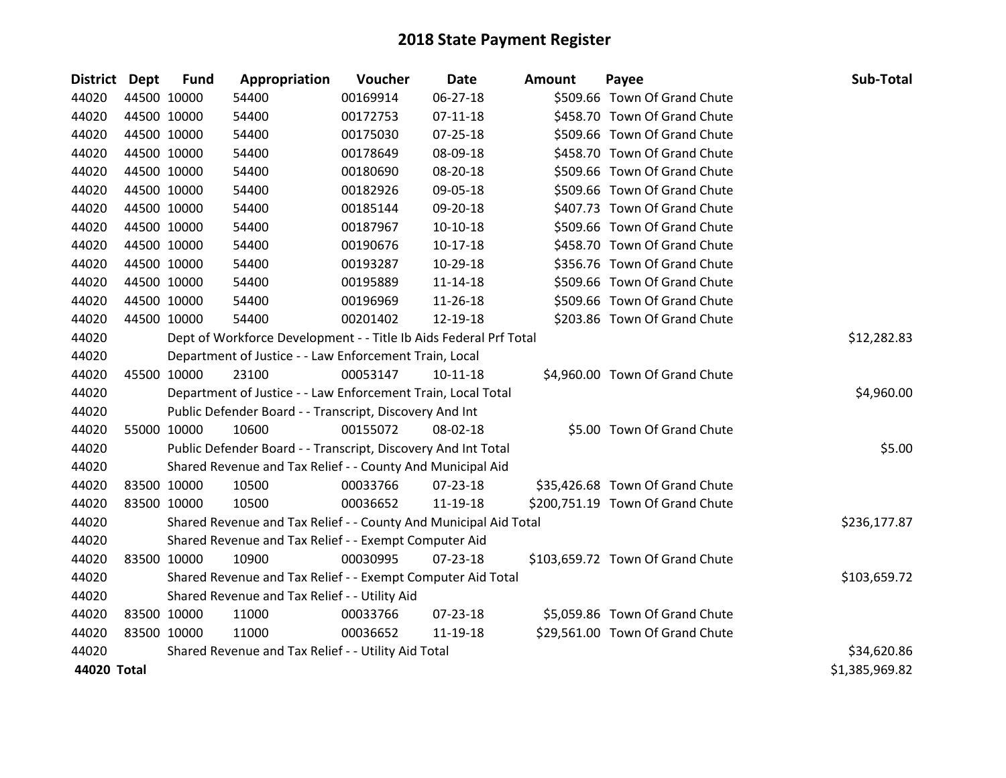| <b>District</b> | Dept        | <b>Fund</b> | Appropriation                                                     | Voucher  | <b>Date</b>    | <b>Amount</b> | Payee                            | Sub-Total      |
|-----------------|-------------|-------------|-------------------------------------------------------------------|----------|----------------|---------------|----------------------------------|----------------|
| 44020           | 44500 10000 |             | 54400                                                             | 00169914 | 06-27-18       |               | \$509.66 Town Of Grand Chute     |                |
| 44020           | 44500 10000 |             | 54400                                                             | 00172753 | $07 - 11 - 18$ |               | \$458.70 Town Of Grand Chute     |                |
| 44020           | 44500 10000 |             | 54400                                                             | 00175030 | $07 - 25 - 18$ |               | \$509.66 Town Of Grand Chute     |                |
| 44020           | 44500 10000 |             | 54400                                                             | 00178649 | 08-09-18       |               | \$458.70 Town Of Grand Chute     |                |
| 44020           |             | 44500 10000 | 54400                                                             | 00180690 | 08-20-18       |               | \$509.66 Town Of Grand Chute     |                |
| 44020           | 44500 10000 |             | 54400                                                             | 00182926 | 09-05-18       |               | \$509.66 Town Of Grand Chute     |                |
| 44020           | 44500 10000 |             | 54400                                                             | 00185144 | 09-20-18       |               | \$407.73 Town Of Grand Chute     |                |
| 44020           | 44500 10000 |             | 54400                                                             | 00187967 | $10-10-18$     |               | \$509.66 Town Of Grand Chute     |                |
| 44020           |             | 44500 10000 | 54400                                                             | 00190676 | $10-17-18$     |               | \$458.70 Town Of Grand Chute     |                |
| 44020           | 44500 10000 |             | 54400                                                             | 00193287 | 10-29-18       |               | \$356.76 Town Of Grand Chute     |                |
| 44020           | 44500 10000 |             | 54400                                                             | 00195889 | 11-14-18       |               | \$509.66 Town Of Grand Chute     |                |
| 44020           |             | 44500 10000 | 54400                                                             | 00196969 | 11-26-18       |               | \$509.66 Town Of Grand Chute     |                |
| 44020           |             | 44500 10000 | 54400                                                             | 00201402 | 12-19-18       |               | \$203.86 Town Of Grand Chute     |                |
| 44020           |             |             | Dept of Workforce Development - - Title Ib Aids Federal Prf Total |          |                |               |                                  | \$12,282.83    |
| 44020           |             |             | Department of Justice - - Law Enforcement Train, Local            |          |                |               |                                  |                |
| 44020           | 45500 10000 |             | 23100                                                             | 00053147 | 10-11-18       |               | \$4,960.00 Town Of Grand Chute   |                |
| 44020           |             |             | Department of Justice - - Law Enforcement Train, Local Total      |          |                |               |                                  | \$4,960.00     |
| 44020           |             |             | Public Defender Board - - Transcript, Discovery And Int           |          |                |               |                                  |                |
| 44020           |             | 55000 10000 | 10600                                                             | 00155072 | 08-02-18       |               | \$5.00 Town Of Grand Chute       |                |
| 44020           |             |             | Public Defender Board - - Transcript, Discovery And Int Total     |          |                |               |                                  | \$5.00         |
| 44020           |             |             | Shared Revenue and Tax Relief - - County And Municipal Aid        |          |                |               |                                  |                |
| 44020           | 83500 10000 |             | 10500                                                             | 00033766 | 07-23-18       |               | \$35,426.68 Town Of Grand Chute  |                |
| 44020           | 83500 10000 |             | 10500                                                             | 00036652 | 11-19-18       |               | \$200,751.19 Town Of Grand Chute |                |
| 44020           |             |             | Shared Revenue and Tax Relief - - County And Municipal Aid Total  |          |                |               |                                  | \$236,177.87   |
| 44020           |             |             | Shared Revenue and Tax Relief - - Exempt Computer Aid             |          |                |               |                                  |                |
| 44020           | 83500 10000 |             | 10900                                                             | 00030995 | $07 - 23 - 18$ |               | \$103,659.72 Town Of Grand Chute |                |
| 44020           |             |             | Shared Revenue and Tax Relief - - Exempt Computer Aid Total       |          |                |               |                                  | \$103,659.72   |
| 44020           |             |             | Shared Revenue and Tax Relief - - Utility Aid                     |          |                |               |                                  |                |
| 44020           | 83500 10000 |             | 11000                                                             | 00033766 | 07-23-18       |               | \$5,059.86 Town Of Grand Chute   |                |
| 44020           | 83500 10000 |             | 11000                                                             | 00036652 | 11-19-18       |               | \$29,561.00 Town Of Grand Chute  |                |
| 44020           |             |             | Shared Revenue and Tax Relief - - Utility Aid Total               |          |                |               |                                  | \$34,620.86    |
| 44020 Total     |             |             |                                                                   |          |                |               |                                  | \$1,385,969.82 |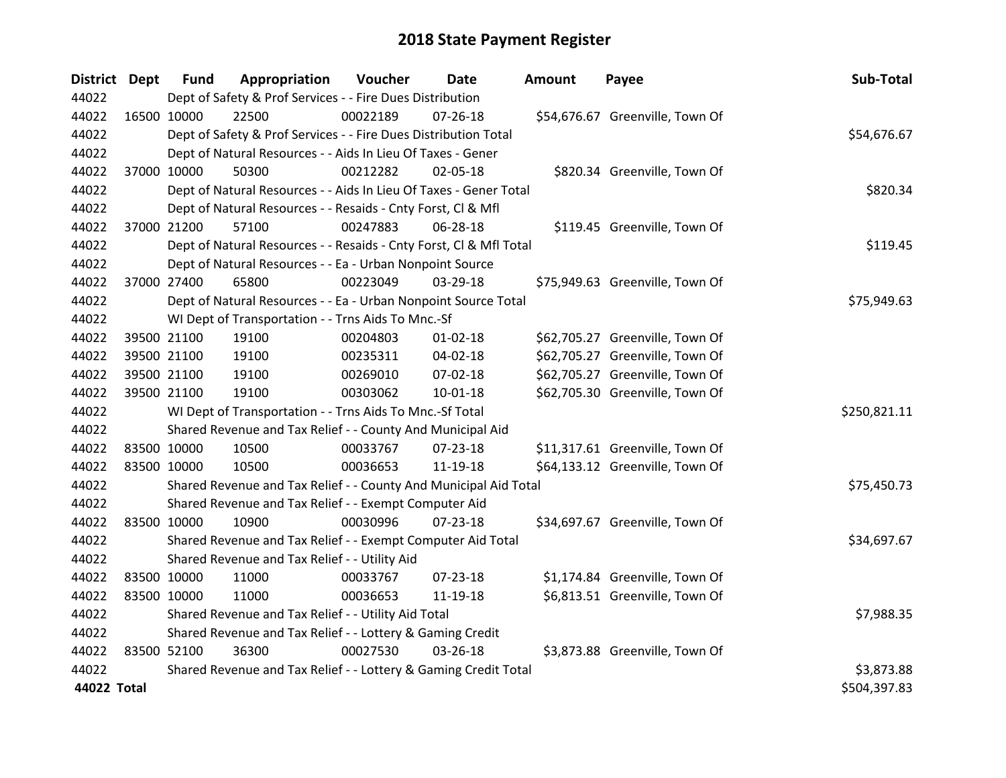| District Dept |             | <b>Fund</b>                                               | Appropriation                                                      | Voucher  | Date           | <b>Amount</b> | Payee                           | Sub-Total    |
|---------------|-------------|-----------------------------------------------------------|--------------------------------------------------------------------|----------|----------------|---------------|---------------------------------|--------------|
| 44022         |             |                                                           | Dept of Safety & Prof Services - - Fire Dues Distribution          |          |                |               |                                 |              |
| 44022         | 16500 10000 |                                                           | 22500                                                              | 00022189 | $07 - 26 - 18$ |               | \$54,676.67 Greenville, Town Of |              |
| 44022         |             |                                                           | Dept of Safety & Prof Services - - Fire Dues Distribution Total    |          |                |               |                                 | \$54,676.67  |
| 44022         |             |                                                           | Dept of Natural Resources - - Aids In Lieu Of Taxes - Gener        |          |                |               |                                 |              |
| 44022         |             | 37000 10000                                               | 50300                                                              | 00212282 | 02-05-18       |               | \$820.34 Greenville, Town Of    |              |
| 44022         |             |                                                           | Dept of Natural Resources - - Aids In Lieu Of Taxes - Gener Total  |          |                |               |                                 | \$820.34     |
| 44022         |             |                                                           | Dept of Natural Resources - - Resaids - Cnty Forst, Cl & Mfl       |          |                |               |                                 |              |
| 44022         |             | 37000 21200                                               | 57100                                                              | 00247883 | 06-28-18       |               | \$119.45 Greenville, Town Of    |              |
| 44022         |             |                                                           | Dept of Natural Resources - - Resaids - Cnty Forst, Cl & Mfl Total |          |                |               |                                 | \$119.45     |
| 44022         |             |                                                           | Dept of Natural Resources - - Ea - Urban Nonpoint Source           |          |                |               |                                 |              |
| 44022         |             | 37000 27400                                               | 65800                                                              | 00223049 | 03-29-18       |               | \$75,949.63 Greenville, Town Of |              |
| 44022         |             |                                                           | Dept of Natural Resources - - Ea - Urban Nonpoint Source Total     |          |                |               |                                 | \$75,949.63  |
| 44022         |             |                                                           | WI Dept of Transportation - - Trns Aids To Mnc.-Sf                 |          |                |               |                                 |              |
| 44022         |             | 39500 21100                                               | 19100                                                              | 00204803 | $01 - 02 - 18$ |               | \$62,705.27 Greenville, Town Of |              |
| 44022         |             | 39500 21100                                               | 19100                                                              | 00235311 | 04-02-18       |               | \$62,705.27 Greenville, Town Of |              |
| 44022         |             | 39500 21100                                               | 19100                                                              | 00269010 | 07-02-18       |               | \$62,705.27 Greenville, Town Of |              |
| 44022         |             | 39500 21100                                               | 19100                                                              | 00303062 | $10 - 01 - 18$ |               | \$62,705.30 Greenville, Town Of |              |
| 44022         |             |                                                           | WI Dept of Transportation - - Trns Aids To Mnc.-Sf Total           |          |                |               |                                 | \$250,821.11 |
| 44022         |             |                                                           | Shared Revenue and Tax Relief - - County And Municipal Aid         |          |                |               |                                 |              |
| 44022         | 83500 10000 |                                                           | 10500                                                              | 00033767 | $07 - 23 - 18$ |               | \$11,317.61 Greenville, Town Of |              |
| 44022         |             | 83500 10000                                               | 10500                                                              | 00036653 | 11-19-18       |               | \$64,133.12 Greenville, Town Of |              |
| 44022         |             |                                                           | Shared Revenue and Tax Relief - - County And Municipal Aid Total   |          |                |               |                                 | \$75,450.73  |
| 44022         |             |                                                           | Shared Revenue and Tax Relief - - Exempt Computer Aid              |          |                |               |                                 |              |
| 44022         |             | 83500 10000                                               | 10900                                                              | 00030996 | 07-23-18       |               | \$34,697.67 Greenville, Town Of |              |
| 44022         |             |                                                           | Shared Revenue and Tax Relief - - Exempt Computer Aid Total        |          |                |               |                                 | \$34,697.67  |
| 44022         |             |                                                           | Shared Revenue and Tax Relief - - Utility Aid                      |          |                |               |                                 |              |
| 44022         |             | 83500 10000                                               | 11000                                                              | 00033767 | 07-23-18       |               | \$1,174.84 Greenville, Town Of  |              |
| 44022         | 83500 10000 |                                                           | 11000                                                              | 00036653 | 11-19-18       |               | \$6,813.51 Greenville, Town Of  |              |
| 44022         |             |                                                           | Shared Revenue and Tax Relief - - Utility Aid Total                |          |                |               |                                 | \$7,988.35   |
| 44022         |             | Shared Revenue and Tax Relief - - Lottery & Gaming Credit |                                                                    |          |                |               |                                 |              |
| 44022         | 83500 52100 |                                                           | 36300                                                              | 00027530 | 03-26-18       |               | \$3,873.88 Greenville, Town Of  |              |
| 44022         |             |                                                           | Shared Revenue and Tax Relief - - Lottery & Gaming Credit Total    |          |                |               |                                 | \$3,873.88   |
| 44022 Total   |             |                                                           |                                                                    |          |                |               |                                 | \$504,397.83 |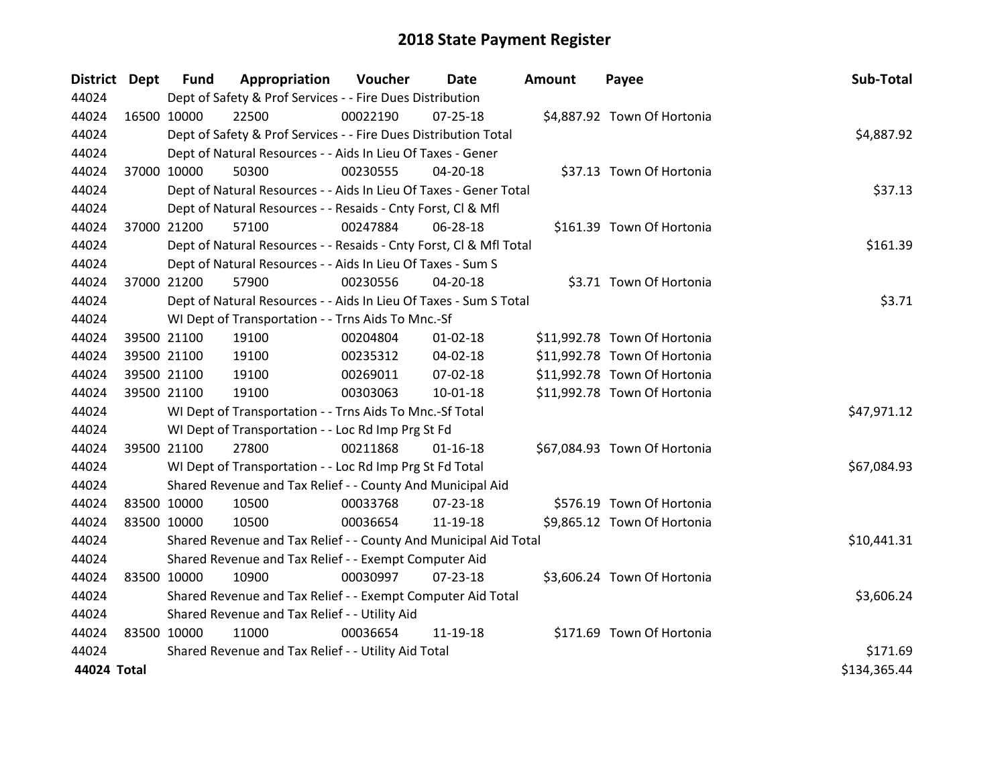| <b>District Dept</b> |             | <b>Fund</b>                                   | Appropriation                                                      | Voucher  | <b>Date</b>    | Amount | Payee                        | Sub-Total    |
|----------------------|-------------|-----------------------------------------------|--------------------------------------------------------------------|----------|----------------|--------|------------------------------|--------------|
| 44024                |             |                                               | Dept of Safety & Prof Services - - Fire Dues Distribution          |          |                |        |                              |              |
| 44024                |             | 16500 10000                                   | 22500                                                              | 00022190 | $07 - 25 - 18$ |        | \$4,887.92 Town Of Hortonia  |              |
| 44024                |             |                                               | Dept of Safety & Prof Services - - Fire Dues Distribution Total    |          |                |        |                              | \$4,887.92   |
| 44024                |             |                                               | Dept of Natural Resources - - Aids In Lieu Of Taxes - Gener        |          |                |        |                              |              |
| 44024                |             | 37000 10000                                   | 50300                                                              | 00230555 | $04 - 20 - 18$ |        | \$37.13 Town Of Hortonia     |              |
| 44024                |             |                                               | Dept of Natural Resources - - Aids In Lieu Of Taxes - Gener Total  |          |                |        |                              | \$37.13      |
| 44024                |             |                                               | Dept of Natural Resources - - Resaids - Cnty Forst, CI & Mfl       |          |                |        |                              |              |
| 44024                |             | 37000 21200                                   | 57100                                                              | 00247884 | 06-28-18       |        | \$161.39 Town Of Hortonia    |              |
| 44024                |             |                                               | Dept of Natural Resources - - Resaids - Cnty Forst, Cl & Mfl Total |          |                |        |                              | \$161.39     |
| 44024                |             |                                               | Dept of Natural Resources - - Aids In Lieu Of Taxes - Sum S        |          |                |        |                              |              |
| 44024                |             | 37000 21200                                   | 57900                                                              | 00230556 | 04-20-18       |        | \$3.71 Town Of Hortonia      |              |
| 44024                |             |                                               | Dept of Natural Resources - - Aids In Lieu Of Taxes - Sum S Total  |          |                |        |                              | \$3.71       |
| 44024                |             |                                               | WI Dept of Transportation - - Trns Aids To Mnc.-Sf                 |          |                |        |                              |              |
| 44024                |             | 39500 21100                                   | 19100                                                              | 00204804 | $01 - 02 - 18$ |        | \$11,992.78 Town Of Hortonia |              |
| 44024                |             | 39500 21100                                   | 19100                                                              | 00235312 | 04-02-18       |        | \$11,992.78 Town Of Hortonia |              |
| 44024                |             | 39500 21100                                   | 19100                                                              | 00269011 | 07-02-18       |        | \$11,992.78 Town Of Hortonia |              |
| 44024                |             | 39500 21100                                   | 19100                                                              | 00303063 | 10-01-18       |        | \$11,992.78 Town Of Hortonia |              |
| 44024                |             |                                               | WI Dept of Transportation - - Trns Aids To Mnc.-Sf Total           |          |                |        |                              | \$47,971.12  |
| 44024                |             |                                               | WI Dept of Transportation - - Loc Rd Imp Prg St Fd                 |          |                |        |                              |              |
| 44024                |             | 39500 21100                                   | 27800                                                              | 00211868 | $01 - 16 - 18$ |        | \$67,084.93 Town Of Hortonia |              |
| 44024                |             |                                               | WI Dept of Transportation - - Loc Rd Imp Prg St Fd Total           |          |                |        |                              | \$67,084.93  |
| 44024                |             |                                               | Shared Revenue and Tax Relief - - County And Municipal Aid         |          |                |        |                              |              |
| 44024                | 83500 10000 |                                               | 10500                                                              | 00033768 | $07 - 23 - 18$ |        | \$576.19 Town Of Hortonia    |              |
| 44024                | 83500 10000 |                                               | 10500                                                              | 00036654 | 11-19-18       |        | \$9,865.12 Town Of Hortonia  |              |
| 44024                |             |                                               | Shared Revenue and Tax Relief - - County And Municipal Aid Total   |          |                |        |                              | \$10,441.31  |
| 44024                |             |                                               | Shared Revenue and Tax Relief - - Exempt Computer Aid              |          |                |        |                              |              |
| 44024                | 83500 10000 |                                               | 10900                                                              | 00030997 | $07 - 23 - 18$ |        | \$3,606.24 Town Of Hortonia  |              |
| 44024                |             |                                               | Shared Revenue and Tax Relief - - Exempt Computer Aid Total        |          |                |        |                              | \$3,606.24   |
| 44024                |             | Shared Revenue and Tax Relief - - Utility Aid |                                                                    |          |                |        |                              |              |
| 44024                | 83500 10000 |                                               | 11000                                                              | 00036654 | 11-19-18       |        | \$171.69 Town Of Hortonia    |              |
| 44024                |             |                                               | Shared Revenue and Tax Relief - - Utility Aid Total                |          |                |        |                              | \$171.69     |
| 44024 Total          |             |                                               |                                                                    |          |                |        |                              | \$134,365.44 |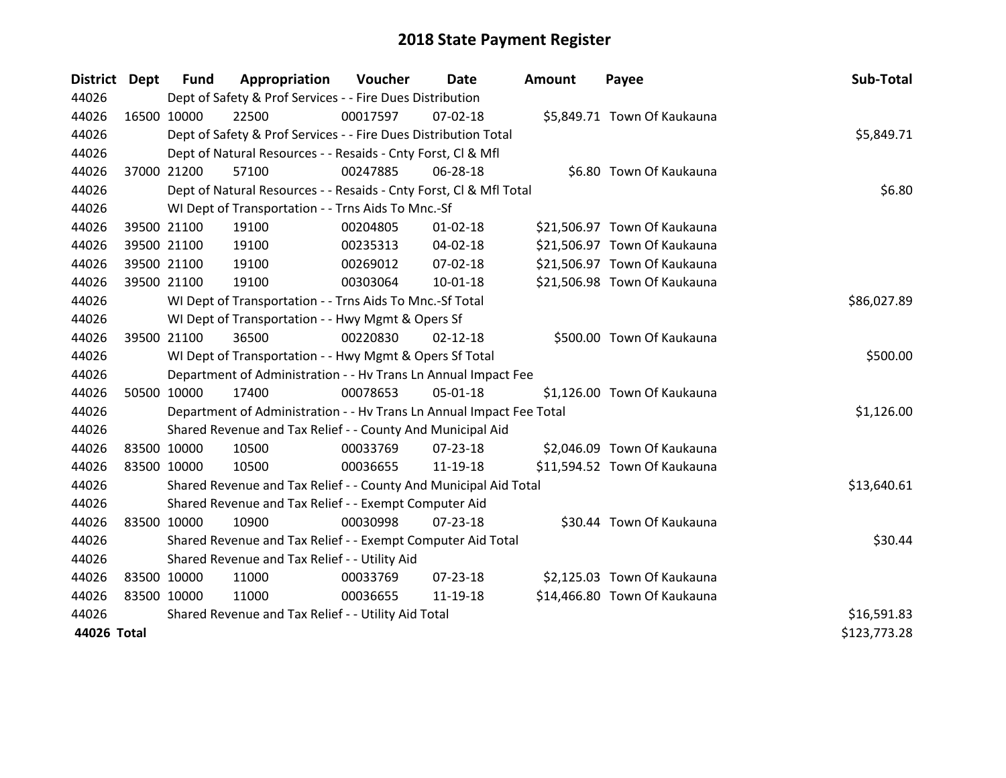| District Dept |             | <b>Fund</b> | Appropriation                                                        | Voucher  | Date           | <b>Amount</b> | Payee                        | Sub-Total    |
|---------------|-------------|-------------|----------------------------------------------------------------------|----------|----------------|---------------|------------------------------|--------------|
| 44026         |             |             | Dept of Safety & Prof Services - - Fire Dues Distribution            |          |                |               |                              |              |
| 44026         | 16500 10000 |             | 22500                                                                | 00017597 | $07 - 02 - 18$ |               | \$5,849.71 Town Of Kaukauna  |              |
| 44026         |             |             | Dept of Safety & Prof Services - - Fire Dues Distribution Total      |          |                |               |                              | \$5,849.71   |
| 44026         |             |             | Dept of Natural Resources - - Resaids - Cnty Forst, Cl & Mfl         |          |                |               |                              |              |
| 44026         |             | 37000 21200 | 57100                                                                | 00247885 | 06-28-18       |               | \$6.80 Town Of Kaukauna      |              |
| 44026         |             |             | Dept of Natural Resources - - Resaids - Cnty Forst, CI & Mfl Total   |          |                |               |                              | \$6.80       |
| 44026         |             |             | WI Dept of Transportation - - Trns Aids To Mnc.-Sf                   |          |                |               |                              |              |
| 44026         |             | 39500 21100 | 19100                                                                | 00204805 | $01 - 02 - 18$ |               | \$21,506.97 Town Of Kaukauna |              |
| 44026         |             | 39500 21100 | 19100                                                                | 00235313 | 04-02-18       |               | \$21,506.97 Town Of Kaukauna |              |
| 44026         |             | 39500 21100 | 19100                                                                | 00269012 | 07-02-18       |               | \$21,506.97 Town Of Kaukauna |              |
| 44026         |             | 39500 21100 | 19100                                                                | 00303064 | $10-01-18$     |               | \$21,506.98 Town Of Kaukauna |              |
| 44026         |             |             | WI Dept of Transportation - - Trns Aids To Mnc.-Sf Total             |          |                |               |                              | \$86,027.89  |
| 44026         |             |             | WI Dept of Transportation - - Hwy Mgmt & Opers Sf                    |          |                |               |                              |              |
| 44026         | 39500 21100 |             | 36500                                                                | 00220830 | $02 - 12 - 18$ |               | \$500.00 Town Of Kaukauna    |              |
| 44026         |             |             | WI Dept of Transportation - - Hwy Mgmt & Opers Sf Total              |          |                |               |                              | \$500.00     |
| 44026         |             |             | Department of Administration - - Hv Trans Ln Annual Impact Fee       |          |                |               |                              |              |
| 44026         |             | 50500 10000 | 17400                                                                | 00078653 | 05-01-18       |               | \$1,126.00 Town Of Kaukauna  |              |
| 44026         |             |             | Department of Administration - - Hv Trans Ln Annual Impact Fee Total |          |                |               |                              | \$1,126.00   |
| 44026         |             |             | Shared Revenue and Tax Relief - - County And Municipal Aid           |          |                |               |                              |              |
| 44026         | 83500 10000 |             | 10500                                                                | 00033769 | $07 - 23 - 18$ |               | \$2,046.09 Town Of Kaukauna  |              |
| 44026         | 83500 10000 |             | 10500                                                                | 00036655 | 11-19-18       |               | \$11,594.52 Town Of Kaukauna |              |
| 44026         |             |             | Shared Revenue and Tax Relief - - County And Municipal Aid Total     |          |                |               |                              | \$13,640.61  |
| 44026         |             |             | Shared Revenue and Tax Relief - - Exempt Computer Aid                |          |                |               |                              |              |
| 44026         | 83500 10000 |             | 10900                                                                | 00030998 | $07 - 23 - 18$ |               | \$30.44 Town Of Kaukauna     |              |
| 44026         |             |             | Shared Revenue and Tax Relief - - Exempt Computer Aid Total          |          |                |               |                              | \$30.44      |
| 44026         |             |             | Shared Revenue and Tax Relief - - Utility Aid                        |          |                |               |                              |              |
| 44026         | 83500 10000 |             | 11000                                                                | 00033769 | 07-23-18       |               | \$2,125.03 Town Of Kaukauna  |              |
| 44026         | 83500 10000 |             | 11000                                                                | 00036655 | 11-19-18       |               | \$14,466.80 Town Of Kaukauna |              |
| 44026         |             |             | Shared Revenue and Tax Relief - - Utility Aid Total                  |          |                |               |                              | \$16,591.83  |
| 44026 Total   |             |             |                                                                      |          |                |               |                              | \$123,773.28 |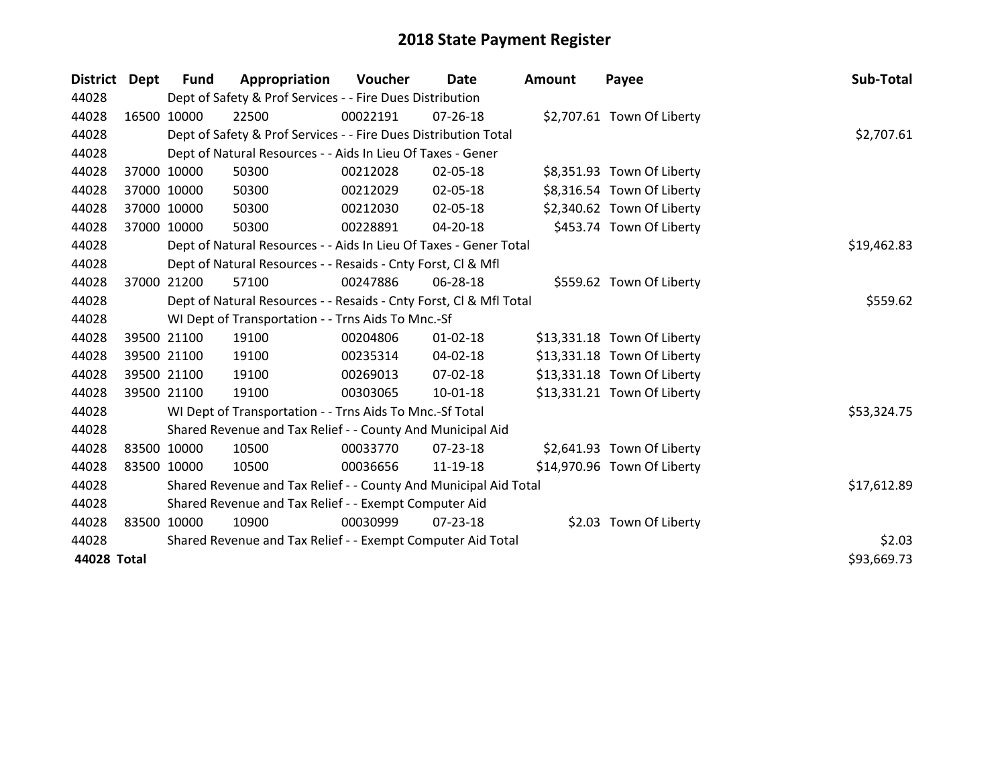| <b>District</b> | Dept | Fund        | Appropriation                                                      | Voucher  | Date           | Amount | Payee                       | Sub-Total   |
|-----------------|------|-------------|--------------------------------------------------------------------|----------|----------------|--------|-----------------------------|-------------|
| 44028           |      |             | Dept of Safety & Prof Services - - Fire Dues Distribution          |          |                |        |                             |             |
| 44028           |      | 16500 10000 | 22500                                                              | 00022191 | 07-26-18       |        | \$2,707.61 Town Of Liberty  |             |
| 44028           |      |             | Dept of Safety & Prof Services - - Fire Dues Distribution Total    |          |                |        |                             | \$2,707.61  |
| 44028           |      |             | Dept of Natural Resources - - Aids In Lieu Of Taxes - Gener        |          |                |        |                             |             |
| 44028           |      | 37000 10000 | 50300                                                              | 00212028 | 02-05-18       |        | \$8,351.93 Town Of Liberty  |             |
| 44028           |      | 37000 10000 | 50300                                                              | 00212029 | 02-05-18       |        | \$8,316.54 Town Of Liberty  |             |
| 44028           |      | 37000 10000 | 50300                                                              | 00212030 | 02-05-18       |        | \$2,340.62 Town Of Liberty  |             |
| 44028           |      | 37000 10000 | 50300                                                              | 00228891 | $04 - 20 - 18$ |        | \$453.74 Town Of Liberty    |             |
| 44028           |      |             | Dept of Natural Resources - - Aids In Lieu Of Taxes - Gener Total  |          |                |        |                             | \$19,462.83 |
| 44028           |      |             | Dept of Natural Resources - - Resaids - Cnty Forst, CI & Mfl       |          |                |        |                             |             |
| 44028           |      | 37000 21200 | 57100                                                              | 00247886 | 06-28-18       |        | \$559.62 Town Of Liberty    |             |
| 44028           |      |             | Dept of Natural Resources - - Resaids - Cnty Forst, CI & Mfl Total |          |                |        |                             | \$559.62    |
| 44028           |      |             | WI Dept of Transportation - - Trns Aids To Mnc.-Sf                 |          |                |        |                             |             |
| 44028           |      | 39500 21100 | 19100                                                              | 00204806 | $01 - 02 - 18$ |        | \$13,331.18 Town Of Liberty |             |
| 44028           |      | 39500 21100 | 19100                                                              | 00235314 | 04-02-18       |        | \$13,331.18 Town Of Liberty |             |
| 44028           |      | 39500 21100 | 19100                                                              | 00269013 | 07-02-18       |        | \$13,331.18 Town Of Liberty |             |
| 44028           |      | 39500 21100 | 19100                                                              | 00303065 | 10-01-18       |        | \$13,331.21 Town Of Liberty |             |
| 44028           |      |             | WI Dept of Transportation - - Trns Aids To Mnc.-Sf Total           |          |                |        |                             | \$53,324.75 |
| 44028           |      |             | Shared Revenue and Tax Relief - - County And Municipal Aid         |          |                |        |                             |             |
| 44028           |      | 83500 10000 | 10500                                                              | 00033770 | 07-23-18       |        | \$2,641.93 Town Of Liberty  |             |
| 44028           |      | 83500 10000 | 10500                                                              | 00036656 | 11-19-18       |        | \$14,970.96 Town Of Liberty |             |
| 44028           |      |             | Shared Revenue and Tax Relief - - County And Municipal Aid Total   |          |                |        |                             | \$17,612.89 |
| 44028           |      |             | Shared Revenue and Tax Relief - - Exempt Computer Aid              |          |                |        |                             |             |
| 44028           |      | 83500 10000 | 10900                                                              | 00030999 | 07-23-18       |        | \$2.03 Town Of Liberty      |             |
| 44028           |      |             | Shared Revenue and Tax Relief - - Exempt Computer Aid Total        |          |                |        |                             | \$2.03      |
| 44028 Total     |      |             |                                                                    |          |                |        |                             | \$93,669.73 |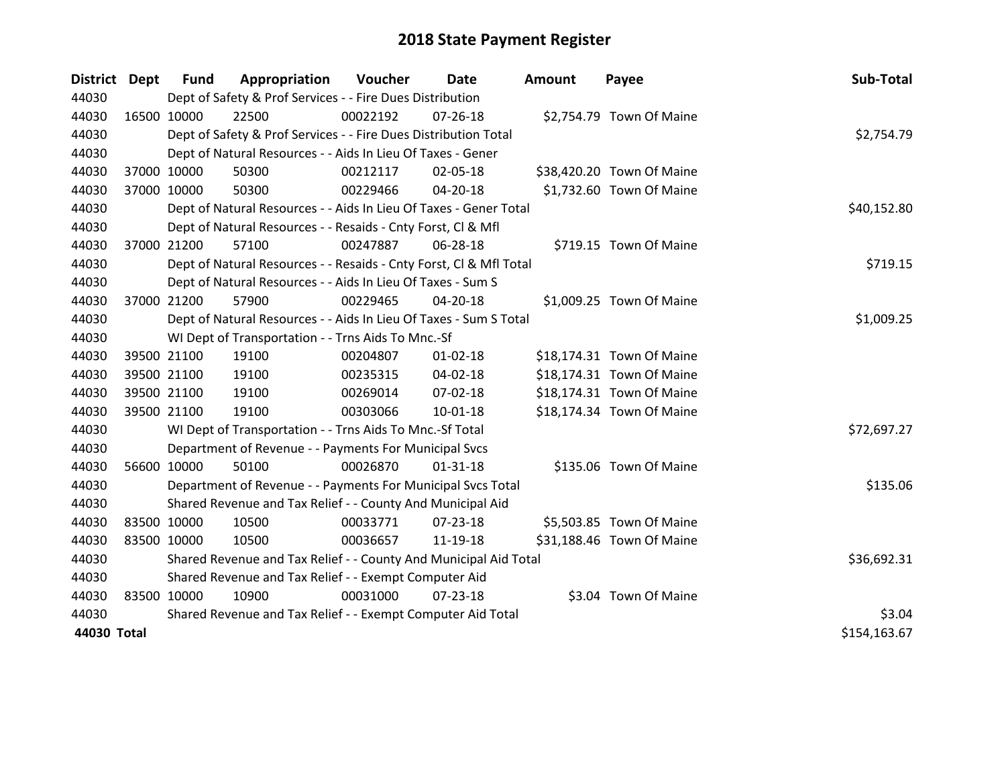| <b>District</b> | Dept        | <b>Fund</b> | Appropriation                                                      | Voucher  | Date           | <b>Amount</b> | Payee                     | Sub-Total    |
|-----------------|-------------|-------------|--------------------------------------------------------------------|----------|----------------|---------------|---------------------------|--------------|
| 44030           |             |             | Dept of Safety & Prof Services - - Fire Dues Distribution          |          |                |               |                           |              |
| 44030           | 16500 10000 |             | 22500                                                              | 00022192 | 07-26-18       |               | \$2,754.79 Town Of Maine  |              |
| 44030           |             |             | Dept of Safety & Prof Services - - Fire Dues Distribution Total    |          |                |               |                           | \$2,754.79   |
| 44030           |             |             | Dept of Natural Resources - - Aids In Lieu Of Taxes - Gener        |          |                |               |                           |              |
| 44030           | 37000 10000 |             | 50300                                                              | 00212117 | 02-05-18       |               | \$38,420.20 Town Of Maine |              |
| 44030           | 37000 10000 |             | 50300                                                              | 00229466 | $04 - 20 - 18$ |               | \$1,732.60 Town Of Maine  |              |
| 44030           |             |             | Dept of Natural Resources - - Aids In Lieu Of Taxes - Gener Total  |          |                |               |                           | \$40,152.80  |
| 44030           |             |             | Dept of Natural Resources - - Resaids - Cnty Forst, Cl & Mfl       |          |                |               |                           |              |
| 44030           | 37000 21200 |             | 57100                                                              | 00247887 | 06-28-18       |               | \$719.15 Town Of Maine    |              |
| 44030           |             |             | Dept of Natural Resources - - Resaids - Cnty Forst, Cl & Mfl Total |          |                |               |                           | \$719.15     |
| 44030           |             |             | Dept of Natural Resources - - Aids In Lieu Of Taxes - Sum S        |          |                |               |                           |              |
| 44030           |             | 37000 21200 | 57900                                                              | 00229465 | $04 - 20 - 18$ |               | \$1,009.25 Town Of Maine  |              |
| 44030           |             |             | Dept of Natural Resources - - Aids In Lieu Of Taxes - Sum S Total  |          |                |               |                           | \$1,009.25   |
| 44030           |             |             | WI Dept of Transportation - - Trns Aids To Mnc.-Sf                 |          |                |               |                           |              |
| 44030           |             | 39500 21100 | 19100                                                              | 00204807 | $01 - 02 - 18$ |               | \$18,174.31 Town Of Maine |              |
| 44030           |             | 39500 21100 | 19100                                                              | 00235315 | 04-02-18       |               | \$18,174.31 Town Of Maine |              |
| 44030           |             | 39500 21100 | 19100                                                              | 00269014 | 07-02-18       |               | \$18,174.31 Town Of Maine |              |
| 44030           |             | 39500 21100 | 19100                                                              | 00303066 | $10 - 01 - 18$ |               | \$18,174.34 Town Of Maine |              |
| 44030           |             |             | WI Dept of Transportation - - Trns Aids To Mnc.-Sf Total           |          |                |               |                           | \$72,697.27  |
| 44030           |             |             | Department of Revenue - - Payments For Municipal Svcs              |          |                |               |                           |              |
| 44030           |             | 56600 10000 | 50100                                                              | 00026870 | $01 - 31 - 18$ |               | \$135.06 Town Of Maine    |              |
| 44030           |             |             | Department of Revenue - - Payments For Municipal Svcs Total        |          |                |               |                           | \$135.06     |
| 44030           |             |             | Shared Revenue and Tax Relief - - County And Municipal Aid         |          |                |               |                           |              |
| 44030           | 83500 10000 |             | 10500                                                              | 00033771 | $07 - 23 - 18$ |               | \$5,503.85 Town Of Maine  |              |
| 44030           |             | 83500 10000 | 10500                                                              | 00036657 | 11-19-18       |               | \$31,188.46 Town Of Maine |              |
| 44030           |             |             | Shared Revenue and Tax Relief - - County And Municipal Aid Total   |          |                |               |                           | \$36,692.31  |
| 44030           |             |             | Shared Revenue and Tax Relief - - Exempt Computer Aid              |          |                |               |                           |              |
| 44030           | 83500 10000 |             | 10900                                                              | 00031000 | $07 - 23 - 18$ |               | \$3.04 Town Of Maine      |              |
| 44030           |             |             | Shared Revenue and Tax Relief - - Exempt Computer Aid Total        |          |                |               |                           | \$3.04       |
| 44030 Total     |             |             |                                                                    |          |                |               |                           | \$154,163.67 |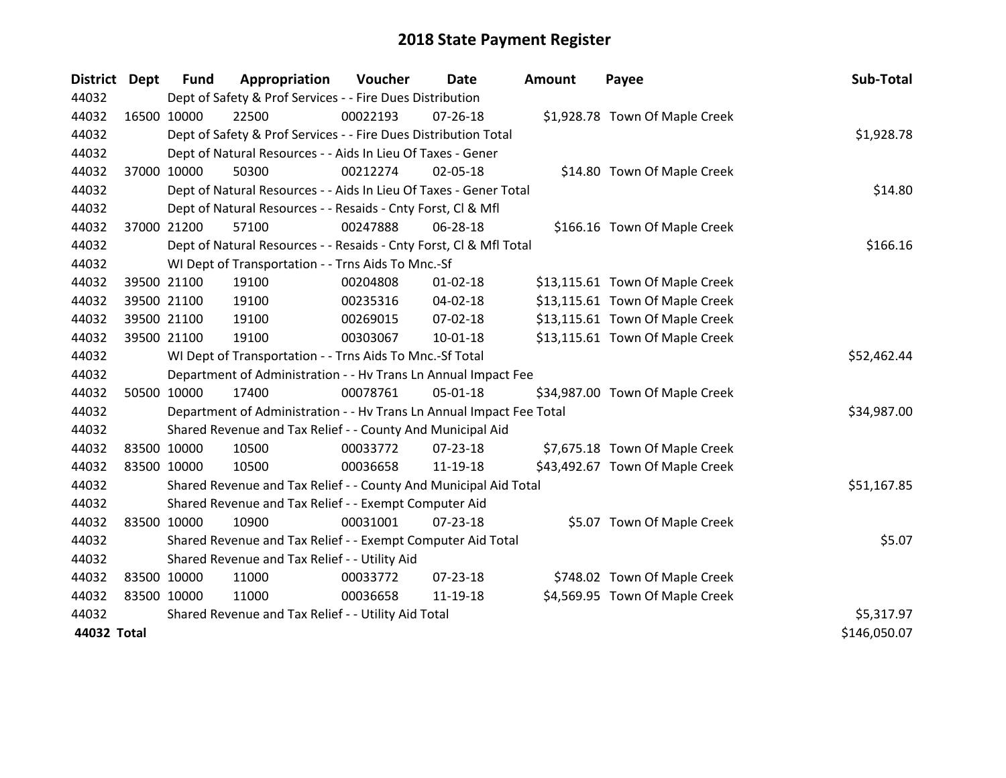| <b>District Dept</b> |             | <b>Fund</b> | Appropriation                                                        | Voucher  | Date           | Amount | Payee                           | Sub-Total    |
|----------------------|-------------|-------------|----------------------------------------------------------------------|----------|----------------|--------|---------------------------------|--------------|
| 44032                |             |             | Dept of Safety & Prof Services - - Fire Dues Distribution            |          |                |        |                                 |              |
| 44032                |             | 16500 10000 | 22500                                                                | 00022193 | $07 - 26 - 18$ |        | \$1,928.78 Town Of Maple Creek  |              |
| 44032                |             |             | Dept of Safety & Prof Services - - Fire Dues Distribution Total      |          |                |        |                                 | \$1,928.78   |
| 44032                |             |             | Dept of Natural Resources - - Aids In Lieu Of Taxes - Gener          |          |                |        |                                 |              |
| 44032                |             | 37000 10000 | 50300                                                                | 00212274 | 02-05-18       |        | \$14.80 Town Of Maple Creek     |              |
| 44032                |             |             | Dept of Natural Resources - - Aids In Lieu Of Taxes - Gener Total    |          | \$14.80        |        |                                 |              |
| 44032                |             |             | Dept of Natural Resources - - Resaids - Cnty Forst, Cl & Mfl         |          |                |        |                                 |              |
| 44032                |             | 37000 21200 | 57100                                                                | 00247888 | 06-28-18       |        | \$166.16 Town Of Maple Creek    |              |
| 44032                |             |             | Dept of Natural Resources - - Resaids - Cnty Forst, Cl & Mfl Total   |          |                |        |                                 | \$166.16     |
| 44032                |             |             | WI Dept of Transportation - - Trns Aids To Mnc.-Sf                   |          |                |        |                                 |              |
| 44032                |             | 39500 21100 | 19100                                                                | 00204808 | $01 - 02 - 18$ |        | \$13,115.61 Town Of Maple Creek |              |
| 44032                |             | 39500 21100 | 19100                                                                | 00235316 | 04-02-18       |        | \$13,115.61 Town Of Maple Creek |              |
| 44032                |             | 39500 21100 | 19100                                                                | 00269015 | 07-02-18       |        | \$13,115.61 Town Of Maple Creek |              |
| 44032                |             | 39500 21100 | 19100                                                                | 00303067 | $10-01-18$     |        | \$13,115.61 Town Of Maple Creek |              |
| 44032                |             |             | WI Dept of Transportation - - Trns Aids To Mnc.-Sf Total             |          |                |        |                                 | \$52,462.44  |
| 44032                |             |             | Department of Administration - - Hv Trans Ln Annual Impact Fee       |          |                |        |                                 |              |
| 44032                |             | 50500 10000 | 17400                                                                | 00078761 | 05-01-18       |        | \$34,987.00 Town Of Maple Creek |              |
| 44032                |             |             | Department of Administration - - Hv Trans Ln Annual Impact Fee Total |          |                |        |                                 | \$34,987.00  |
| 44032                |             |             | Shared Revenue and Tax Relief - - County And Municipal Aid           |          |                |        |                                 |              |
| 44032                |             | 83500 10000 | 10500                                                                | 00033772 | 07-23-18       |        | \$7,675.18 Town Of Maple Creek  |              |
| 44032                |             | 83500 10000 | 10500                                                                | 00036658 | 11-19-18       |        | \$43,492.67 Town Of Maple Creek |              |
| 44032                |             |             | Shared Revenue and Tax Relief - - County And Municipal Aid Total     |          |                |        |                                 | \$51,167.85  |
| 44032                |             |             | Shared Revenue and Tax Relief - - Exempt Computer Aid                |          |                |        |                                 |              |
| 44032                |             | 83500 10000 | 10900                                                                | 00031001 | 07-23-18       |        | \$5.07 Town Of Maple Creek      |              |
| 44032                |             |             | Shared Revenue and Tax Relief - - Exempt Computer Aid Total          |          |                |        |                                 | \$5.07       |
| 44032                |             |             | Shared Revenue and Tax Relief - - Utility Aid                        |          |                |        |                                 |              |
| 44032                |             | 83500 10000 | 11000                                                                | 00033772 | 07-23-18       |        | \$748.02 Town Of Maple Creek    |              |
| 44032                | 83500 10000 |             | 11000                                                                | 00036658 | 11-19-18       |        | \$4,569.95 Town Of Maple Creek  |              |
| 44032                |             |             | Shared Revenue and Tax Relief - - Utility Aid Total                  |          |                |        |                                 | \$5,317.97   |
| 44032 Total          |             |             |                                                                      |          |                |        |                                 | \$146,050.07 |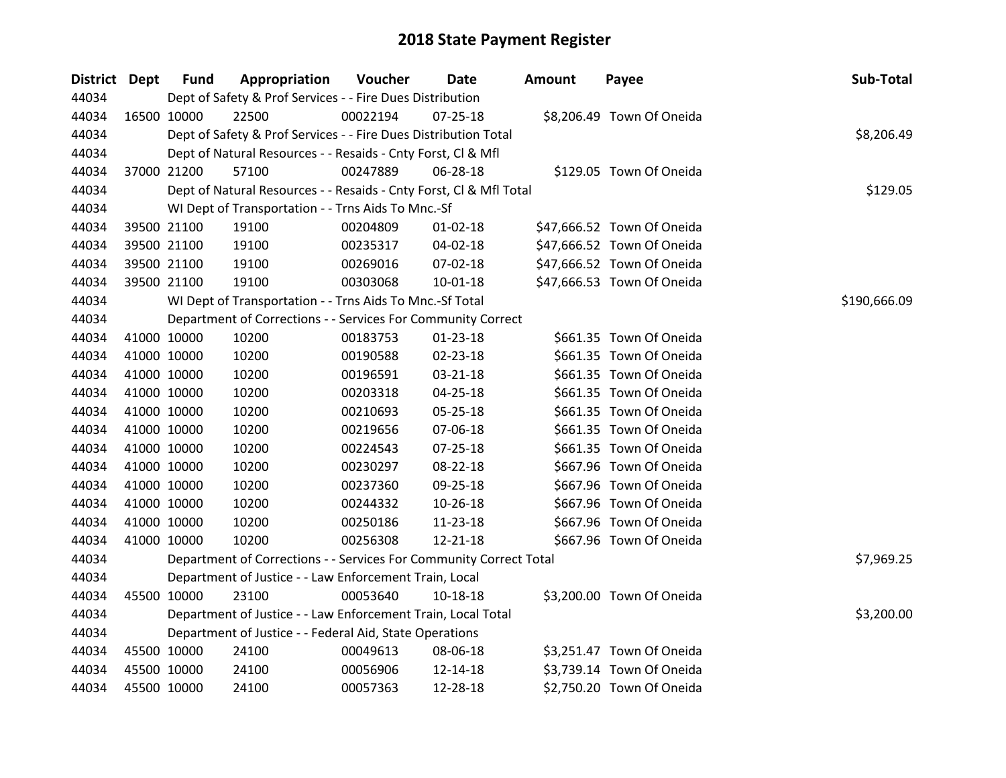| District Dept |             | <b>Fund</b> | Appropriation                                                      | Voucher  | Date           | Amount | Payee                      | Sub-Total    |
|---------------|-------------|-------------|--------------------------------------------------------------------|----------|----------------|--------|----------------------------|--------------|
| 44034         |             |             | Dept of Safety & Prof Services - - Fire Dues Distribution          |          |                |        |                            |              |
| 44034         |             | 16500 10000 | 22500                                                              | 00022194 | $07 - 25 - 18$ |        | \$8,206.49 Town Of Oneida  |              |
| 44034         |             |             | Dept of Safety & Prof Services - - Fire Dues Distribution Total    |          |                |        |                            | \$8,206.49   |
| 44034         |             |             | Dept of Natural Resources - - Resaids - Cnty Forst, Cl & Mfl       |          |                |        |                            |              |
| 44034         |             | 37000 21200 | 57100                                                              | 00247889 | 06-28-18       |        | \$129.05 Town Of Oneida    |              |
| 44034         |             |             | Dept of Natural Resources - - Resaids - Cnty Forst, Cl & Mfl Total |          | \$129.05       |        |                            |              |
| 44034         |             |             | WI Dept of Transportation - - Trns Aids To Mnc.-Sf                 |          |                |        |                            |              |
| 44034         |             | 39500 21100 | 19100                                                              | 00204809 | 01-02-18       |        | \$47,666.52 Town Of Oneida |              |
| 44034         |             | 39500 21100 | 19100                                                              | 00235317 | 04-02-18       |        | \$47,666.52 Town Of Oneida |              |
| 44034         |             | 39500 21100 | 19100                                                              | 00269016 | 07-02-18       |        | \$47,666.52 Town Of Oneida |              |
| 44034         |             | 39500 21100 | 19100                                                              | 00303068 | 10-01-18       |        | \$47,666.53 Town Of Oneida |              |
| 44034         |             |             | WI Dept of Transportation - - Trns Aids To Mnc.-Sf Total           |          |                |        |                            | \$190,666.09 |
| 44034         |             |             | Department of Corrections - - Services For Community Correct       |          |                |        |                            |              |
| 44034         |             | 41000 10000 | 10200                                                              | 00183753 | $01 - 23 - 18$ |        | \$661.35 Town Of Oneida    |              |
| 44034         |             | 41000 10000 | 10200                                                              | 00190588 | $02 - 23 - 18$ |        | \$661.35 Town Of Oneida    |              |
| 44034         |             | 41000 10000 | 10200                                                              | 00196591 | 03-21-18       |        | \$661.35 Town Of Oneida    |              |
| 44034         |             | 41000 10000 | 10200                                                              | 00203318 | 04-25-18       |        | \$661.35 Town Of Oneida    |              |
| 44034         |             | 41000 10000 | 10200                                                              | 00210693 | 05-25-18       |        | \$661.35 Town Of Oneida    |              |
| 44034         |             | 41000 10000 | 10200                                                              | 00219656 | 07-06-18       |        | \$661.35 Town Of Oneida    |              |
| 44034         |             | 41000 10000 | 10200                                                              | 00224543 | 07-25-18       |        | \$661.35 Town Of Oneida    |              |
| 44034         |             | 41000 10000 | 10200                                                              | 00230297 | 08-22-18       |        | \$667.96 Town Of Oneida    |              |
| 44034         |             | 41000 10000 | 10200                                                              | 00237360 | 09-25-18       |        | \$667.96 Town Of Oneida    |              |
| 44034         |             | 41000 10000 | 10200                                                              | 00244332 | 10-26-18       |        | \$667.96 Town Of Oneida    |              |
| 44034         | 41000 10000 |             | 10200                                                              | 00250186 | 11-23-18       |        | \$667.96 Town Of Oneida    |              |
| 44034         |             | 41000 10000 | 10200                                                              | 00256308 | 12-21-18       |        | \$667.96 Town Of Oneida    |              |
| 44034         |             |             | Department of Corrections - - Services For Community Correct Total |          |                |        |                            | \$7,969.25   |
| 44034         |             |             | Department of Justice - - Law Enforcement Train, Local             |          |                |        |                            |              |
| 44034         |             | 45500 10000 | 23100                                                              | 00053640 | 10-18-18       |        | \$3,200.00 Town Of Oneida  |              |
| 44034         |             |             | Department of Justice - - Law Enforcement Train, Local Total       |          |                |        |                            | \$3,200.00   |
| 44034         |             |             | Department of Justice - - Federal Aid, State Operations            |          |                |        |                            |              |
| 44034         |             | 45500 10000 | 24100                                                              | 00049613 | 08-06-18       |        | \$3,251.47 Town Of Oneida  |              |
| 44034         |             | 45500 10000 | 24100                                                              | 00056906 | 12-14-18       |        | \$3,739.14 Town Of Oneida  |              |
| 44034         | 45500 10000 |             | 24100                                                              | 00057363 | 12-28-18       |        | \$2,750.20 Town Of Oneida  |              |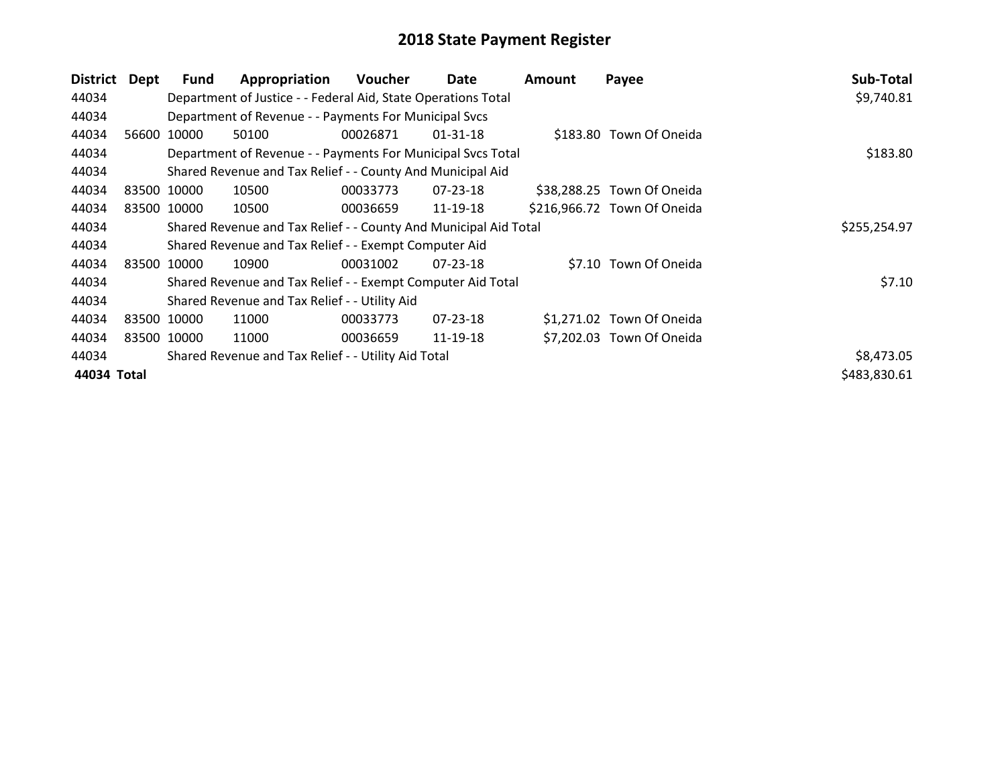| <b>District</b> | Dept                                                | <b>Fund</b> | Appropriation                                                    | Voucher  | Date           | <b>Amount</b> | Payee                       | Sub-Total    |
|-----------------|-----------------------------------------------------|-------------|------------------------------------------------------------------|----------|----------------|---------------|-----------------------------|--------------|
| 44034           |                                                     |             | Department of Justice - - Federal Aid, State Operations Total    |          |                |               |                             | \$9,740.81   |
| 44034           |                                                     |             | Department of Revenue - - Payments For Municipal Svcs            |          |                |               |                             |              |
| 44034           |                                                     | 56600 10000 | 50100                                                            | 00026871 | $01 - 31 - 18$ |               | \$183.80 Town Of Oneida     |              |
| 44034           |                                                     |             | Department of Revenue - - Payments For Municipal Svcs Total      | \$183.80 |                |               |                             |              |
| 44034           |                                                     |             | Shared Revenue and Tax Relief - - County And Municipal Aid       |          |                |               |                             |              |
| 44034           |                                                     | 83500 10000 | 10500                                                            | 00033773 | 07-23-18       |               | \$38,288.25 Town Of Oneida  |              |
| 44034           |                                                     | 83500 10000 | 10500                                                            | 00036659 | 11-19-18       |               | \$216,966.72 Town Of Oneida |              |
| 44034           |                                                     |             | Shared Revenue and Tax Relief - - County And Municipal Aid Total |          |                |               |                             | \$255,254.97 |
| 44034           |                                                     |             | Shared Revenue and Tax Relief - - Exempt Computer Aid            |          |                |               |                             |              |
| 44034           | 83500                                               | 10000       | 10900                                                            | 00031002 | $07 - 23 - 18$ |               | \$7.10 Town Of Oneida       |              |
| 44034           |                                                     |             | Shared Revenue and Tax Relief - - Exempt Computer Aid Total      |          |                |               |                             | \$7.10       |
| 44034           |                                                     |             | Shared Revenue and Tax Relief - - Utility Aid                    |          |                |               |                             |              |
| 44034           |                                                     | 83500 10000 | 11000                                                            | 00033773 | 07-23-18       |               | \$1,271.02 Town Of Oneida   |              |
| 44034           |                                                     | 83500 10000 | 11000                                                            | 00036659 | 11-19-18       |               | \$7,202.03 Town Of Oneida   |              |
| 44034           | Shared Revenue and Tax Relief - - Utility Aid Total |             |                                                                  |          |                |               |                             |              |
| 44034 Total     |                                                     |             |                                                                  |          |                |               |                             | \$483,830.61 |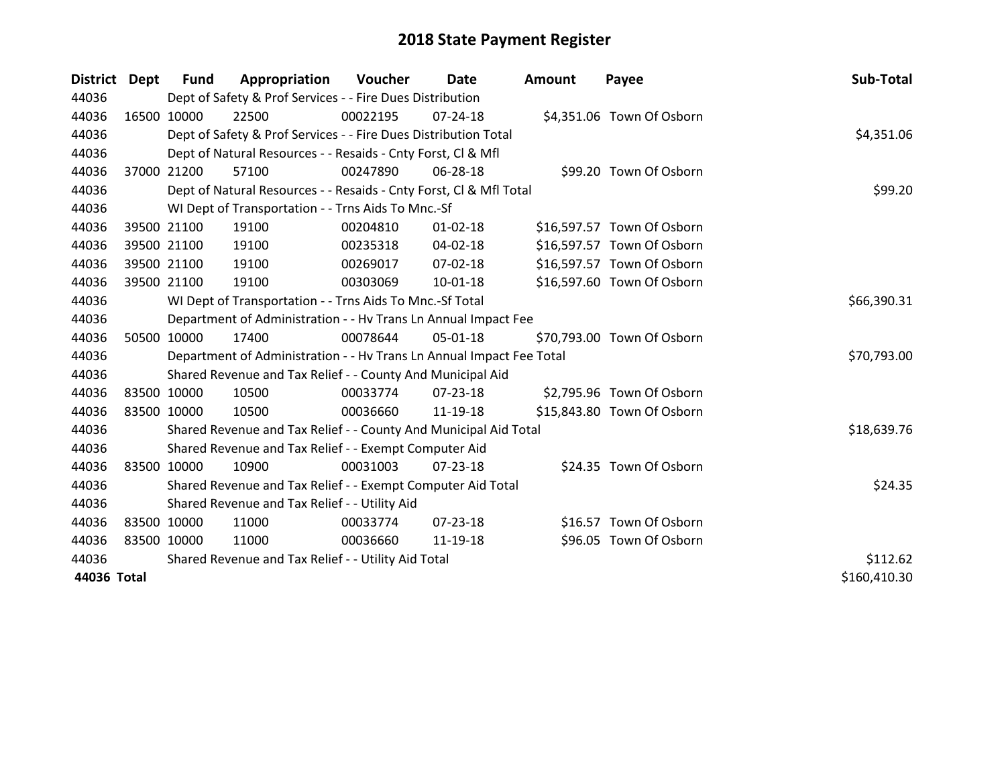| District Dept | Fund        | Appropriation                                                        | Voucher  | Date           | Amount | Payee                      | Sub-Total    |
|---------------|-------------|----------------------------------------------------------------------|----------|----------------|--------|----------------------------|--------------|
| 44036         |             | Dept of Safety & Prof Services - - Fire Dues Distribution            |          |                |        |                            |              |
| 44036         | 16500 10000 | 22500                                                                | 00022195 | $07 - 24 - 18$ |        | \$4,351.06 Town Of Osborn  |              |
| 44036         |             | Dept of Safety & Prof Services - - Fire Dues Distribution Total      |          |                |        |                            | \$4,351.06   |
| 44036         |             | Dept of Natural Resources - - Resaids - Cnty Forst, CI & Mfl         |          |                |        |                            |              |
| 44036         | 37000 21200 | 57100                                                                | 00247890 | 06-28-18       |        | \$99.20 Town Of Osborn     |              |
| 44036         |             | Dept of Natural Resources - - Resaids - Cnty Forst, Cl & Mfl Total   |          |                |        |                            | \$99.20      |
| 44036         |             | WI Dept of Transportation - - Trns Aids To Mnc.-Sf                   |          |                |        |                            |              |
| 44036         | 39500 21100 | 19100                                                                | 00204810 | $01 - 02 - 18$ |        | \$16,597.57 Town Of Osborn |              |
| 44036         | 39500 21100 | 19100                                                                | 00235318 | $04 - 02 - 18$ |        | \$16,597.57 Town Of Osborn |              |
| 44036         | 39500 21100 | 19100                                                                | 00269017 | $07 - 02 - 18$ |        | \$16,597.57 Town Of Osborn |              |
| 44036         | 39500 21100 | 19100                                                                | 00303069 | $10-01-18$     |        | \$16,597.60 Town Of Osborn |              |
| 44036         |             | WI Dept of Transportation - - Trns Aids To Mnc.-Sf Total             |          |                |        |                            | \$66,390.31  |
| 44036         |             | Department of Administration - - Hv Trans Ln Annual Impact Fee       |          |                |        |                            |              |
| 44036         | 50500 10000 | 17400                                                                | 00078644 | 05-01-18       |        | \$70,793.00 Town Of Osborn |              |
| 44036         |             | Department of Administration - - Hv Trans Ln Annual Impact Fee Total |          |                |        |                            | \$70,793.00  |
| 44036         |             | Shared Revenue and Tax Relief - - County And Municipal Aid           |          |                |        |                            |              |
| 44036         | 83500 10000 | 10500                                                                | 00033774 | $07 - 23 - 18$ |        | \$2,795.96 Town Of Osborn  |              |
| 44036         | 83500 10000 | 10500                                                                | 00036660 | 11-19-18       |        | \$15,843.80 Town Of Osborn |              |
| 44036         |             | Shared Revenue and Tax Relief - - County And Municipal Aid Total     |          |                |        |                            | \$18,639.76  |
| 44036         |             | Shared Revenue and Tax Relief - - Exempt Computer Aid                |          |                |        |                            |              |
| 44036         | 83500 10000 | 10900                                                                | 00031003 | $07 - 23 - 18$ |        | \$24.35 Town Of Osborn     |              |
| 44036         |             | Shared Revenue and Tax Relief - - Exempt Computer Aid Total          |          |                |        |                            | \$24.35      |
| 44036         |             | Shared Revenue and Tax Relief - - Utility Aid                        |          |                |        |                            |              |
| 44036         | 83500 10000 | 11000                                                                | 00033774 | $07 - 23 - 18$ |        | \$16.57 Town Of Osborn     |              |
| 44036         | 83500 10000 | 11000                                                                | 00036660 | 11-19-18       |        | \$96.05 Town Of Osborn     |              |
| 44036         |             | Shared Revenue and Tax Relief - - Utility Aid Total                  |          |                |        |                            | \$112.62     |
| 44036 Total   |             |                                                                      |          |                |        |                            | \$160,410.30 |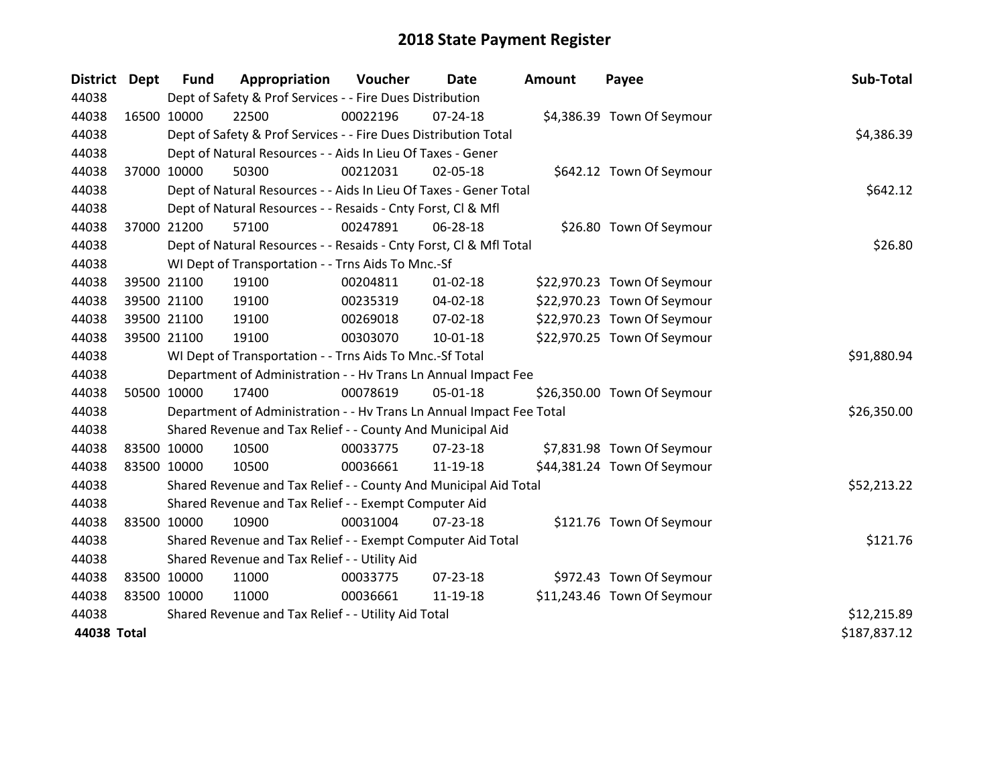| District Dept |             | <b>Fund</b>                                   | Appropriation                                                        | Voucher     | Date           | <b>Amount</b> | Payee                       | Sub-Total    |
|---------------|-------------|-----------------------------------------------|----------------------------------------------------------------------|-------------|----------------|---------------|-----------------------------|--------------|
| 44038         |             |                                               | Dept of Safety & Prof Services - - Fire Dues Distribution            |             |                |               |                             |              |
| 44038         |             | 16500 10000                                   | 22500                                                                | 00022196    | $07 - 24 - 18$ |               | \$4,386.39 Town Of Seymour  |              |
| 44038         |             |                                               | Dept of Safety & Prof Services - - Fire Dues Distribution Total      |             |                |               |                             | \$4,386.39   |
| 44038         |             |                                               | Dept of Natural Resources - - Aids In Lieu Of Taxes - Gener          |             |                |               |                             |              |
| 44038         |             | 37000 10000                                   | 50300                                                                | 00212031    | 02-05-18       |               | \$642.12 Town Of Seymour    |              |
| 44038         |             |                                               | Dept of Natural Resources - - Aids In Lieu Of Taxes - Gener Total    |             | \$642.12       |               |                             |              |
| 44038         |             |                                               | Dept of Natural Resources - - Resaids - Cnty Forst, CI & Mfl         |             |                |               |                             |              |
| 44038         |             | 37000 21200                                   | 57100                                                                | 00247891    | 06-28-18       |               | \$26.80 Town Of Seymour     |              |
| 44038         |             |                                               | Dept of Natural Resources - - Resaids - Cnty Forst, CI & Mfl Total   |             | \$26.80        |               |                             |              |
| 44038         |             |                                               | WI Dept of Transportation - - Trns Aids To Mnc.-Sf                   |             |                |               |                             |              |
| 44038         |             | 39500 21100                                   | 19100                                                                | 00204811    | $01 - 02 - 18$ |               | \$22,970.23 Town Of Seymour |              |
| 44038         |             | 39500 21100                                   | 19100                                                                | 00235319    | $04 - 02 - 18$ |               | \$22,970.23 Town Of Seymour |              |
| 44038         |             | 39500 21100                                   | 19100                                                                | 00269018    | 07-02-18       |               | \$22,970.23 Town Of Seymour |              |
| 44038         |             | 39500 21100                                   | 19100                                                                | 00303070    | $10 - 01 - 18$ |               | \$22,970.25 Town Of Seymour |              |
| 44038         |             |                                               | WI Dept of Transportation - - Trns Aids To Mnc.-Sf Total             | \$91,880.94 |                |               |                             |              |
| 44038         |             |                                               | Department of Administration - - Hv Trans Ln Annual Impact Fee       |             |                |               |                             |              |
| 44038         |             | 50500 10000                                   | 17400                                                                | 00078619    | 05-01-18       |               | \$26,350.00 Town Of Seymour |              |
| 44038         |             |                                               | Department of Administration - - Hv Trans Ln Annual Impact Fee Total |             |                |               |                             | \$26,350.00  |
| 44038         |             |                                               | Shared Revenue and Tax Relief - - County And Municipal Aid           |             |                |               |                             |              |
| 44038         | 83500 10000 |                                               | 10500                                                                | 00033775    | $07 - 23 - 18$ |               | \$7,831.98 Town Of Seymour  |              |
| 44038         | 83500 10000 |                                               | 10500                                                                | 00036661    | 11-19-18       |               | \$44,381.24 Town Of Seymour |              |
| 44038         |             |                                               | Shared Revenue and Tax Relief - - County And Municipal Aid Total     |             |                |               |                             | \$52,213.22  |
| 44038         |             |                                               | Shared Revenue and Tax Relief - - Exempt Computer Aid                |             |                |               |                             |              |
| 44038         | 83500 10000 |                                               | 10900                                                                | 00031004    | $07 - 23 - 18$ |               | \$121.76 Town Of Seymour    |              |
| 44038         |             |                                               | Shared Revenue and Tax Relief - - Exempt Computer Aid Total          |             |                |               |                             | \$121.76     |
| 44038         |             | Shared Revenue and Tax Relief - - Utility Aid |                                                                      |             |                |               |                             |              |
| 44038         | 83500 10000 |                                               | 11000                                                                | 00033775    | 07-23-18       |               | \$972.43 Town Of Seymour    |              |
| 44038         | 83500 10000 |                                               | 11000                                                                | 00036661    | 11-19-18       |               | \$11,243.46 Town Of Seymour |              |
| 44038         |             |                                               | Shared Revenue and Tax Relief - - Utility Aid Total                  |             |                |               |                             | \$12,215.89  |
| 44038 Total   |             |                                               |                                                                      |             |                |               |                             | \$187,837.12 |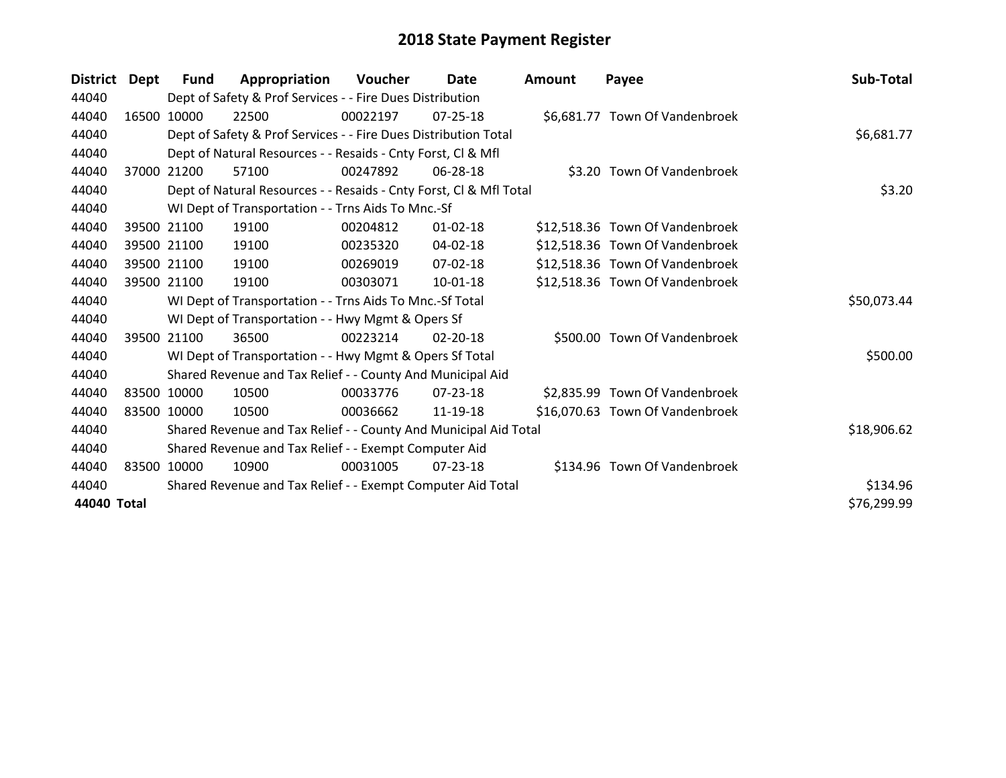| <b>District</b> | Dept  | <b>Fund</b> | Appropriation                                                      | <b>Voucher</b> | Date           | <b>Amount</b> | Payee                           | Sub-Total   |
|-----------------|-------|-------------|--------------------------------------------------------------------|----------------|----------------|---------------|---------------------------------|-------------|
| 44040           |       |             | Dept of Safety & Prof Services - - Fire Dues Distribution          |                |                |               |                                 |             |
| 44040           |       | 16500 10000 | 22500                                                              | 00022197       | $07 - 25 - 18$ |               | \$6,681.77 Town Of Vandenbroek  |             |
| 44040           |       |             | Dept of Safety & Prof Services - - Fire Dues Distribution Total    |                |                |               |                                 | \$6,681.77  |
| 44040           |       |             | Dept of Natural Resources - - Resaids - Cnty Forst, CI & Mfl       |                |                |               |                                 |             |
| 44040           |       | 37000 21200 | 57100                                                              | 00247892       | 06-28-18       |               | \$3.20 Town Of Vandenbroek      |             |
| 44040           |       |             | Dept of Natural Resources - - Resaids - Cnty Forst, Cl & Mfl Total |                |                |               |                                 | \$3.20      |
| 44040           |       |             | WI Dept of Transportation - - Trns Aids To Mnc.-Sf                 |                |                |               |                                 |             |
| 44040           |       | 39500 21100 | 19100                                                              | 00204812       | $01 - 02 - 18$ |               | \$12,518.36 Town Of Vandenbroek |             |
| 44040           |       | 39500 21100 | 19100                                                              | 00235320       | 04-02-18       |               | \$12,518.36 Town Of Vandenbroek |             |
| 44040           |       | 39500 21100 | 19100                                                              | 00269019       | 07-02-18       |               | \$12,518.36 Town Of Vandenbroek |             |
| 44040           |       | 39500 21100 | 19100                                                              | 00303071       | 10-01-18       |               | \$12,518.36 Town Of Vandenbroek |             |
| 44040           |       |             | WI Dept of Transportation - - Trns Aids To Mnc.-Sf Total           |                |                |               |                                 | \$50,073.44 |
| 44040           |       |             | WI Dept of Transportation - - Hwy Mgmt & Opers Sf                  |                |                |               |                                 |             |
| 44040           |       | 39500 21100 | 36500                                                              | 00223214       | $02 - 20 - 18$ |               | \$500.00 Town Of Vandenbroek    |             |
| 44040           |       |             | WI Dept of Transportation - - Hwy Mgmt & Opers Sf Total            |                |                |               |                                 | \$500.00    |
| 44040           |       |             | Shared Revenue and Tax Relief - - County And Municipal Aid         |                |                |               |                                 |             |
| 44040           |       | 83500 10000 | 10500                                                              | 00033776       | $07 - 23 - 18$ |               | \$2,835.99 Town Of Vandenbroek  |             |
| 44040           |       | 83500 10000 | 10500                                                              | 00036662       | 11-19-18       |               | \$16,070.63 Town Of Vandenbroek |             |
| 44040           |       |             | Shared Revenue and Tax Relief - - County And Municipal Aid Total   |                |                |               |                                 | \$18,906.62 |
| 44040           |       |             | Shared Revenue and Tax Relief - - Exempt Computer Aid              |                |                |               |                                 |             |
| 44040           | 83500 | 10000       | 10900                                                              | 00031005       | $07 - 23 - 18$ |               | \$134.96 Town Of Vandenbroek    |             |
| 44040           |       |             | Shared Revenue and Tax Relief - - Exempt Computer Aid Total        |                |                |               |                                 | \$134.96    |
| 44040 Total     |       |             |                                                                    |                |                |               |                                 | \$76,299.99 |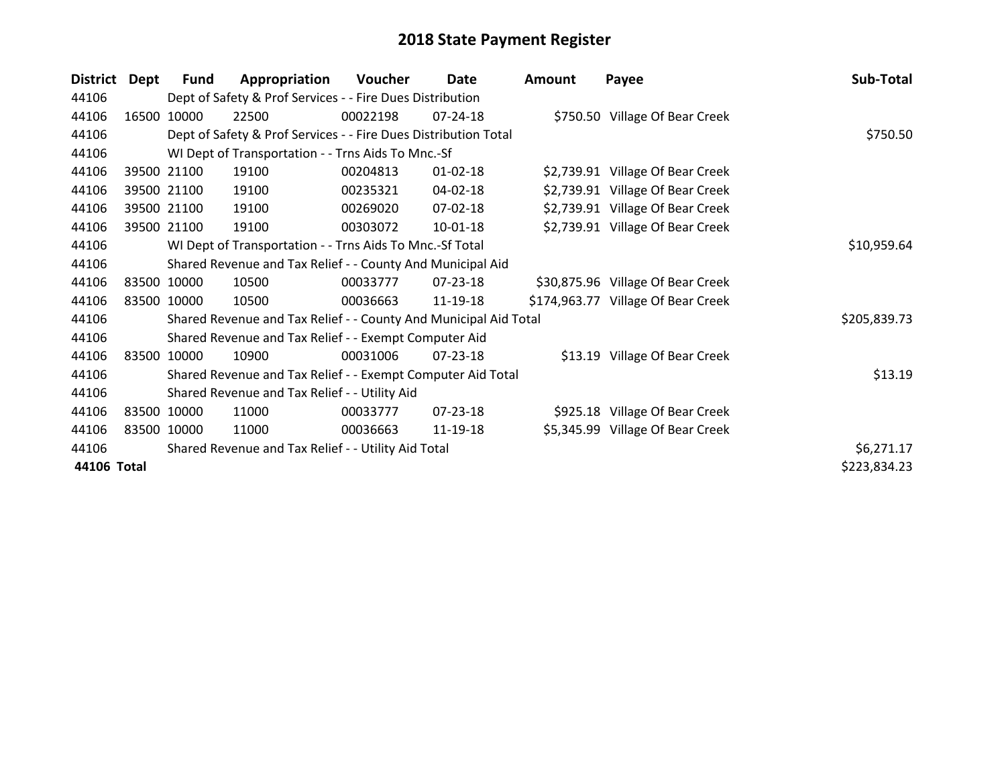| <b>District</b> | Dept  | <b>Fund</b> | Appropriation                                                    | Voucher  | Date           | <b>Amount</b> | Payee                              | Sub-Total    |
|-----------------|-------|-------------|------------------------------------------------------------------|----------|----------------|---------------|------------------------------------|--------------|
| 44106           |       |             | Dept of Safety & Prof Services - - Fire Dues Distribution        |          |                |               |                                    |              |
| 44106           | 16500 | 10000       | 22500                                                            | 00022198 | 07-24-18       |               | \$750.50 Village Of Bear Creek     |              |
| 44106           |       |             | Dept of Safety & Prof Services - - Fire Dues Distribution Total  |          | \$750.50       |               |                                    |              |
| 44106           |       |             | WI Dept of Transportation - - Trns Aids To Mnc.-Sf               |          |                |               |                                    |              |
| 44106           |       | 39500 21100 | 19100                                                            | 00204813 | $01 - 02 - 18$ |               | \$2,739.91 Village Of Bear Creek   |              |
| 44106           |       | 39500 21100 | 19100                                                            | 00235321 | 04-02-18       |               | \$2,739.91 Village Of Bear Creek   |              |
| 44106           |       | 39500 21100 | 19100                                                            | 00269020 | 07-02-18       |               | \$2,739.91 Village Of Bear Creek   |              |
| 44106           |       | 39500 21100 | 19100                                                            | 00303072 | 10-01-18       |               | \$2,739.91 Village Of Bear Creek   |              |
| 44106           |       |             | WI Dept of Transportation - - Trns Aids To Mnc.-Sf Total         |          |                |               |                                    | \$10,959.64  |
| 44106           |       |             | Shared Revenue and Tax Relief - - County And Municipal Aid       |          |                |               |                                    |              |
| 44106           |       | 83500 10000 | 10500                                                            | 00033777 | 07-23-18       |               | \$30,875.96 Village Of Bear Creek  |              |
| 44106           |       | 83500 10000 | 10500                                                            | 00036663 | 11-19-18       |               | \$174,963.77 Village Of Bear Creek |              |
| 44106           |       |             | Shared Revenue and Tax Relief - - County And Municipal Aid Total |          |                |               |                                    | \$205,839.73 |
| 44106           |       |             | Shared Revenue and Tax Relief - - Exempt Computer Aid            |          |                |               |                                    |              |
| 44106           |       | 83500 10000 | 10900                                                            | 00031006 | $07 - 23 - 18$ |               | \$13.19 Village Of Bear Creek      |              |
| 44106           |       |             | Shared Revenue and Tax Relief - - Exempt Computer Aid Total      |          |                |               |                                    | \$13.19      |
| 44106           |       |             | Shared Revenue and Tax Relief - - Utility Aid                    |          |                |               |                                    |              |
| 44106           |       | 83500 10000 | 11000                                                            | 00033777 | 07-23-18       |               | \$925.18 Village Of Bear Creek     |              |
| 44106           |       | 83500 10000 | 11000                                                            | 00036663 | 11-19-18       |               | \$5,345.99 Village Of Bear Creek   |              |
| 44106           |       |             | Shared Revenue and Tax Relief - - Utility Aid Total              |          |                |               |                                    | \$6,271.17   |
| 44106 Total     |       |             |                                                                  |          |                |               |                                    | \$223,834.23 |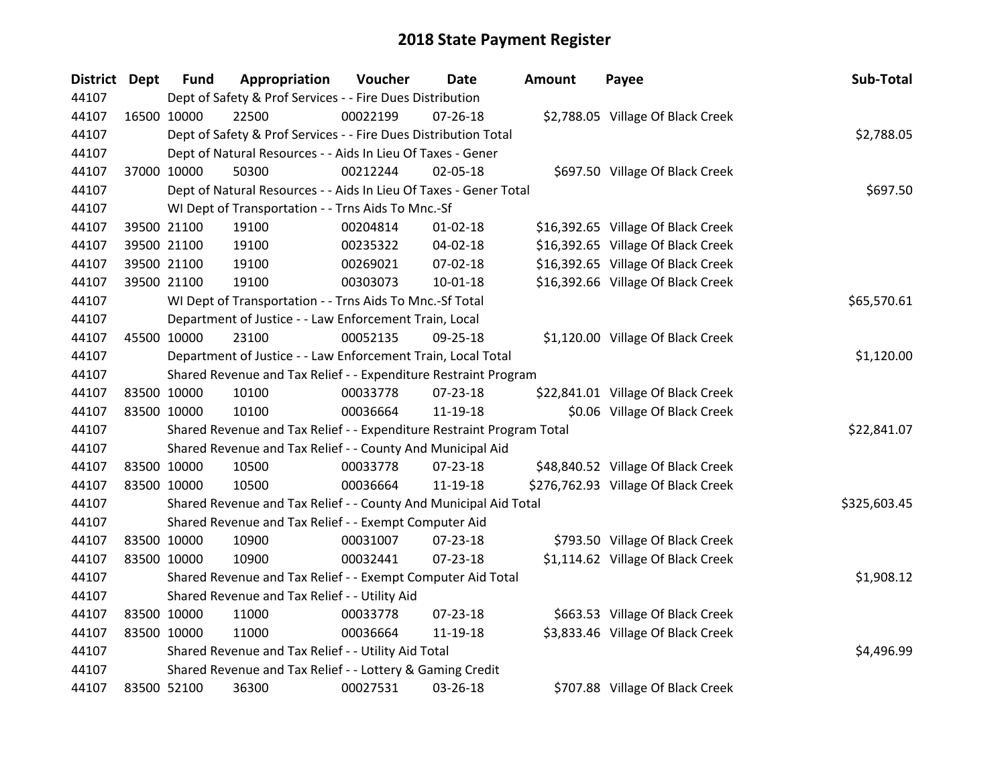| District Dept | <b>Fund</b> | Appropriation                                                         | Voucher    | <b>Date</b>    | <b>Amount</b> | Payee                               | Sub-Total    |
|---------------|-------------|-----------------------------------------------------------------------|------------|----------------|---------------|-------------------------------------|--------------|
| 44107         |             | Dept of Safety & Prof Services - - Fire Dues Distribution             |            |                |               |                                     |              |
| 44107         | 16500 10000 | 22500                                                                 | 00022199   | $07 - 26 - 18$ |               | \$2,788.05 Village Of Black Creek   |              |
| 44107         |             | Dept of Safety & Prof Services - - Fire Dues Distribution Total       |            |                |               |                                     | \$2,788.05   |
| 44107         |             | Dept of Natural Resources - - Aids In Lieu Of Taxes - Gener           |            |                |               |                                     |              |
| 44107         | 37000 10000 | 50300                                                                 | 00212244   | 02-05-18       |               | \$697.50 Village Of Black Creek     |              |
| 44107         |             | Dept of Natural Resources - - Aids In Lieu Of Taxes - Gener Total     |            |                |               |                                     | \$697.50     |
| 44107         |             | WI Dept of Transportation - - Trns Aids To Mnc.-Sf                    |            |                |               |                                     |              |
| 44107         | 39500 21100 | 19100                                                                 | 00204814   | $01 - 02 - 18$ |               | \$16,392.65 Village Of Black Creek  |              |
| 44107         | 39500 21100 | 19100                                                                 | 00235322   | $04 - 02 - 18$ |               | \$16,392.65 Village Of Black Creek  |              |
| 44107         | 39500 21100 | 19100                                                                 | 00269021   | 07-02-18       |               | \$16,392.65 Village Of Black Creek  |              |
| 44107         | 39500 21100 | 19100                                                                 | 00303073   | $10 - 01 - 18$ |               | \$16,392.66 Village Of Black Creek  |              |
| 44107         |             | WI Dept of Transportation - - Trns Aids To Mnc.-Sf Total              |            |                |               |                                     | \$65,570.61  |
| 44107         |             | Department of Justice - - Law Enforcement Train, Local                |            |                |               |                                     |              |
| 44107         | 45500 10000 | 23100                                                                 | 00052135   | 09-25-18       |               | \$1,120.00 Village Of Black Creek   |              |
| 44107         |             | Department of Justice - - Law Enforcement Train, Local Total          | \$1,120.00 |                |               |                                     |              |
| 44107         |             | Shared Revenue and Tax Relief - - Expenditure Restraint Program       |            |                |               |                                     |              |
| 44107         | 83500 10000 | 10100                                                                 | 00033778   | 07-23-18       |               | \$22,841.01 Village Of Black Creek  |              |
| 44107         | 83500 10000 | 10100                                                                 | 00036664   | 11-19-18       |               | \$0.06 Village Of Black Creek       |              |
| 44107         |             | Shared Revenue and Tax Relief - - Expenditure Restraint Program Total |            |                |               |                                     | \$22,841.07  |
| 44107         |             | Shared Revenue and Tax Relief - - County And Municipal Aid            |            |                |               |                                     |              |
| 44107         | 83500 10000 | 10500                                                                 | 00033778   | $07 - 23 - 18$ |               | \$48,840.52 Village Of Black Creek  |              |
| 44107         | 83500 10000 | 10500                                                                 | 00036664   | 11-19-18       |               | \$276,762.93 Village Of Black Creek |              |
| 44107         |             | Shared Revenue and Tax Relief - - County And Municipal Aid Total      |            |                |               |                                     | \$325,603.45 |
| 44107         |             | Shared Revenue and Tax Relief - - Exempt Computer Aid                 |            |                |               |                                     |              |
| 44107         | 83500 10000 | 10900                                                                 | 00031007   | 07-23-18       |               | \$793.50 Village Of Black Creek     |              |
| 44107         | 83500 10000 | 10900                                                                 | 00032441   | 07-23-18       |               | \$1,114.62 Village Of Black Creek   |              |
| 44107         |             | Shared Revenue and Tax Relief - - Exempt Computer Aid Total           |            |                |               |                                     | \$1,908.12   |
| 44107         |             | Shared Revenue and Tax Relief - - Utility Aid                         |            |                |               |                                     |              |
| 44107         | 83500 10000 | 11000                                                                 | 00033778   | $07 - 23 - 18$ |               | \$663.53 Village Of Black Creek     |              |
| 44107         | 83500 10000 | 11000                                                                 | 00036664   | 11-19-18       |               | \$3,833.46 Village Of Black Creek   |              |
| 44107         |             | Shared Revenue and Tax Relief - - Utility Aid Total                   |            |                |               |                                     | \$4,496.99   |
| 44107         |             | Shared Revenue and Tax Relief - - Lottery & Gaming Credit             |            |                |               |                                     |              |
| 44107         | 83500 52100 | 36300                                                                 | 00027531   | 03-26-18       |               | \$707.88 Village Of Black Creek     |              |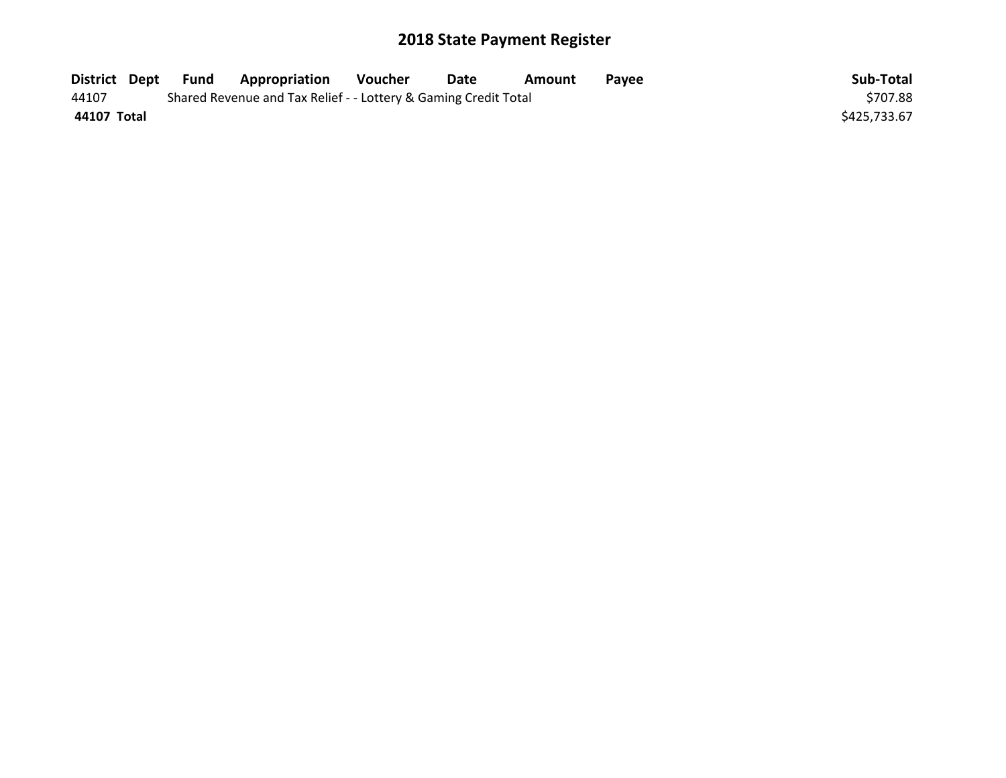| District Dept | Fund | <b>Appropriation</b>                                            | Voucher | Date | Amount | Pavee | Sub-Total    |
|---------------|------|-----------------------------------------------------------------|---------|------|--------|-------|--------------|
| 44107         |      | Shared Revenue and Tax Relief - - Lottery & Gaming Credit Total |         |      |        |       | \$707.88     |
| 44107 Total   |      |                                                                 |         |      |        |       | \$425,733.67 |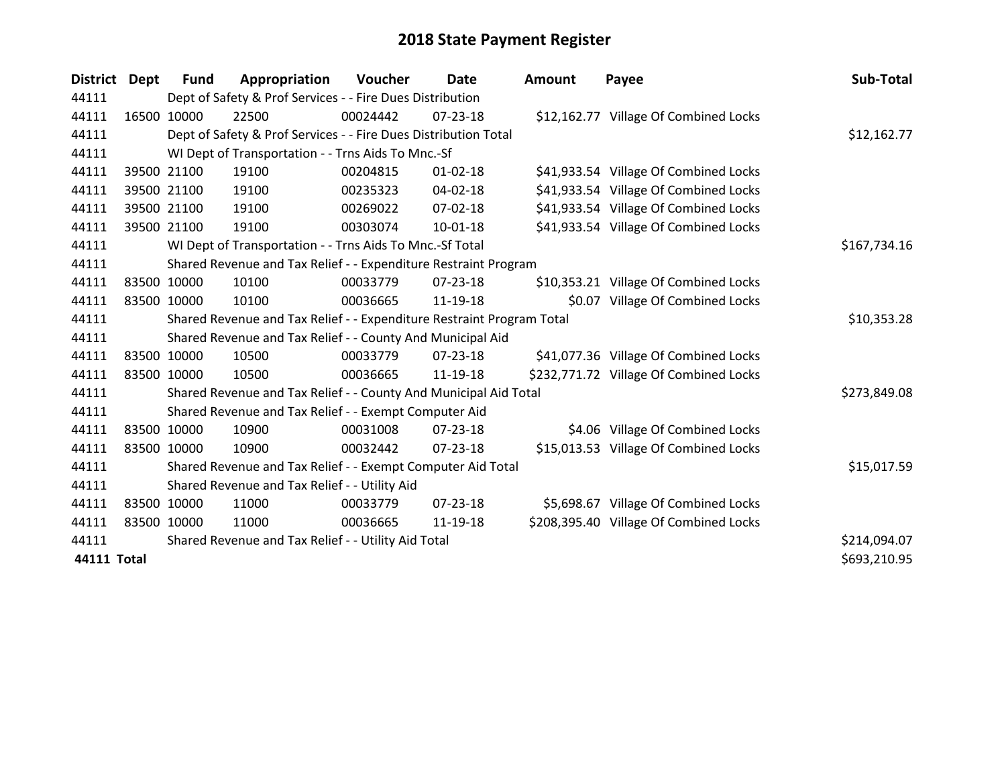| <b>District</b>    | <b>Dept</b> | Fund        | Appropriation                                                         | Voucher  | Date           | <b>Amount</b> | Payee                                  | Sub-Total    |
|--------------------|-------------|-------------|-----------------------------------------------------------------------|----------|----------------|---------------|----------------------------------------|--------------|
| 44111              |             |             | Dept of Safety & Prof Services - - Fire Dues Distribution             |          |                |               |                                        |              |
| 44111              |             | 16500 10000 | 22500                                                                 | 00024442 | 07-23-18       |               | \$12,162.77 Village Of Combined Locks  |              |
| 44111              |             |             | Dept of Safety & Prof Services - - Fire Dues Distribution Total       |          |                |               |                                        | \$12,162.77  |
| 44111              |             |             | WI Dept of Transportation - - Trns Aids To Mnc.-Sf                    |          |                |               |                                        |              |
| 44111              |             | 39500 21100 | 19100                                                                 | 00204815 | $01 - 02 - 18$ |               | \$41,933.54 Village Of Combined Locks  |              |
| 44111              |             | 39500 21100 | 19100                                                                 | 00235323 | 04-02-18       |               | \$41,933.54 Village Of Combined Locks  |              |
| 44111              |             | 39500 21100 | 19100                                                                 | 00269022 | $07 - 02 - 18$ |               | \$41,933.54 Village Of Combined Locks  |              |
| 44111              |             | 39500 21100 | 19100                                                                 | 00303074 | $10 - 01 - 18$ |               | \$41,933.54 Village Of Combined Locks  |              |
| 44111              |             |             | WI Dept of Transportation - - Trns Aids To Mnc.-Sf Total              |          |                |               |                                        | \$167,734.16 |
| 44111              |             |             | Shared Revenue and Tax Relief - - Expenditure Restraint Program       |          |                |               |                                        |              |
| 44111              |             | 83500 10000 | 10100                                                                 | 00033779 | 07-23-18       |               | \$10,353.21 Village Of Combined Locks  |              |
| 44111              |             | 83500 10000 | 10100                                                                 | 00036665 | 11-19-18       |               | \$0.07 Village Of Combined Locks       |              |
| 44111              |             |             | Shared Revenue and Tax Relief - - Expenditure Restraint Program Total |          |                |               |                                        | \$10,353.28  |
| 44111              |             |             | Shared Revenue and Tax Relief - - County And Municipal Aid            |          |                |               |                                        |              |
| 44111              |             | 83500 10000 | 10500                                                                 | 00033779 | $07 - 23 - 18$ |               | \$41,077.36 Village Of Combined Locks  |              |
| 44111              |             | 83500 10000 | 10500                                                                 | 00036665 | 11-19-18       |               | \$232,771.72 Village Of Combined Locks |              |
| 44111              |             |             | Shared Revenue and Tax Relief - - County And Municipal Aid Total      |          |                |               |                                        | \$273,849.08 |
| 44111              |             |             | Shared Revenue and Tax Relief - - Exempt Computer Aid                 |          |                |               |                                        |              |
| 44111              |             | 83500 10000 | 10900                                                                 | 00031008 | 07-23-18       |               | \$4.06 Village Of Combined Locks       |              |
| 44111              |             | 83500 10000 | 10900                                                                 | 00032442 | $07 - 23 - 18$ |               | \$15,013.53 Village Of Combined Locks  |              |
| 44111              |             |             | Shared Revenue and Tax Relief - - Exempt Computer Aid Total           |          |                |               |                                        | \$15,017.59  |
| 44111              |             |             | Shared Revenue and Tax Relief - - Utility Aid                         |          |                |               |                                        |              |
| 44111              |             | 83500 10000 | 11000                                                                 | 00033779 | $07 - 23 - 18$ |               | \$5,698.67 Village Of Combined Locks   |              |
| 44111              |             | 83500 10000 | 11000                                                                 | 00036665 | 11-19-18       |               | \$208,395.40 Village Of Combined Locks |              |
| 44111              |             |             | Shared Revenue and Tax Relief - - Utility Aid Total                   |          |                |               |                                        | \$214,094.07 |
| <b>44111 Total</b> |             |             |                                                                       |          |                |               |                                        | \$693,210.95 |
|                    |             |             |                                                                       |          |                |               |                                        |              |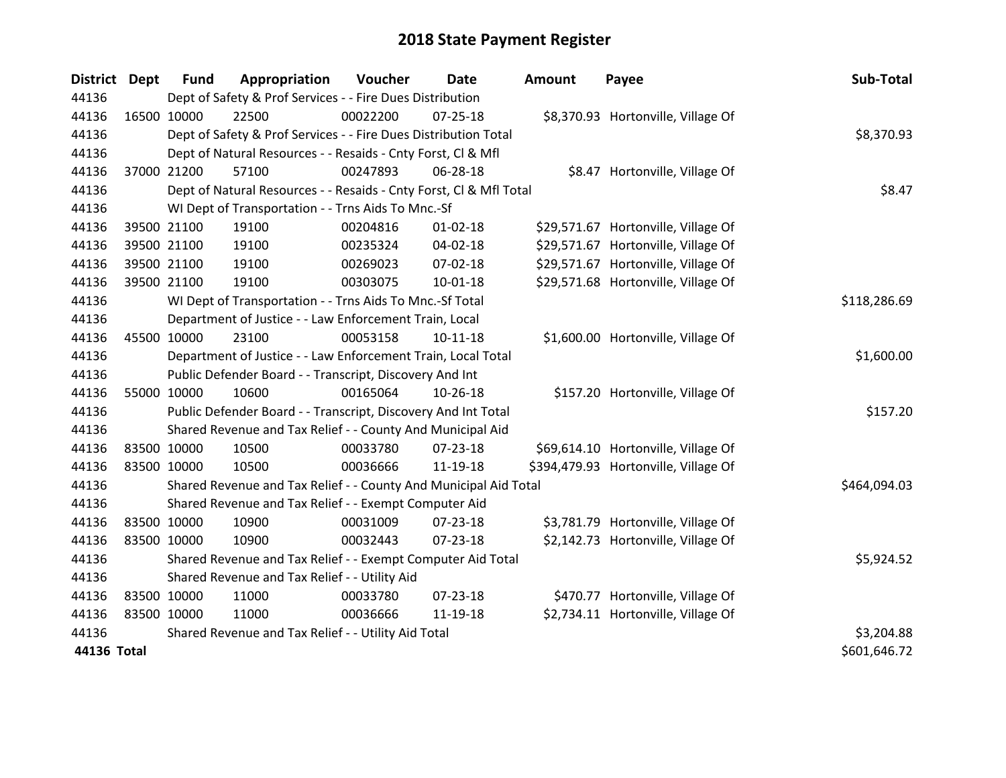| <b>District Dept</b> |             | <b>Fund</b> | Appropriation                                                      | Voucher  | <b>Date</b>    | <b>Amount</b> | Payee                                | Sub-Total    |
|----------------------|-------------|-------------|--------------------------------------------------------------------|----------|----------------|---------------|--------------------------------------|--------------|
| 44136                |             |             | Dept of Safety & Prof Services - - Fire Dues Distribution          |          |                |               |                                      |              |
| 44136                | 16500 10000 |             | 22500                                                              | 00022200 | 07-25-18       |               | \$8,370.93 Hortonville, Village Of   |              |
| 44136                |             |             | Dept of Safety & Prof Services - - Fire Dues Distribution Total    |          |                |               |                                      | \$8,370.93   |
| 44136                |             |             | Dept of Natural Resources - - Resaids - Cnty Forst, Cl & Mfl       |          |                |               |                                      |              |
| 44136                | 37000 21200 |             | 57100                                                              | 00247893 | 06-28-18       |               | \$8.47 Hortonville, Village Of       |              |
| 44136                |             |             | Dept of Natural Resources - - Resaids - Cnty Forst, Cl & Mfl Total |          | \$8.47         |               |                                      |              |
| 44136                |             |             | WI Dept of Transportation - - Trns Aids To Mnc.-Sf                 |          |                |               |                                      |              |
| 44136                |             | 39500 21100 | 19100                                                              | 00204816 | $01 - 02 - 18$ |               | \$29,571.67 Hortonville, Village Of  |              |
| 44136                |             | 39500 21100 | 19100                                                              | 00235324 | 04-02-18       |               | \$29,571.67 Hortonville, Village Of  |              |
| 44136                |             | 39500 21100 | 19100                                                              | 00269023 | 07-02-18       |               | \$29,571.67 Hortonville, Village Of  |              |
| 44136                | 39500 21100 |             | 19100                                                              | 00303075 | $10 - 01 - 18$ |               | \$29,571.68 Hortonville, Village Of  |              |
| 44136                |             |             | WI Dept of Transportation - - Trns Aids To Mnc.-Sf Total           |          |                |               |                                      | \$118,286.69 |
| 44136                |             |             | Department of Justice - - Law Enforcement Train, Local             |          |                |               |                                      |              |
| 44136                | 45500 10000 |             | 23100                                                              | 00053158 | $10 - 11 - 18$ |               | \$1,600.00 Hortonville, Village Of   |              |
| 44136                |             |             | Department of Justice - - Law Enforcement Train, Local Total       |          |                |               |                                      | \$1,600.00   |
| 44136                |             |             | Public Defender Board - - Transcript, Discovery And Int            |          |                |               |                                      |              |
| 44136                | 55000 10000 |             | 10600                                                              | 00165064 | 10-26-18       |               | \$157.20 Hortonville, Village Of     |              |
| 44136                |             |             | Public Defender Board - - Transcript, Discovery And Int Total      |          |                |               |                                      | \$157.20     |
| 44136                |             |             | Shared Revenue and Tax Relief - - County And Municipal Aid         |          |                |               |                                      |              |
| 44136                | 83500 10000 |             | 10500                                                              | 00033780 | 07-23-18       |               | \$69,614.10 Hortonville, Village Of  |              |
| 44136                |             | 83500 10000 | 10500                                                              | 00036666 | 11-19-18       |               | \$394,479.93 Hortonville, Village Of |              |
| 44136                |             |             | Shared Revenue and Tax Relief - - County And Municipal Aid Total   |          |                |               |                                      | \$464,094.03 |
| 44136                |             |             | Shared Revenue and Tax Relief - - Exempt Computer Aid              |          |                |               |                                      |              |
| 44136                | 83500 10000 |             | 10900                                                              | 00031009 | 07-23-18       |               | \$3,781.79 Hortonville, Village Of   |              |
| 44136                | 83500 10000 |             | 10900                                                              | 00032443 | 07-23-18       |               | \$2,142.73 Hortonville, Village Of   |              |
| 44136                |             |             | Shared Revenue and Tax Relief - - Exempt Computer Aid Total        |          |                |               |                                      | \$5,924.52   |
| 44136                |             |             | Shared Revenue and Tax Relief - - Utility Aid                      |          |                |               |                                      |              |
| 44136                | 83500 10000 |             | 11000                                                              | 00033780 | 07-23-18       |               | \$470.77 Hortonville, Village Of     |              |
| 44136                | 83500 10000 |             | 11000                                                              | 00036666 | 11-19-18       |               | \$2,734.11 Hortonville, Village Of   |              |
| 44136                |             |             | Shared Revenue and Tax Relief - - Utility Aid Total                |          |                |               |                                      | \$3,204.88   |
| 44136 Total          |             |             |                                                                    |          |                |               |                                      | \$601,646.72 |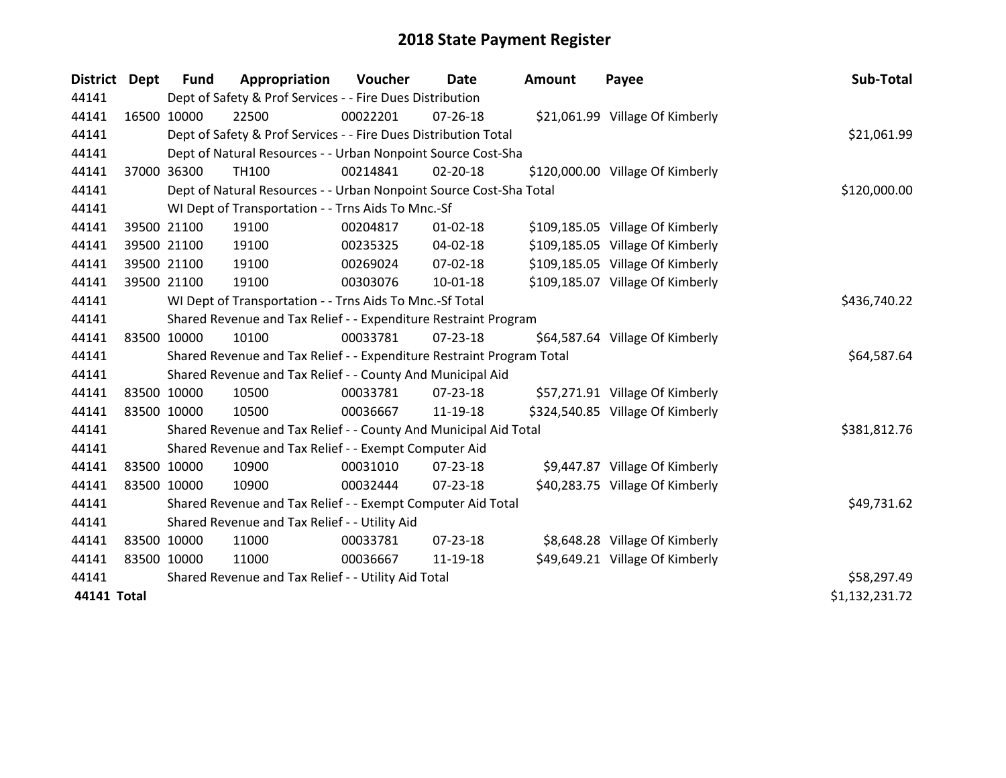| District    | <b>Dept</b> | <b>Fund</b>                                         | Appropriation                                                         | Voucher     | Date           | <b>Amount</b> | Payee                            | Sub-Total      |
|-------------|-------------|-----------------------------------------------------|-----------------------------------------------------------------------|-------------|----------------|---------------|----------------------------------|----------------|
| 44141       |             |                                                     | Dept of Safety & Prof Services - - Fire Dues Distribution             |             |                |               |                                  |                |
| 44141       |             | 16500 10000                                         | 22500                                                                 | 00022201    | $07 - 26 - 18$ |               | \$21,061.99 Village Of Kimberly  |                |
| 44141       |             |                                                     | Dept of Safety & Prof Services - - Fire Dues Distribution Total       |             |                |               |                                  | \$21,061.99    |
| 44141       |             |                                                     | Dept of Natural Resources - - Urban Nonpoint Source Cost-Sha          |             |                |               |                                  |                |
| 44141       |             | 37000 36300                                         | <b>TH100</b>                                                          | 00214841    | 02-20-18       |               | \$120,000.00 Village Of Kimberly |                |
| 44141       |             |                                                     | Dept of Natural Resources - - Urban Nonpoint Source Cost-Sha Total    |             |                |               |                                  | \$120,000.00   |
| 44141       |             |                                                     | WI Dept of Transportation - - Trns Aids To Mnc.-Sf                    |             |                |               |                                  |                |
| 44141       |             | 39500 21100                                         | 19100                                                                 | 00204817    | $01 - 02 - 18$ |               | \$109,185.05 Village Of Kimberly |                |
| 44141       |             | 39500 21100                                         | 19100                                                                 | 00235325    | 04-02-18       |               | \$109,185.05 Village Of Kimberly |                |
| 44141       |             | 39500 21100                                         | 19100                                                                 | 00269024    | $07 - 02 - 18$ |               | \$109,185.05 Village Of Kimberly |                |
| 44141       |             | 39500 21100                                         | 19100                                                                 | 00303076    | $10 - 01 - 18$ |               | \$109,185.07 Village Of Kimberly |                |
| 44141       |             |                                                     | WI Dept of Transportation - - Trns Aids To Mnc.-Sf Total              |             |                |               |                                  | \$436,740.22   |
| 44141       |             |                                                     | Shared Revenue and Tax Relief - - Expenditure Restraint Program       |             |                |               |                                  |                |
| 44141       | 83500 10000 |                                                     | 10100                                                                 | 00033781    | $07 - 23 - 18$ |               | \$64,587.64 Village Of Kimberly  |                |
| 44141       |             |                                                     | Shared Revenue and Tax Relief - - Expenditure Restraint Program Total |             |                |               |                                  | \$64,587.64    |
| 44141       |             |                                                     | Shared Revenue and Tax Relief - - County And Municipal Aid            |             |                |               |                                  |                |
| 44141       | 83500 10000 |                                                     | 10500                                                                 | 00033781    | $07 - 23 - 18$ |               | \$57,271.91 Village Of Kimberly  |                |
| 44141       | 83500 10000 |                                                     | 10500                                                                 | 00036667    | 11-19-18       |               | \$324,540.85 Village Of Kimberly |                |
| 44141       |             |                                                     | Shared Revenue and Tax Relief - - County And Municipal Aid Total      |             |                |               |                                  | \$381,812.76   |
| 44141       |             |                                                     | Shared Revenue and Tax Relief - - Exempt Computer Aid                 |             |                |               |                                  |                |
| 44141       | 83500 10000 |                                                     | 10900                                                                 | 00031010    | $07 - 23 - 18$ |               | \$9,447.87 Village Of Kimberly   |                |
| 44141       | 83500 10000 |                                                     | 10900                                                                 | 00032444    | $07 - 23 - 18$ |               | \$40,283.75 Village Of Kimberly  |                |
| 44141       |             |                                                     | Shared Revenue and Tax Relief - - Exempt Computer Aid Total           | \$49,731.62 |                |               |                                  |                |
| 44141       |             |                                                     | Shared Revenue and Tax Relief - - Utility Aid                         |             |                |               |                                  |                |
| 44141       | 83500 10000 |                                                     | 11000                                                                 | 00033781    | $07 - 23 - 18$ |               | \$8,648.28 Village Of Kimberly   |                |
| 44141       | 83500 10000 |                                                     | 11000                                                                 | 00036667    | 11-19-18       |               | \$49,649.21 Village Of Kimberly  |                |
| 44141       |             | Shared Revenue and Tax Relief - - Utility Aid Total | \$58,297.49                                                           |             |                |               |                                  |                |
| 44141 Total |             |                                                     |                                                                       |             |                |               |                                  | \$1,132,231.72 |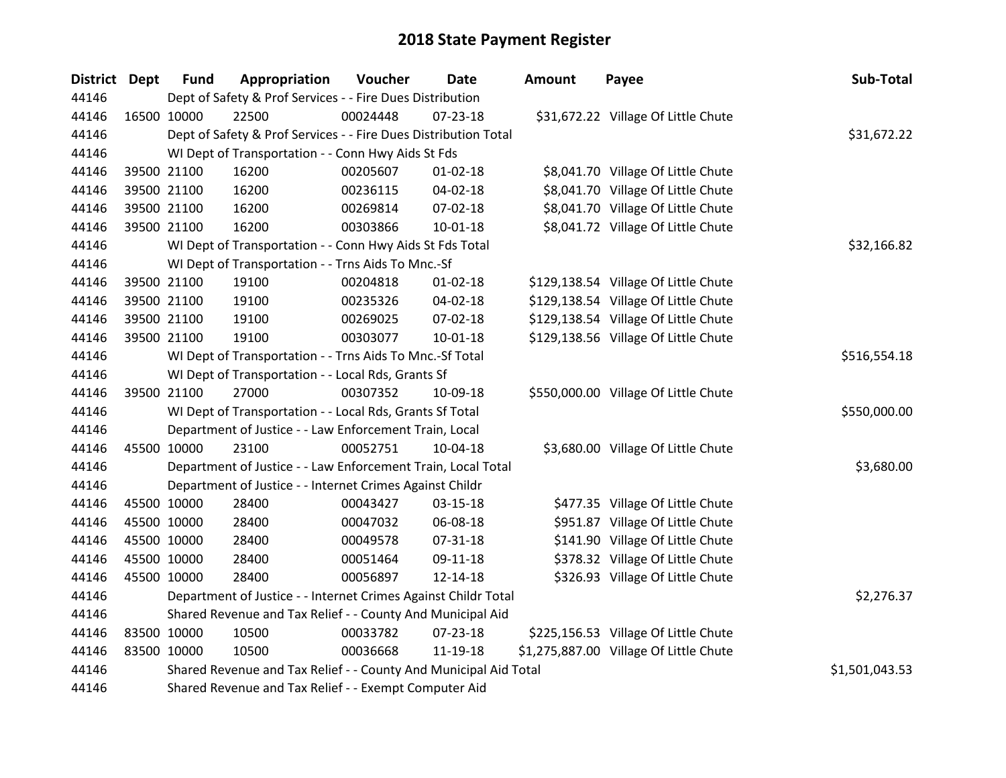| District Dept | <b>Fund</b> | Appropriation                                                    | Voucher     | <b>Date</b>    | <b>Amount</b> | Payee                                  | Sub-Total      |  |  |
|---------------|-------------|------------------------------------------------------------------|-------------|----------------|---------------|----------------------------------------|----------------|--|--|
| 44146         |             | Dept of Safety & Prof Services - - Fire Dues Distribution        |             |                |               |                                        |                |  |  |
| 44146         | 16500 10000 | 22500                                                            | 00024448    | $07 - 23 - 18$ |               | \$31,672.22 Village Of Little Chute    |                |  |  |
| 44146         |             | Dept of Safety & Prof Services - - Fire Dues Distribution Total  |             |                |               |                                        | \$31,672.22    |  |  |
| 44146         |             | WI Dept of Transportation - - Conn Hwy Aids St Fds               |             |                |               |                                        |                |  |  |
| 44146         | 39500 21100 | 16200                                                            | 00205607    | $01 - 02 - 18$ |               | \$8,041.70 Village Of Little Chute     |                |  |  |
| 44146         | 39500 21100 | 16200                                                            | 00236115    | 04-02-18       |               | \$8,041.70 Village Of Little Chute     |                |  |  |
| 44146         | 39500 21100 | 16200                                                            | 00269814    | 07-02-18       |               | \$8,041.70 Village Of Little Chute     |                |  |  |
| 44146         | 39500 21100 | 16200                                                            | 00303866    | $10 - 01 - 18$ |               | \$8,041.72 Village Of Little Chute     |                |  |  |
| 44146         |             | WI Dept of Transportation - - Conn Hwy Aids St Fds Total         | \$32,166.82 |                |               |                                        |                |  |  |
| 44146         |             | WI Dept of Transportation - - Trns Aids To Mnc.-Sf               |             |                |               |                                        |                |  |  |
| 44146         | 39500 21100 | 19100                                                            | 00204818    | $01 - 02 - 18$ |               | \$129,138.54 Village Of Little Chute   |                |  |  |
| 44146         | 39500 21100 | 19100                                                            | 00235326    | 04-02-18       |               | \$129,138.54 Village Of Little Chute   |                |  |  |
| 44146         | 39500 21100 | 19100                                                            | 00269025    | 07-02-18       |               | \$129,138.54 Village Of Little Chute   |                |  |  |
| 44146         | 39500 21100 | 19100                                                            | 00303077    | $10 - 01 - 18$ |               | \$129,138.56 Village Of Little Chute   |                |  |  |
| 44146         |             | WI Dept of Transportation - - Trns Aids To Mnc.-Sf Total         |             |                |               |                                        |                |  |  |
| 44146         |             | WI Dept of Transportation - - Local Rds, Grants Sf               |             |                |               |                                        |                |  |  |
| 44146         | 39500 21100 | 27000                                                            | 00307352    | 10-09-18       |               | \$550,000.00 Village Of Little Chute   |                |  |  |
| 44146         |             | WI Dept of Transportation - - Local Rds, Grants Sf Total         |             |                |               |                                        | \$550,000.00   |  |  |
| 44146         |             | Department of Justice - - Law Enforcement Train, Local           |             |                |               |                                        |                |  |  |
| 44146         | 45500 10000 | 23100                                                            | 00052751    | 10-04-18       |               | \$3,680.00 Village Of Little Chute     |                |  |  |
| 44146         |             | Department of Justice - - Law Enforcement Train, Local Total     |             |                |               |                                        | \$3,680.00     |  |  |
| 44146         |             | Department of Justice - - Internet Crimes Against Childr         |             |                |               |                                        |                |  |  |
| 44146         | 45500 10000 | 28400                                                            | 00043427    | 03-15-18       |               | \$477.35 Village Of Little Chute       |                |  |  |
| 44146         | 45500 10000 | 28400                                                            | 00047032    | 06-08-18       |               | \$951.87 Village Of Little Chute       |                |  |  |
| 44146         | 45500 10000 | 28400                                                            | 00049578    | $07 - 31 - 18$ |               | \$141.90 Village Of Little Chute       |                |  |  |
| 44146         | 45500 10000 | 28400                                                            | 00051464    | 09-11-18       |               | \$378.32 Village Of Little Chute       |                |  |  |
| 44146         | 45500 10000 | 28400                                                            | 00056897    | 12-14-18       |               | \$326.93 Village Of Little Chute       |                |  |  |
| 44146         |             | Department of Justice - - Internet Crimes Against Childr Total   |             |                |               |                                        | \$2,276.37     |  |  |
| 44146         |             | Shared Revenue and Tax Relief - - County And Municipal Aid       |             |                |               |                                        |                |  |  |
| 44146         | 83500 10000 | 10500                                                            | 00033782    | $07 - 23 - 18$ |               | \$225,156.53 Village Of Little Chute   |                |  |  |
| 44146         | 83500 10000 | 10500                                                            | 00036668    | 11-19-18       |               | \$1,275,887.00 Village Of Little Chute |                |  |  |
| 44146         |             | Shared Revenue and Tax Relief - - County And Municipal Aid Total |             |                |               |                                        | \$1,501,043.53 |  |  |
| 44146         |             | Shared Revenue and Tax Relief - - Exempt Computer Aid            |             |                |               |                                        |                |  |  |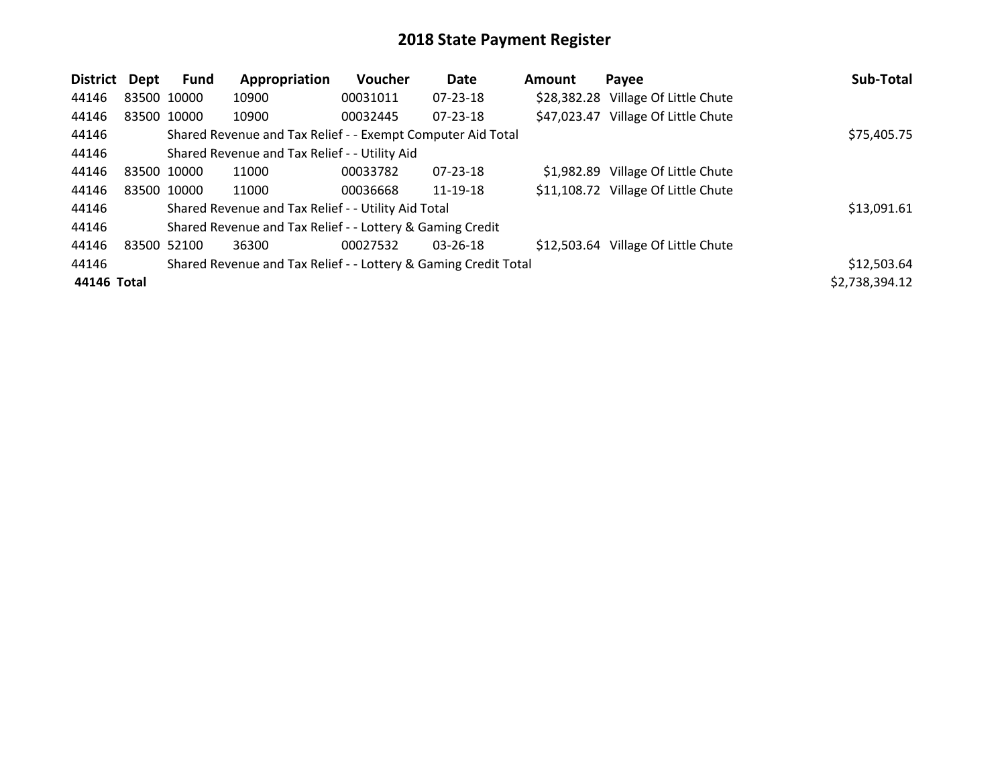| District Dept |             | <b>Fund</b> | Appropriation                                                   | Voucher  | <b>Date</b>    | Amount | Payee                               | Sub-Total      |
|---------------|-------------|-------------|-----------------------------------------------------------------|----------|----------------|--------|-------------------------------------|----------------|
| 44146         | 83500 10000 |             | 10900                                                           | 00031011 | $07 - 23 - 18$ |        | \$28,382.28 Village Of Little Chute |                |
| 44146         |             | 83500 10000 | 10900                                                           | 00032445 | 07-23-18       |        | \$47,023.47 Village Of Little Chute |                |
| 44146         |             |             | Shared Revenue and Tax Relief - - Exempt Computer Aid Total     |          |                |        |                                     | \$75,405.75    |
| 44146         |             |             | Shared Revenue and Tax Relief - - Utility Aid                   |          |                |        |                                     |                |
| 44146         | 83500 10000 |             | 11000                                                           | 00033782 | 07-23-18       |        | \$1,982.89 Village Of Little Chute  |                |
| 44146         |             | 83500 10000 | 11000                                                           | 00036668 | 11-19-18       |        | \$11,108.72 Village Of Little Chute |                |
| 44146         |             |             | Shared Revenue and Tax Relief - - Utility Aid Total             |          |                |        |                                     | \$13,091.61    |
| 44146         |             |             | Shared Revenue and Tax Relief - - Lottery & Gaming Credit       |          |                |        |                                     |                |
| 44146         | 83500 52100 |             | 36300                                                           | 00027532 | $03 - 26 - 18$ |        | \$12,503.64 Village Of Little Chute |                |
| 44146         |             |             | Shared Revenue and Tax Relief - - Lottery & Gaming Credit Total |          |                |        |                                     | \$12,503.64    |
| 44146 Total   |             |             |                                                                 |          |                |        |                                     | \$2,738,394.12 |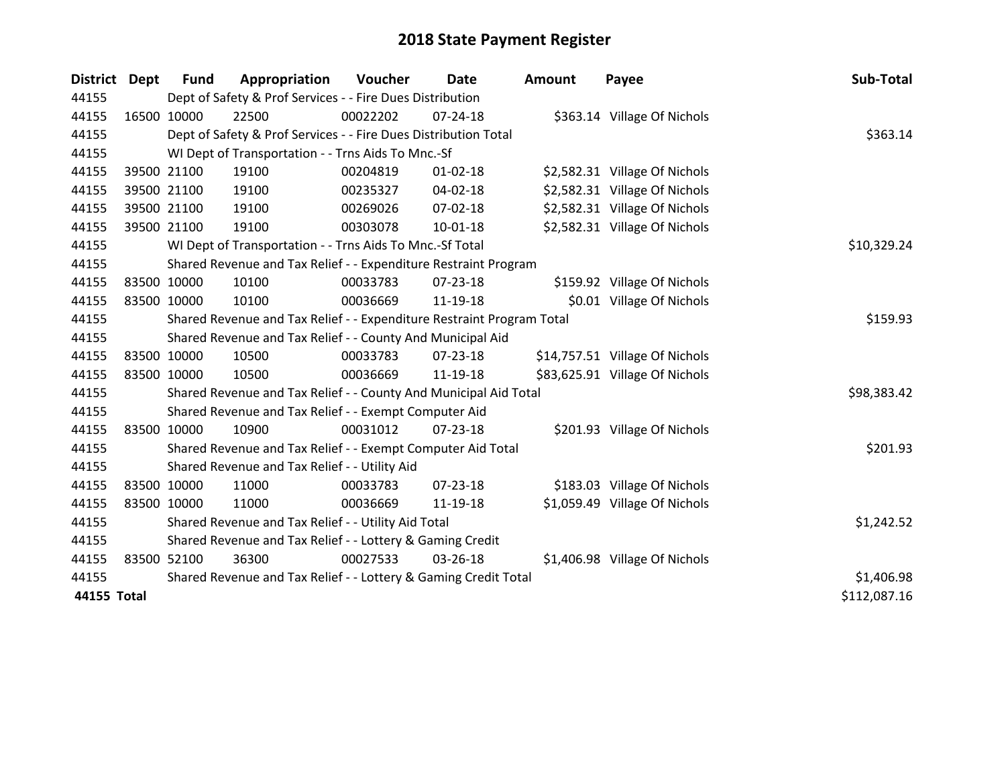| <b>District</b> | Dept        | <b>Fund</b> | Appropriation                                                         | Voucher  | Date           | <b>Amount</b> | Payee                          | Sub-Total    |
|-----------------|-------------|-------------|-----------------------------------------------------------------------|----------|----------------|---------------|--------------------------------|--------------|
| 44155           |             |             | Dept of Safety & Prof Services - - Fire Dues Distribution             |          |                |               |                                |              |
| 44155           | 16500 10000 |             | 22500                                                                 | 00022202 | $07 - 24 - 18$ |               | \$363.14 Village Of Nichols    |              |
| 44155           |             |             | Dept of Safety & Prof Services - - Fire Dues Distribution Total       |          |                |               |                                | \$363.14     |
| 44155           |             |             | WI Dept of Transportation - - Trns Aids To Mnc.-Sf                    |          |                |               |                                |              |
| 44155           |             | 39500 21100 | 19100                                                                 | 00204819 | $01 - 02 - 18$ |               | \$2,582.31 Village Of Nichols  |              |
| 44155           |             | 39500 21100 | 19100                                                                 | 00235327 | $04 - 02 - 18$ |               | \$2,582.31 Village Of Nichols  |              |
| 44155           |             | 39500 21100 | 19100                                                                 | 00269026 | 07-02-18       |               | \$2,582.31 Village Of Nichols  |              |
| 44155           |             | 39500 21100 | 19100                                                                 | 00303078 | 10-01-18       |               | \$2,582.31 Village Of Nichols  |              |
| 44155           |             |             | WI Dept of Transportation - - Trns Aids To Mnc.-Sf Total              |          | \$10,329.24    |               |                                |              |
| 44155           |             |             | Shared Revenue and Tax Relief - - Expenditure Restraint Program       |          |                |               |                                |              |
| 44155           |             | 83500 10000 | 10100                                                                 | 00033783 | 07-23-18       |               | \$159.92 Village Of Nichols    |              |
| 44155           |             | 83500 10000 | 10100                                                                 | 00036669 | 11-19-18       |               | \$0.01 Village Of Nichols      |              |
| 44155           |             |             | Shared Revenue and Tax Relief - - Expenditure Restraint Program Total | \$159.93 |                |               |                                |              |
| 44155           |             |             | Shared Revenue and Tax Relief - - County And Municipal Aid            |          |                |               |                                |              |
| 44155           |             | 83500 10000 | 10500                                                                 | 00033783 | 07-23-18       |               | \$14,757.51 Village Of Nichols |              |
| 44155           |             | 83500 10000 | 10500                                                                 | 00036669 | 11-19-18       |               | \$83,625.91 Village Of Nichols |              |
| 44155           |             |             | Shared Revenue and Tax Relief - - County And Municipal Aid Total      |          |                |               |                                | \$98,383.42  |
| 44155           |             |             | Shared Revenue and Tax Relief - - Exempt Computer Aid                 |          |                |               |                                |              |
| 44155           |             | 83500 10000 | 10900                                                                 | 00031012 | $07 - 23 - 18$ |               | \$201.93 Village Of Nichols    |              |
| 44155           |             |             | Shared Revenue and Tax Relief - - Exempt Computer Aid Total           |          |                |               |                                | \$201.93     |
| 44155           |             |             | Shared Revenue and Tax Relief - - Utility Aid                         |          |                |               |                                |              |
| 44155           |             | 83500 10000 | 11000                                                                 | 00033783 | 07-23-18       |               | \$183.03 Village Of Nichols    |              |
| 44155           | 83500 10000 |             | 11000                                                                 | 00036669 | 11-19-18       |               | \$1,059.49 Village Of Nichols  |              |
| 44155           |             |             | Shared Revenue and Tax Relief - - Utility Aid Total                   |          |                |               |                                | \$1,242.52   |
| 44155           |             |             | Shared Revenue and Tax Relief - - Lottery & Gaming Credit             |          |                |               |                                |              |
| 44155           |             | 83500 52100 | 36300                                                                 | 00027533 | 03-26-18       |               | \$1,406.98 Village Of Nichols  |              |
| 44155           |             |             | Shared Revenue and Tax Relief - - Lottery & Gaming Credit Total       |          |                |               |                                | \$1,406.98   |
| 44155 Total     |             |             |                                                                       |          |                |               |                                | \$112,087.16 |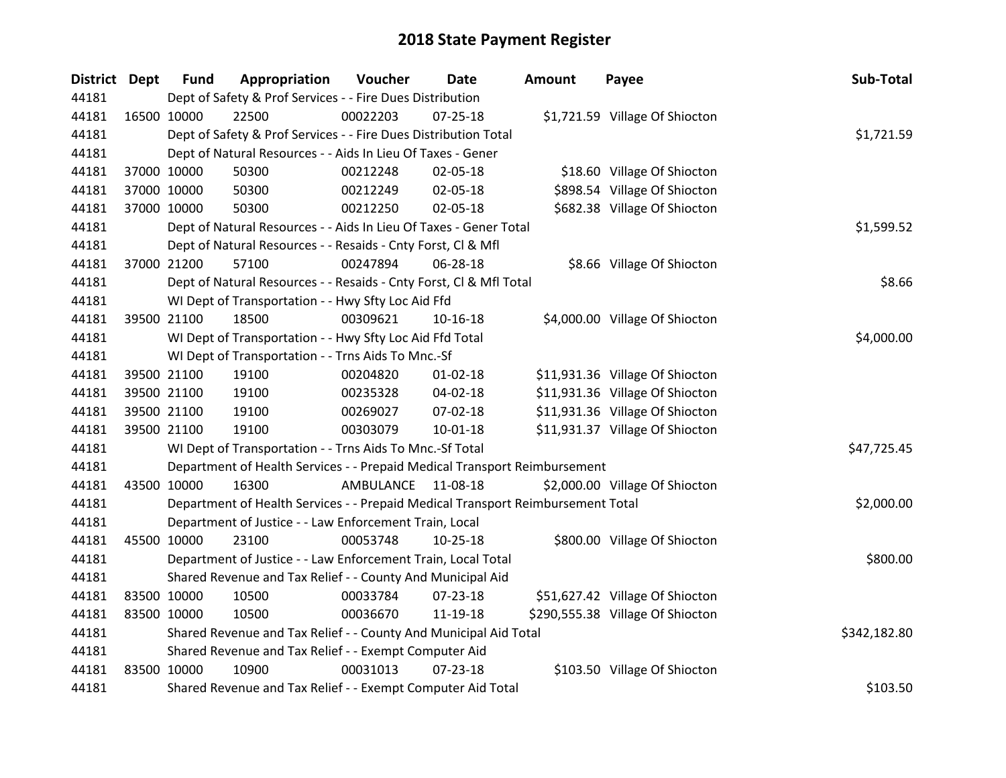| District Dept |             | <b>Fund</b> | Appropriation                                                                   | Voucher   | Date           | <b>Amount</b> | Payee                            | Sub-Total    |
|---------------|-------------|-------------|---------------------------------------------------------------------------------|-----------|----------------|---------------|----------------------------------|--------------|
| 44181         |             |             | Dept of Safety & Prof Services - - Fire Dues Distribution                       |           |                |               |                                  |              |
| 44181         | 16500 10000 |             | 22500                                                                           | 00022203  | $07 - 25 - 18$ |               | \$1,721.59 Village Of Shiocton   |              |
| 44181         |             |             | Dept of Safety & Prof Services - - Fire Dues Distribution Total                 |           |                |               |                                  | \$1,721.59   |
| 44181         |             |             | Dept of Natural Resources - - Aids In Lieu Of Taxes - Gener                     |           |                |               |                                  |              |
| 44181         |             | 37000 10000 | 50300                                                                           | 00212248  | 02-05-18       |               | \$18.60 Village Of Shiocton      |              |
| 44181         |             | 37000 10000 | 50300                                                                           | 00212249  | 02-05-18       |               | \$898.54 Village Of Shiocton     |              |
| 44181         |             | 37000 10000 | 50300                                                                           | 00212250  | 02-05-18       |               | \$682.38 Village Of Shiocton     |              |
| 44181         |             |             | Dept of Natural Resources - - Aids In Lieu Of Taxes - Gener Total               |           |                |               |                                  | \$1,599.52   |
| 44181         |             |             | Dept of Natural Resources - - Resaids - Cnty Forst, CI & Mfl                    |           |                |               |                                  |              |
| 44181         |             | 37000 21200 | 57100                                                                           | 00247894  | 06-28-18       |               | \$8.66 Village Of Shiocton       |              |
| 44181         |             |             | Dept of Natural Resources - - Resaids - Cnty Forst, Cl & Mfl Total              |           |                |               |                                  | \$8.66       |
| 44181         |             |             | WI Dept of Transportation - - Hwy Sfty Loc Aid Ffd                              |           |                |               |                                  |              |
| 44181         |             | 39500 21100 | 18500                                                                           | 00309621  | 10-16-18       |               | \$4,000.00 Village Of Shiocton   |              |
| 44181         |             |             | WI Dept of Transportation - - Hwy Sfty Loc Aid Ffd Total                        |           |                |               |                                  | \$4,000.00   |
| 44181         |             |             | WI Dept of Transportation - - Trns Aids To Mnc.-Sf                              |           |                |               |                                  |              |
| 44181         |             | 39500 21100 | 19100                                                                           | 00204820  | $01 - 02 - 18$ |               | \$11,931.36 Village Of Shiocton  |              |
| 44181         |             | 39500 21100 | 19100                                                                           | 00235328  | 04-02-18       |               | \$11,931.36 Village Of Shiocton  |              |
| 44181         |             | 39500 21100 | 19100                                                                           | 00269027  | 07-02-18       |               | \$11,931.36 Village Of Shiocton  |              |
| 44181         |             | 39500 21100 | 19100                                                                           | 00303079  | 10-01-18       |               | \$11,931.37 Village Of Shiocton  |              |
| 44181         |             |             | WI Dept of Transportation - - Trns Aids To Mnc.-Sf Total                        |           |                |               |                                  | \$47,725.45  |
| 44181         |             |             | Department of Health Services - - Prepaid Medical Transport Reimbursement       |           |                |               |                                  |              |
| 44181         | 43500 10000 |             | 16300                                                                           | AMBULANCE | 11-08-18       |               | \$2,000.00 Village Of Shiocton   |              |
| 44181         |             |             | Department of Health Services - - Prepaid Medical Transport Reimbursement Total |           |                |               |                                  | \$2,000.00   |
| 44181         |             |             | Department of Justice - - Law Enforcement Train, Local                          |           |                |               |                                  |              |
| 44181         | 45500 10000 |             | 23100                                                                           | 00053748  | $10-25-18$     |               | \$800.00 Village Of Shiocton     |              |
| 44181         |             |             | Department of Justice - - Law Enforcement Train, Local Total                    |           |                |               |                                  | \$800.00     |
| 44181         |             |             | Shared Revenue and Tax Relief - - County And Municipal Aid                      |           |                |               |                                  |              |
| 44181         | 83500 10000 |             | 10500                                                                           | 00033784  | 07-23-18       |               | \$51,627.42 Village Of Shiocton  |              |
| 44181         | 83500 10000 |             | 10500                                                                           | 00036670  | 11-19-18       |               | \$290,555.38 Village Of Shiocton |              |
| 44181         |             |             | Shared Revenue and Tax Relief - - County And Municipal Aid Total                |           |                |               |                                  | \$342,182.80 |
| 44181         |             |             | Shared Revenue and Tax Relief - - Exempt Computer Aid                           |           |                |               |                                  |              |
| 44181         | 83500 10000 |             | 10900                                                                           | 00031013  | 07-23-18       |               | \$103.50 Village Of Shiocton     |              |
| 44181         |             |             | Shared Revenue and Tax Relief - - Exempt Computer Aid Total                     |           |                |               |                                  | \$103.50     |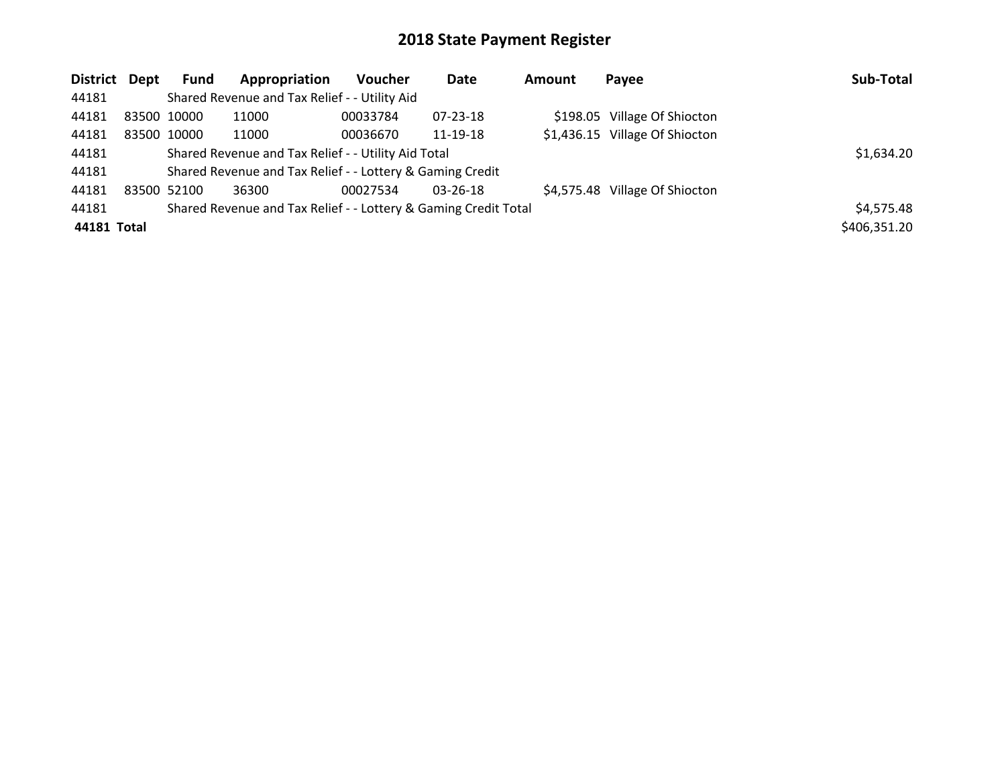| District Dept |             | <b>Fund</b>                                                     | Appropriation                                             | <b>Voucher</b> | Date     | Amount | Payee                          | Sub-Total    |
|---------------|-------------|-----------------------------------------------------------------|-----------------------------------------------------------|----------------|----------|--------|--------------------------------|--------------|
| 44181         |             |                                                                 | Shared Revenue and Tax Relief - - Utility Aid             |                |          |        |                                |              |
| 44181         | 83500 10000 |                                                                 | 11000                                                     | 00033784       | 07-23-18 |        | \$198.05 Village Of Shiocton   |              |
| 44181         |             | 83500 10000                                                     | 11000                                                     | 00036670       | 11-19-18 |        | \$1,436.15 Village Of Shiocton |              |
| 44181         |             | Shared Revenue and Tax Relief - - Utility Aid Total             |                                                           | \$1,634.20     |          |        |                                |              |
| 44181         |             |                                                                 | Shared Revenue and Tax Relief - - Lottery & Gaming Credit |                |          |        |                                |              |
| 44181         | 83500 52100 |                                                                 | 36300                                                     | 00027534       | 03-26-18 |        | \$4,575.48 Village Of Shiocton |              |
| 44181         |             | Shared Revenue and Tax Relief - - Lottery & Gaming Credit Total |                                                           | \$4,575.48     |          |        |                                |              |
| 44181 Total   |             |                                                                 |                                                           |                |          |        |                                | \$406,351.20 |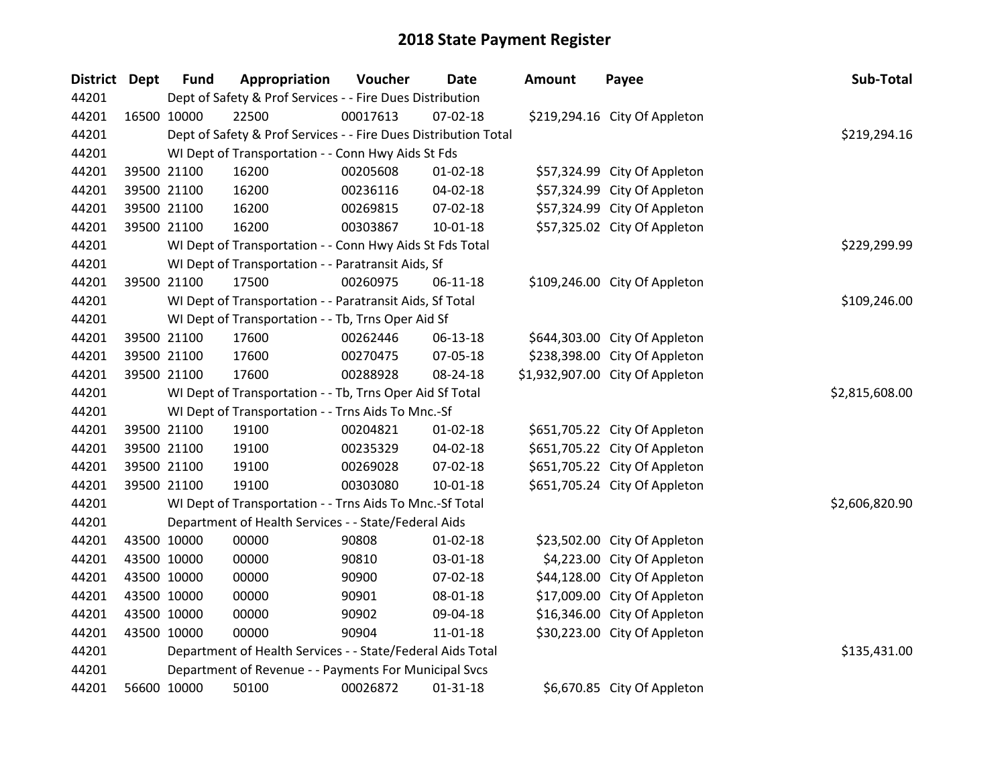| District Dept | <b>Fund</b> | Appropriation                                                   | Voucher      | Date           | <b>Amount</b> | Payee                           | Sub-Total      |
|---------------|-------------|-----------------------------------------------------------------|--------------|----------------|---------------|---------------------------------|----------------|
| 44201         |             | Dept of Safety & Prof Services - - Fire Dues Distribution       |              |                |               |                                 |                |
| 44201         | 16500 10000 | 22500                                                           | 00017613     | 07-02-18       |               | \$219,294.16 City Of Appleton   |                |
| 44201         |             | Dept of Safety & Prof Services - - Fire Dues Distribution Total |              |                |               |                                 | \$219,294.16   |
| 44201         |             | WI Dept of Transportation - - Conn Hwy Aids St Fds              |              |                |               |                                 |                |
| 44201         | 39500 21100 | 16200                                                           | 00205608     | $01 - 02 - 18$ |               | \$57,324.99 City Of Appleton    |                |
| 44201         | 39500 21100 | 16200                                                           | 00236116     | 04-02-18       |               | \$57,324.99 City Of Appleton    |                |
| 44201         | 39500 21100 | 16200                                                           | 00269815     | 07-02-18       |               | \$57,324.99 City Of Appleton    |                |
| 44201         | 39500 21100 | 16200                                                           | 00303867     | $10 - 01 - 18$ |               | \$57,325.02 City Of Appleton    |                |
| 44201         |             | WI Dept of Transportation - - Conn Hwy Aids St Fds Total        | \$229,299.99 |                |               |                                 |                |
| 44201         |             | WI Dept of Transportation - - Paratransit Aids, Sf              |              |                |               |                                 |                |
| 44201         | 39500 21100 | 17500                                                           | 00260975     | $06-11-18$     |               | \$109,246.00 City Of Appleton   |                |
| 44201         |             | WI Dept of Transportation - - Paratransit Aids, Sf Total        |              |                |               |                                 | \$109,246.00   |
| 44201         |             | WI Dept of Transportation - - Tb, Trns Oper Aid Sf              |              |                |               |                                 |                |
| 44201         | 39500 21100 | 17600                                                           | 00262446     | 06-13-18       |               | \$644,303.00 City Of Appleton   |                |
| 44201         | 39500 21100 | 17600                                                           | 00270475     | 07-05-18       |               | \$238,398.00 City Of Appleton   |                |
| 44201         | 39500 21100 | 17600                                                           | 00288928     | 08-24-18       |               | \$1,932,907.00 City Of Appleton |                |
| 44201         |             | WI Dept of Transportation - - Tb, Trns Oper Aid Sf Total        |              |                |               |                                 | \$2,815,608.00 |
| 44201         |             | WI Dept of Transportation - - Trns Aids To Mnc.-Sf              |              |                |               |                                 |                |
| 44201         | 39500 21100 | 19100                                                           | 00204821     | $01 - 02 - 18$ |               | \$651,705.22 City Of Appleton   |                |
| 44201         | 39500 21100 | 19100                                                           | 00235329     | 04-02-18       |               | \$651,705.22 City Of Appleton   |                |
| 44201         | 39500 21100 | 19100                                                           | 00269028     | 07-02-18       |               | \$651,705.22 City Of Appleton   |                |
| 44201         | 39500 21100 | 19100                                                           | 00303080     | $10 - 01 - 18$ |               | \$651,705.24 City Of Appleton   |                |
| 44201         |             | WI Dept of Transportation - - Trns Aids To Mnc.-Sf Total        |              |                |               |                                 | \$2,606,820.90 |
| 44201         |             | Department of Health Services - - State/Federal Aids            |              |                |               |                                 |                |
| 44201         | 43500 10000 | 00000                                                           | 90808        | $01 - 02 - 18$ |               | \$23,502.00 City Of Appleton    |                |
| 44201         | 43500 10000 | 00000                                                           | 90810        | 03-01-18       |               | \$4,223.00 City Of Appleton     |                |
| 44201         | 43500 10000 | 00000                                                           | 90900        | 07-02-18       |               | \$44,128.00 City Of Appleton    |                |
| 44201         | 43500 10000 | 00000                                                           | 90901        | 08-01-18       |               | \$17,009.00 City Of Appleton    |                |
| 44201         | 43500 10000 | 00000                                                           | 90902        | 09-04-18       |               | \$16,346.00 City Of Appleton    |                |
| 44201         | 43500 10000 | 00000                                                           | 90904        | 11-01-18       |               | \$30,223.00 City Of Appleton    |                |
| 44201         |             | Department of Health Services - - State/Federal Aids Total      |              |                |               |                                 | \$135,431.00   |
| 44201         |             | Department of Revenue - - Payments For Municipal Svcs           |              |                |               |                                 |                |
| 44201         | 56600 10000 | 50100                                                           | 00026872     | $01 - 31 - 18$ |               | \$6.670.85 City Of Appleton     |                |

56600 10000 50100 00026872 01-31-18 \$6,670.85 City Of Appleton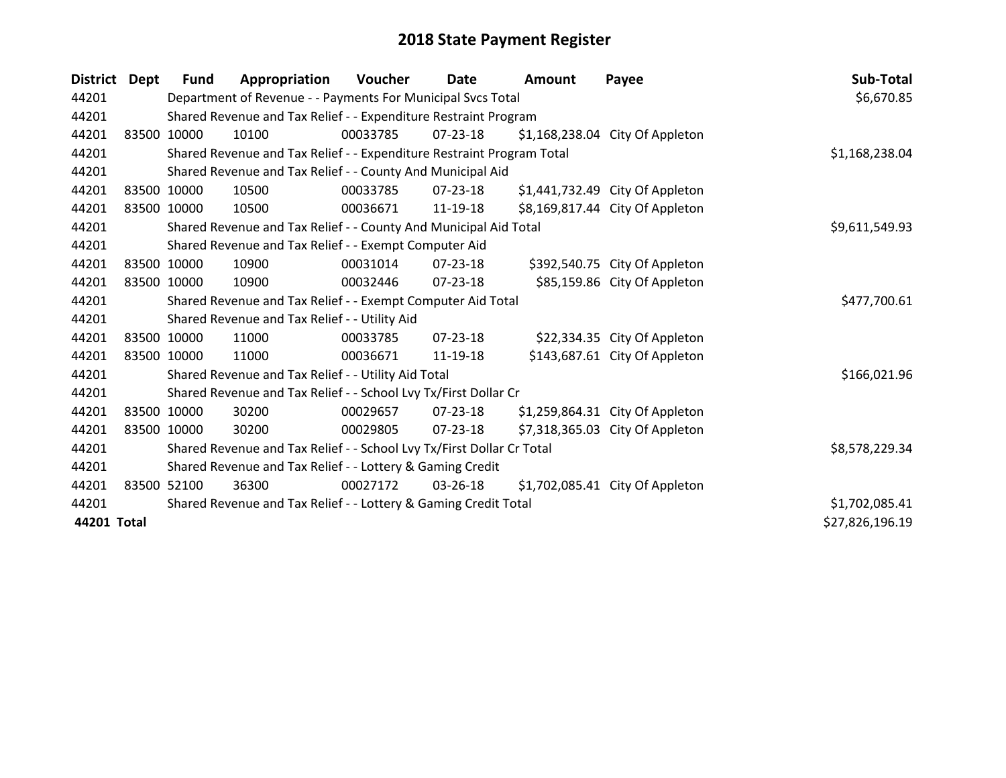| <b>District</b> | Dept  | Fund        | Appropriation                                                         | Voucher        | <b>Date</b>    | Amount | Payee                           | Sub-Total       |
|-----------------|-------|-------------|-----------------------------------------------------------------------|----------------|----------------|--------|---------------------------------|-----------------|
| 44201           |       |             | Department of Revenue - - Payments For Municipal Svcs Total           |                |                |        |                                 | \$6,670.85      |
| 44201           |       |             | Shared Revenue and Tax Relief - - Expenditure Restraint Program       |                |                |        |                                 |                 |
| 44201           | 83500 | 10000       | 10100                                                                 | 00033785       | $07 - 23 - 18$ |        | \$1,168,238.04 City Of Appleton |                 |
| 44201           |       |             | Shared Revenue and Tax Relief - - Expenditure Restraint Program Total | \$1,168,238.04 |                |        |                                 |                 |
| 44201           |       |             | Shared Revenue and Tax Relief - - County And Municipal Aid            |                |                |        |                                 |                 |
| 44201           | 83500 | 10000       | 10500                                                                 | 00033785       | $07 - 23 - 18$ |        | \$1,441,732.49 City Of Appleton |                 |
| 44201           |       | 83500 10000 | 10500                                                                 | 00036671       | 11-19-18       |        | \$8,169,817.44 City Of Appleton |                 |
| 44201           |       |             | Shared Revenue and Tax Relief - - County And Municipal Aid Total      |                |                |        |                                 | \$9,611,549.93  |
| 44201           |       |             | Shared Revenue and Tax Relief - - Exempt Computer Aid                 |                |                |        |                                 |                 |
| 44201           |       | 83500 10000 | 10900                                                                 | 00031014       | 07-23-18       |        | \$392,540.75 City Of Appleton   |                 |
| 44201           |       | 83500 10000 | 10900                                                                 | 00032446       | 07-23-18       |        | \$85,159.86 City Of Appleton    |                 |
| 44201           |       |             | Shared Revenue and Tax Relief - - Exempt Computer Aid Total           |                |                |        |                                 | \$477,700.61    |
| 44201           |       |             | Shared Revenue and Tax Relief - - Utility Aid                         |                |                |        |                                 |                 |
| 44201           |       | 83500 10000 | 11000                                                                 | 00033785       | $07 - 23 - 18$ |        | \$22,334.35 City Of Appleton    |                 |
| 44201           |       | 83500 10000 | 11000                                                                 | 00036671       | 11-19-18       |        | \$143,687.61 City Of Appleton   |                 |
| 44201           |       |             | Shared Revenue and Tax Relief - - Utility Aid Total                   |                |                |        |                                 | \$166,021.96    |
| 44201           |       |             | Shared Revenue and Tax Relief - - School Lvy Tx/First Dollar Cr       |                |                |        |                                 |                 |
| 44201           |       | 83500 10000 | 30200                                                                 | 00029657       | $07 - 23 - 18$ |        | \$1,259,864.31 City Of Appleton |                 |
| 44201           |       | 83500 10000 | 30200                                                                 | 00029805       | $07 - 23 - 18$ |        | \$7,318,365.03 City Of Appleton |                 |
| 44201           |       |             | Shared Revenue and Tax Relief - - School Lvy Tx/First Dollar Cr Total |                |                |        |                                 | \$8,578,229.34  |
| 44201           |       |             | Shared Revenue and Tax Relief - - Lottery & Gaming Credit             |                |                |        |                                 |                 |
| 44201           |       | 83500 52100 | 36300                                                                 | 00027172       | 03-26-18       |        | \$1,702,085.41 City Of Appleton |                 |
| 44201           |       |             | Shared Revenue and Tax Relief - - Lottery & Gaming Credit Total       | \$1,702,085.41 |                |        |                                 |                 |
| 44201 Total     |       |             |                                                                       |                |                |        |                                 | \$27,826,196.19 |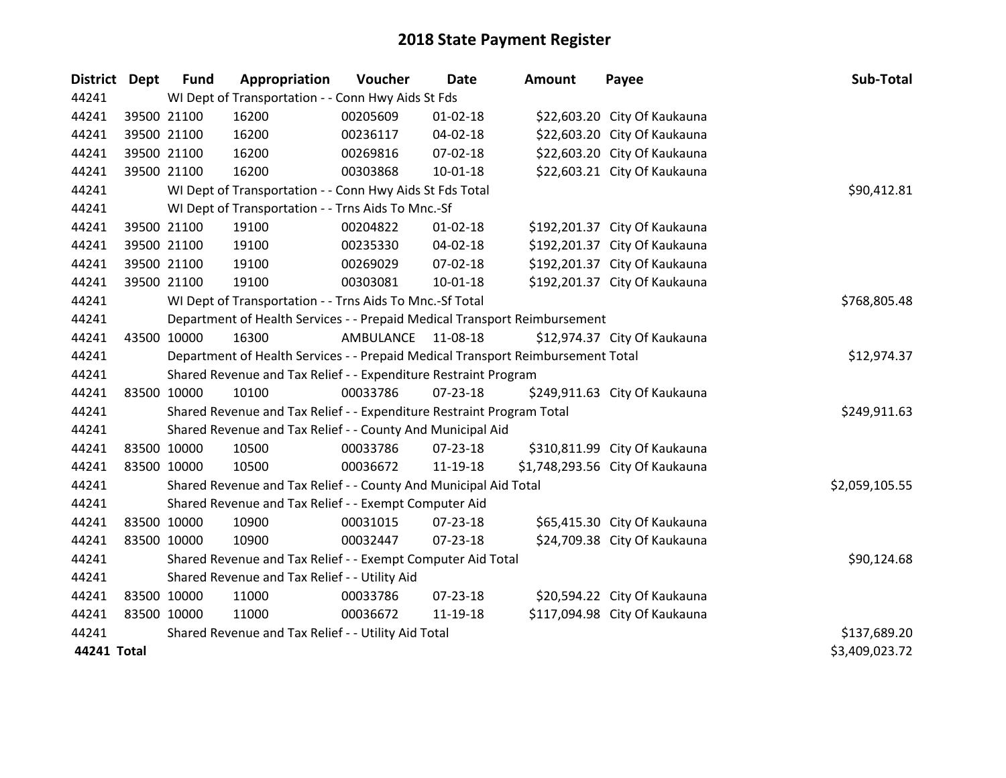| <b>District Dept</b> | <b>Fund</b> | Appropriation                                                                   | Voucher   | <b>Date</b>    | <b>Amount</b> | Payee                           | Sub-Total      |
|----------------------|-------------|---------------------------------------------------------------------------------|-----------|----------------|---------------|---------------------------------|----------------|
| 44241                |             | WI Dept of Transportation - - Conn Hwy Aids St Fds                              |           |                |               |                                 |                |
| 44241                | 39500 21100 | 16200                                                                           | 00205609  | 01-02-18       |               | \$22,603.20 City Of Kaukauna    |                |
| 44241                | 39500 21100 | 16200                                                                           | 00236117  | 04-02-18       |               | \$22,603.20 City Of Kaukauna    |                |
| 44241                | 39500 21100 | 16200                                                                           | 00269816  | 07-02-18       |               | \$22,603.20 City Of Kaukauna    |                |
| 44241                | 39500 21100 | 16200                                                                           | 00303868  | $10 - 01 - 18$ |               | \$22,603.21 City Of Kaukauna    |                |
| 44241                |             | WI Dept of Transportation - - Conn Hwy Aids St Fds Total                        |           |                |               |                                 | \$90,412.81    |
| 44241                |             | WI Dept of Transportation - - Trns Aids To Mnc.-Sf                              |           |                |               |                                 |                |
| 44241                | 39500 21100 | 19100                                                                           | 00204822  | 01-02-18       |               | \$192,201.37 City Of Kaukauna   |                |
| 44241                | 39500 21100 | 19100                                                                           | 00235330  | 04-02-18       |               | \$192,201.37 City Of Kaukauna   |                |
| 44241                | 39500 21100 | 19100                                                                           | 00269029  | $07 - 02 - 18$ |               | \$192,201.37 City Of Kaukauna   |                |
| 44241                | 39500 21100 | 19100                                                                           | 00303081  | $10 - 01 - 18$ |               | \$192,201.37 City Of Kaukauna   |                |
| 44241                |             | WI Dept of Transportation - - Trns Aids To Mnc.-Sf Total                        |           |                |               |                                 | \$768,805.48   |
| 44241                |             | Department of Health Services - - Prepaid Medical Transport Reimbursement       |           |                |               |                                 |                |
| 44241                | 43500 10000 | 16300                                                                           | AMBULANCE | 11-08-18       |               | \$12,974.37 City Of Kaukauna    |                |
| 44241                |             | Department of Health Services - - Prepaid Medical Transport Reimbursement Total |           |                |               |                                 | \$12,974.37    |
| 44241                |             | Shared Revenue and Tax Relief - - Expenditure Restraint Program                 |           |                |               |                                 |                |
| 44241                | 83500 10000 | 10100                                                                           | 00033786  | $07 - 23 - 18$ |               | \$249,911.63 City Of Kaukauna   |                |
| 44241                |             | Shared Revenue and Tax Relief - - Expenditure Restraint Program Total           |           |                |               |                                 | \$249,911.63   |
| 44241                |             | Shared Revenue and Tax Relief - - County And Municipal Aid                      |           |                |               |                                 |                |
| 44241                | 83500 10000 | 10500                                                                           | 00033786  | 07-23-18       |               | \$310,811.99 City Of Kaukauna   |                |
| 44241                | 83500 10000 | 10500                                                                           | 00036672  | 11-19-18       |               | \$1,748,293.56 City Of Kaukauna |                |
| 44241                |             | Shared Revenue and Tax Relief - - County And Municipal Aid Total                |           |                |               |                                 | \$2,059,105.55 |
| 44241                |             | Shared Revenue and Tax Relief - - Exempt Computer Aid                           |           |                |               |                                 |                |
| 44241                | 83500 10000 | 10900                                                                           | 00031015  | 07-23-18       |               | \$65,415.30 City Of Kaukauna    |                |
| 44241                | 83500 10000 | 10900                                                                           | 00032447  | 07-23-18       |               | \$24,709.38 City Of Kaukauna    |                |
| 44241                |             | Shared Revenue and Tax Relief - - Exempt Computer Aid Total                     |           |                |               |                                 | \$90,124.68    |
| 44241                |             | Shared Revenue and Tax Relief - - Utility Aid                                   |           |                |               |                                 |                |
| 44241                | 83500 10000 | 11000                                                                           | 00033786  | 07-23-18       |               | \$20,594.22 City Of Kaukauna    |                |
| 44241                | 83500 10000 | 11000                                                                           | 00036672  | 11-19-18       |               | \$117,094.98 City Of Kaukauna   |                |
| 44241                |             | Shared Revenue and Tax Relief - - Utility Aid Total                             |           |                |               |                                 | \$137,689.20   |
| 44241 Total          |             |                                                                                 |           |                |               |                                 | \$3,409,023.72 |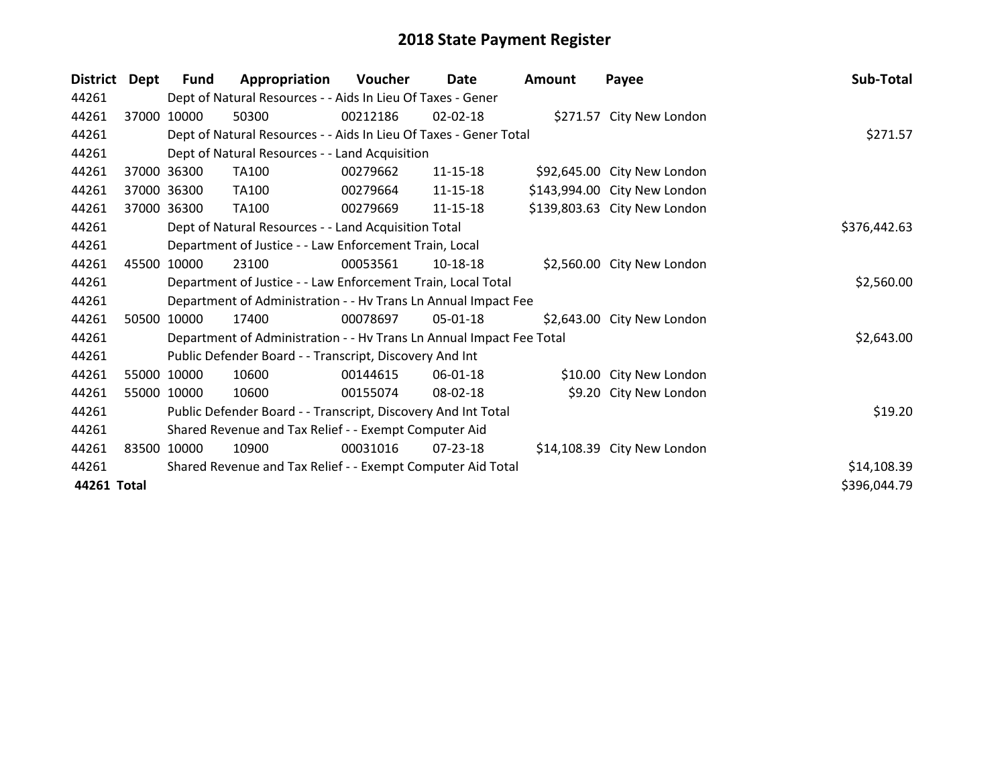| <b>District</b> | Dept  | Fund        | Appropriation                                                        | Voucher  | Date           | <b>Amount</b> | Payee                        | Sub-Total    |
|-----------------|-------|-------------|----------------------------------------------------------------------|----------|----------------|---------------|------------------------------|--------------|
| 44261           |       |             | Dept of Natural Resources - - Aids In Lieu Of Taxes - Gener          |          |                |               |                              |              |
| 44261           | 37000 | 10000       | 50300                                                                | 00212186 | 02-02-18       |               | \$271.57 City New London     |              |
| 44261           |       |             | Dept of Natural Resources - - Aids In Lieu Of Taxes - Gener Total    |          | \$271.57       |               |                              |              |
| 44261           |       |             | Dept of Natural Resources - - Land Acquisition                       |          |                |               |                              |              |
| 44261           |       | 37000 36300 | TA100                                                                | 00279662 | $11 - 15 - 18$ |               | \$92,645.00 City New London  |              |
| 44261           |       | 37000 36300 | TA100                                                                | 00279664 | 11-15-18       |               | \$143,994.00 City New London |              |
| 44261           | 37000 | 36300       | TA100                                                                | 00279669 | 11-15-18       |               | \$139,803.63 City New London |              |
| 44261           |       |             | Dept of Natural Resources - - Land Acquisition Total                 |          |                |               |                              | \$376,442.63 |
| 44261           |       |             | Department of Justice - - Law Enforcement Train, Local               |          |                |               |                              |              |
| 44261           | 45500 | 10000       | 23100                                                                | 00053561 | 10-18-18       |               | \$2,560.00 City New London   |              |
| 44261           |       |             | Department of Justice - - Law Enforcement Train, Local Total         |          |                |               |                              | \$2,560.00   |
| 44261           |       |             | Department of Administration - - Hv Trans Ln Annual Impact Fee       |          |                |               |                              |              |
| 44261           | 50500 | 10000       | 17400                                                                | 00078697 | 05-01-18       |               | \$2,643.00 City New London   |              |
| 44261           |       |             | Department of Administration - - Hv Trans Ln Annual Impact Fee Total |          |                |               |                              | \$2,643.00   |
| 44261           |       |             | Public Defender Board - - Transcript, Discovery And Int              |          |                |               |                              |              |
| 44261           |       | 55000 10000 | 10600                                                                | 00144615 | 06-01-18       |               | \$10.00 City New London      |              |
| 44261           |       | 55000 10000 | 10600                                                                | 00155074 | 08-02-18       |               | \$9.20 City New London       |              |
| 44261           |       |             | Public Defender Board - - Transcript, Discovery And Int Total        |          |                |               |                              | \$19.20      |
| 44261           |       |             | Shared Revenue and Tax Relief - - Exempt Computer Aid                |          |                |               |                              |              |
| 44261           |       | 83500 10000 | 10900                                                                | 00031016 | $07 - 23 - 18$ |               | \$14,108.39 City New London  |              |
| 44261           |       |             | Shared Revenue and Tax Relief - - Exempt Computer Aid Total          |          |                |               |                              | \$14,108.39  |
| 44261 Total     |       |             |                                                                      |          |                |               |                              | \$396,044.79 |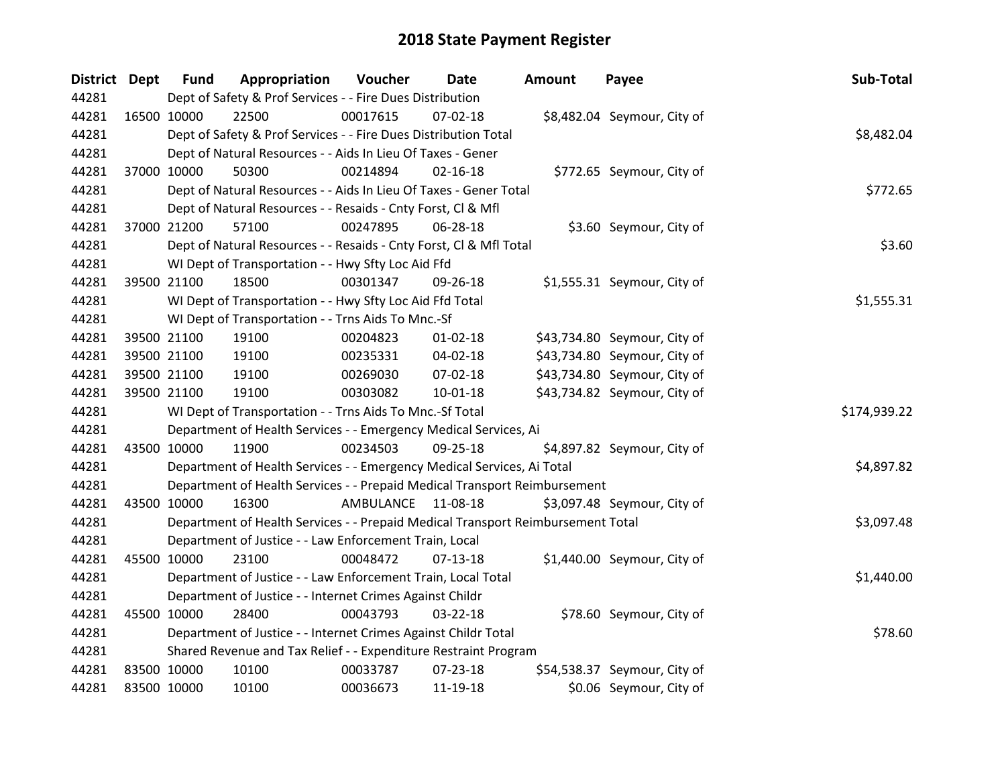| District Dept | <b>Fund</b> | Appropriation                                                                   | Voucher   | Date           | <b>Amount</b> | Payee                        | Sub-Total    |
|---------------|-------------|---------------------------------------------------------------------------------|-----------|----------------|---------------|------------------------------|--------------|
| 44281         |             | Dept of Safety & Prof Services - - Fire Dues Distribution                       |           |                |               |                              |              |
| 44281         | 16500 10000 | 22500                                                                           | 00017615  | 07-02-18       |               | \$8,482.04 Seymour, City of  |              |
| 44281         |             | Dept of Safety & Prof Services - - Fire Dues Distribution Total                 |           |                |               |                              | \$8,482.04   |
| 44281         |             | Dept of Natural Resources - - Aids In Lieu Of Taxes - Gener                     |           |                |               |                              |              |
| 44281         | 37000 10000 | 50300                                                                           | 00214894  | $02 - 16 - 18$ |               | \$772.65 Seymour, City of    |              |
| 44281         |             | Dept of Natural Resources - - Aids In Lieu Of Taxes - Gener Total               |           |                |               |                              | \$772.65     |
| 44281         |             | Dept of Natural Resources - - Resaids - Cnty Forst, Cl & Mfl                    |           |                |               |                              |              |
| 44281         | 37000 21200 | 57100                                                                           | 00247895  | 06-28-18       |               | \$3.60 Seymour, City of      |              |
| 44281         |             | Dept of Natural Resources - - Resaids - Cnty Forst, Cl & Mfl Total              |           |                |               |                              | \$3.60       |
| 44281         |             | WI Dept of Transportation - - Hwy Sfty Loc Aid Ffd                              |           |                |               |                              |              |
| 44281         | 39500 21100 | 18500                                                                           | 00301347  | 09-26-18       |               | \$1,555.31 Seymour, City of  |              |
| 44281         |             | WI Dept of Transportation - - Hwy Sfty Loc Aid Ffd Total                        |           |                |               |                              | \$1,555.31   |
| 44281         |             | WI Dept of Transportation - - Trns Aids To Mnc.-Sf                              |           |                |               |                              |              |
| 44281         | 39500 21100 | 19100                                                                           | 00204823  | $01 - 02 - 18$ |               | \$43,734.80 Seymour, City of |              |
| 44281         | 39500 21100 | 19100                                                                           | 00235331  | 04-02-18       |               | \$43,734.80 Seymour, City of |              |
| 44281         | 39500 21100 | 19100                                                                           | 00269030  | 07-02-18       |               | \$43,734.80 Seymour, City of |              |
| 44281         | 39500 21100 | 19100                                                                           | 00303082  | $10 - 01 - 18$ |               | \$43,734.82 Seymour, City of |              |
| 44281         |             | WI Dept of Transportation - - Trns Aids To Mnc.-Sf Total                        |           |                |               |                              | \$174,939.22 |
| 44281         |             | Department of Health Services - - Emergency Medical Services, Ai                |           |                |               |                              |              |
| 44281         | 43500 10000 | 11900                                                                           | 00234503  | 09-25-18       |               | \$4,897.82 Seymour, City of  |              |
| 44281         |             | Department of Health Services - - Emergency Medical Services, Ai Total          |           |                |               |                              | \$4,897.82   |
| 44281         |             | Department of Health Services - - Prepaid Medical Transport Reimbursement       |           |                |               |                              |              |
| 44281         | 43500 10000 | 16300                                                                           | AMBULANCE | 11-08-18       |               | \$3,097.48 Seymour, City of  |              |
| 44281         |             | Department of Health Services - - Prepaid Medical Transport Reimbursement Total |           |                |               |                              | \$3,097.48   |
| 44281         |             | Department of Justice - - Law Enforcement Train, Local                          |           |                |               |                              |              |
| 44281         | 45500 10000 | 23100                                                                           | 00048472  | $07-13-18$     |               | \$1,440.00 Seymour, City of  |              |
| 44281         |             | Department of Justice - - Law Enforcement Train, Local Total                    |           |                |               |                              | \$1,440.00   |
| 44281         |             | Department of Justice - - Internet Crimes Against Childr                        |           |                |               |                              |              |
| 44281         | 45500 10000 | 28400                                                                           | 00043793  | 03-22-18       |               | \$78.60 Seymour, City of     |              |
| 44281         |             | Department of Justice - - Internet Crimes Against Childr Total                  |           |                |               |                              | \$78.60      |
| 44281         |             | Shared Revenue and Tax Relief - - Expenditure Restraint Program                 |           |                |               |                              |              |
| 44281         | 83500 10000 | 10100                                                                           | 00033787  | 07-23-18       |               | \$54,538.37 Seymour, City of |              |
| 44281         | 83500 10000 | 10100                                                                           | 00036673  | 11-19-18       |               | \$0.06 Seymour, City of      |              |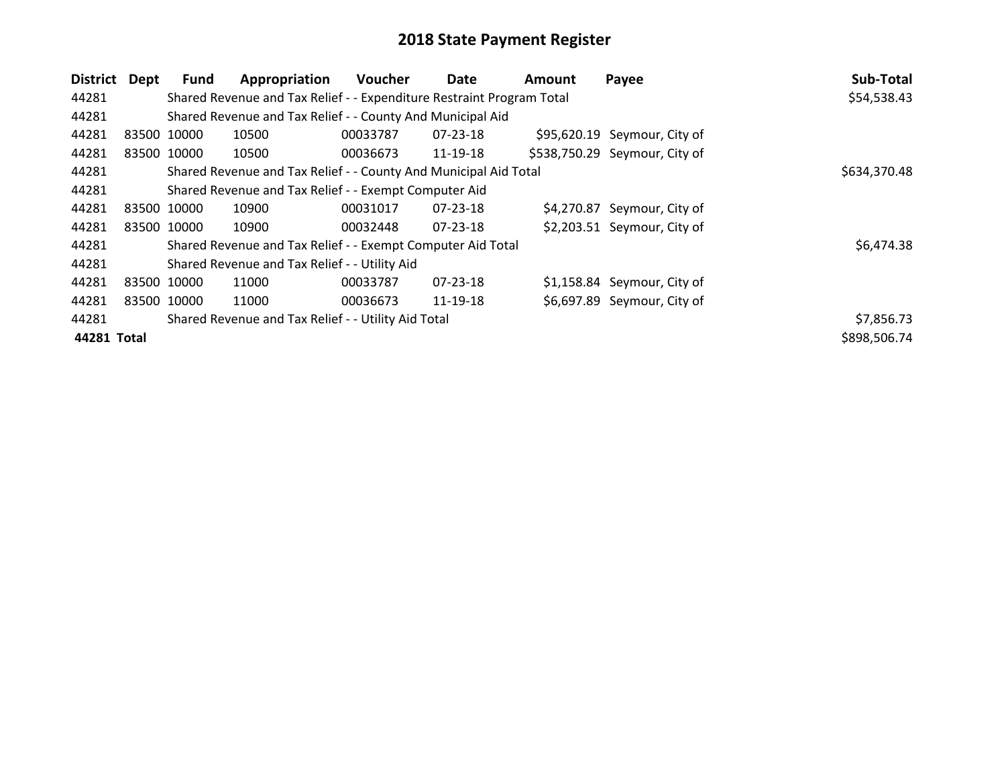| <b>District</b>                                              | Dept | Fund                                                  | Appropriation                                                         | Voucher  | Date           | Amount | Payee                         | Sub-Total    |
|--------------------------------------------------------------|------|-------------------------------------------------------|-----------------------------------------------------------------------|----------|----------------|--------|-------------------------------|--------------|
| 44281                                                        |      |                                                       | Shared Revenue and Tax Relief - - Expenditure Restraint Program Total |          |                |        |                               | \$54,538.43  |
| 44281                                                        |      |                                                       | Shared Revenue and Tax Relief - - County And Municipal Aid            |          |                |        |                               |              |
| 44281                                                        |      | 83500 10000                                           | 10500                                                                 | 00033787 | 07-23-18       |        | \$95,620.19 Seymour, City of  |              |
| 44281                                                        |      | 83500 10000                                           | 10500                                                                 | 00036673 | 11-19-18       |        | \$538,750.29 Seymour, City of |              |
| 44281                                                        |      |                                                       | Shared Revenue and Tax Relief - - County And Municipal Aid Total      |          |                |        |                               | \$634,370.48 |
| 44281                                                        |      | Shared Revenue and Tax Relief - - Exempt Computer Aid |                                                                       |          |                |        |                               |              |
| 44281                                                        |      | 83500 10000                                           | 10900                                                                 | 00031017 | 07-23-18       |        | \$4,270.87 Seymour, City of   |              |
| 44281                                                        |      | 83500 10000                                           | 10900                                                                 | 00032448 | $07 - 23 - 18$ |        | \$2,203.51 Seymour, City of   |              |
| 44281                                                        |      |                                                       | Shared Revenue and Tax Relief - - Exempt Computer Aid Total           |          |                |        |                               | \$6,474.38   |
| 44281                                                        |      |                                                       | Shared Revenue and Tax Relief - - Utility Aid                         |          |                |        |                               |              |
| 44281                                                        |      | 83500 10000                                           | 11000                                                                 | 00033787 | $07 - 23 - 18$ |        | \$1,158.84 Seymour, City of   |              |
| 44281                                                        |      | 83500 10000                                           | 11000                                                                 | 00036673 | 11-19-18       |        | \$6,697.89 Seymour, City of   |              |
| Shared Revenue and Tax Relief - - Utility Aid Total<br>44281 |      |                                                       |                                                                       |          |                |        |                               | \$7,856.73   |
| 44281 Total                                                  |      |                                                       |                                                                       |          |                |        |                               | \$898,506.74 |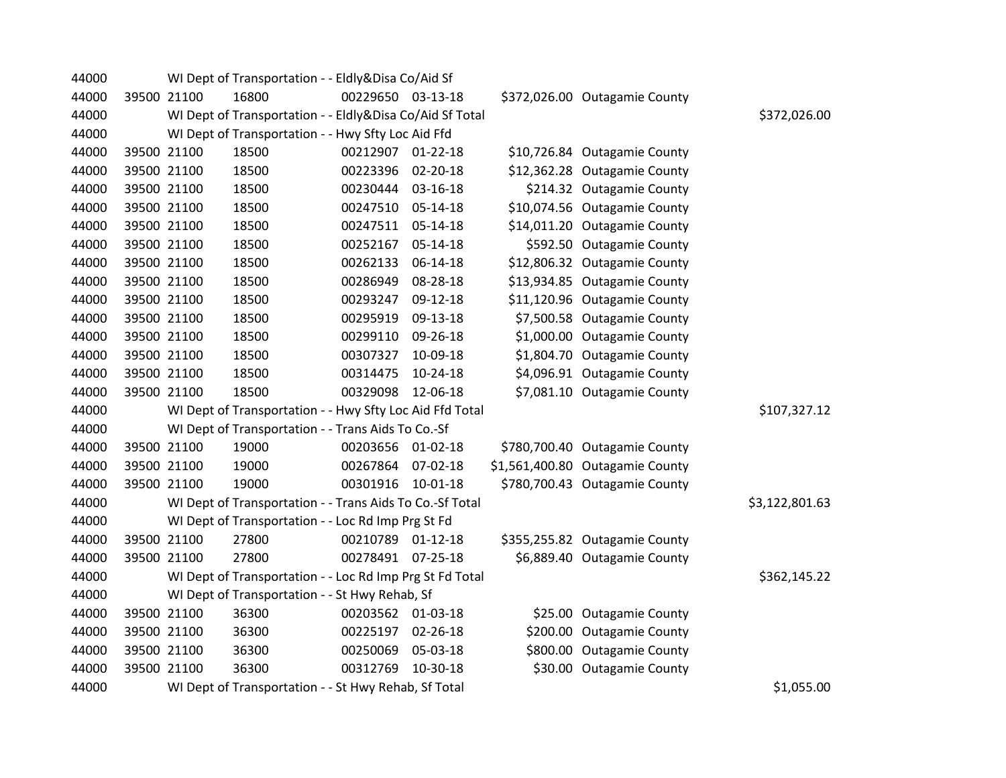| 44000 |             | WI Dept of Transportation - - Eldly&Disa Co/Aid Sf       |                   |                |                                 |                |
|-------|-------------|----------------------------------------------------------|-------------------|----------------|---------------------------------|----------------|
| 44000 | 39500 21100 | 16800                                                    | 00229650 03-13-18 |                | \$372,026.00 Outagamie County   |                |
| 44000 |             | WI Dept of Transportation - - Eldly&Disa Co/Aid Sf Total |                   |                |                                 | \$372,026.00   |
| 44000 |             | WI Dept of Transportation - - Hwy Sfty Loc Aid Ffd       |                   |                |                                 |                |
| 44000 | 39500 21100 | 18500                                                    | 00212907 01-22-18 |                | \$10,726.84 Outagamie County    |                |
| 44000 | 39500 21100 | 18500                                                    | 00223396          | 02-20-18       | \$12,362.28 Outagamie County    |                |
| 44000 | 39500 21100 | 18500                                                    | 00230444          | 03-16-18       | \$214.32 Outagamie County       |                |
| 44000 | 39500 21100 | 18500                                                    | 00247510          | 05-14-18       | \$10,074.56 Outagamie County    |                |
| 44000 | 39500 21100 | 18500                                                    | 00247511          | 05-14-18       | \$14,011.20 Outagamie County    |                |
| 44000 | 39500 21100 | 18500                                                    | 00252167          | 05-14-18       | \$592.50 Outagamie County       |                |
| 44000 | 39500 21100 | 18500                                                    | 00262133          | 06-14-18       | \$12,806.32 Outagamie County    |                |
| 44000 | 39500 21100 | 18500                                                    | 00286949          | 08-28-18       | \$13,934.85 Outagamie County    |                |
| 44000 | 39500 21100 | 18500                                                    | 00293247          | 09-12-18       | \$11,120.96 Outagamie County    |                |
| 44000 | 39500 21100 | 18500                                                    | 00295919          | 09-13-18       | \$7,500.58 Outagamie County     |                |
| 44000 | 39500 21100 | 18500                                                    | 00299110          | 09-26-18       | \$1,000.00 Outagamie County     |                |
| 44000 | 39500 21100 | 18500                                                    | 00307327          | 10-09-18       | \$1,804.70 Outagamie County     |                |
| 44000 | 39500 21100 | 18500                                                    | 00314475          | 10-24-18       | \$4,096.91 Outagamie County     |                |
| 44000 | 39500 21100 | 18500                                                    | 00329098          | 12-06-18       | \$7,081.10 Outagamie County     |                |
| 44000 |             | WI Dept of Transportation - - Hwy Sfty Loc Aid Ffd Total |                   |                |                                 | \$107,327.12   |
| 44000 |             | WI Dept of Transportation - - Trans Aids To Co.-Sf       |                   |                |                                 |                |
| 44000 | 39500 21100 | 19000                                                    | 00203656 01-02-18 |                | \$780,700.40 Outagamie County   |                |
| 44000 | 39500 21100 | 19000                                                    | 00267864          | 07-02-18       | \$1,561,400.80 Outagamie County |                |
| 44000 | 39500 21100 | 19000                                                    | 00301916          | $10 - 01 - 18$ | \$780,700.43 Outagamie County   |                |
| 44000 |             | WI Dept of Transportation - - Trans Aids To Co.-Sf Total |                   |                |                                 | \$3,122,801.63 |
| 44000 |             | WI Dept of Transportation - - Loc Rd Imp Prg St Fd       |                   |                |                                 |                |
| 44000 | 39500 21100 | 27800                                                    | 00210789 01-12-18 |                | \$355,255.82 Outagamie County   |                |
| 44000 | 39500 21100 | 27800                                                    | 00278491 07-25-18 |                | \$6,889.40 Outagamie County     |                |
| 44000 |             | WI Dept of Transportation - - Loc Rd Imp Prg St Fd Total |                   |                |                                 | \$362,145.22   |
| 44000 |             | WI Dept of Transportation - - St Hwy Rehab, Sf           |                   |                |                                 |                |
| 44000 | 39500 21100 | 36300                                                    | 00203562 01-03-18 |                | \$25.00 Outagamie County        |                |
| 44000 | 39500 21100 | 36300                                                    | 00225197          | 02-26-18       | \$200.00 Outagamie County       |                |
| 44000 | 39500 21100 | 36300                                                    | 00250069          | 05-03-18       | \$800.00 Outagamie County       |                |
| 44000 | 39500 21100 | 36300                                                    | 00312769          | 10-30-18       | \$30.00 Outagamie County        |                |
| 44000 |             | WI Dept of Transportation - - St Hwy Rehab, Sf Total     |                   |                |                                 | \$1,055.00     |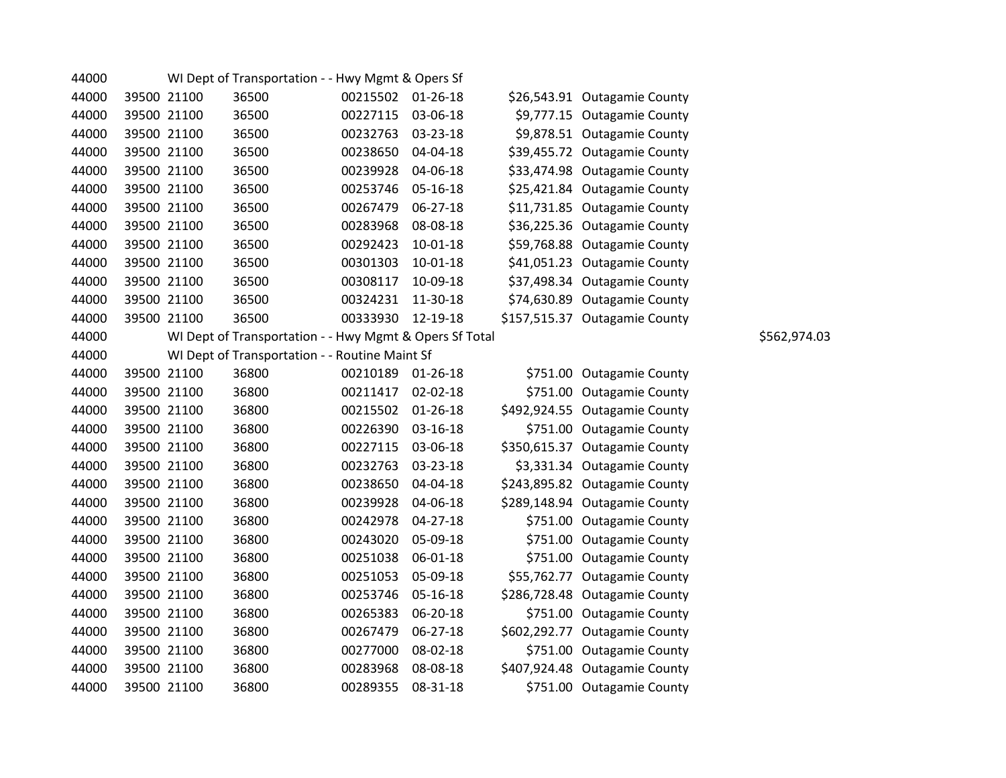| 44000 |             | WI Dept of Transportation - - Hwy Mgmt & Opers Sf       |                   |                |                               |              |
|-------|-------------|---------------------------------------------------------|-------------------|----------------|-------------------------------|--------------|
| 44000 | 39500 21100 | 36500                                                   | 00215502 01-26-18 |                | \$26,543.91 Outagamie County  |              |
| 44000 | 39500 21100 | 36500                                                   | 00227115          | 03-06-18       | \$9,777.15 Outagamie County   |              |
| 44000 | 39500 21100 | 36500                                                   | 00232763          | 03-23-18       | \$9,878.51 Outagamie County   |              |
| 44000 | 39500 21100 | 36500                                                   | 00238650          | 04-04-18       | \$39,455.72 Outagamie County  |              |
| 44000 | 39500 21100 | 36500                                                   | 00239928          | 04-06-18       | \$33,474.98 Outagamie County  |              |
| 44000 | 39500 21100 | 36500                                                   | 00253746          | 05-16-18       | \$25,421.84 Outagamie County  |              |
| 44000 | 39500 21100 | 36500                                                   | 00267479          | 06-27-18       | \$11,731.85 Outagamie County  |              |
| 44000 | 39500 21100 | 36500                                                   | 00283968          | 08-08-18       | \$36,225.36 Outagamie County  |              |
| 44000 | 39500 21100 | 36500                                                   | 00292423          | 10-01-18       | \$59,768.88 Outagamie County  |              |
| 44000 | 39500 21100 | 36500                                                   | 00301303          | $10 - 01 - 18$ | \$41,051.23 Outagamie County  |              |
| 44000 | 39500 21100 | 36500                                                   | 00308117          | 10-09-18       | \$37,498.34 Outagamie County  |              |
| 44000 | 39500 21100 | 36500                                                   | 00324231          | 11-30-18       | \$74,630.89 Outagamie County  |              |
| 44000 | 39500 21100 | 36500                                                   | 00333930          | 12-19-18       | \$157,515.37 Outagamie County |              |
| 44000 |             | WI Dept of Transportation - - Hwy Mgmt & Opers Sf Total |                   |                |                               | \$562,974.03 |
| 44000 |             | WI Dept of Transportation - - Routine Maint Sf          |                   |                |                               |              |
| 44000 | 39500 21100 | 36800                                                   | 00210189          | 01-26-18       | \$751.00 Outagamie County     |              |
| 44000 | 39500 21100 | 36800                                                   | 00211417          | 02-02-18       | \$751.00 Outagamie County     |              |
| 44000 | 39500 21100 | 36800                                                   | 00215502          | 01-26-18       | \$492,924.55 Outagamie County |              |
| 44000 | 39500 21100 | 36800                                                   | 00226390          | 03-16-18       | \$751.00 Outagamie County     |              |
| 44000 | 39500 21100 | 36800                                                   | 00227115          | 03-06-18       | \$350,615.37 Outagamie County |              |
| 44000 | 39500 21100 | 36800                                                   | 00232763          | 03-23-18       | \$3,331.34 Outagamie County   |              |
| 44000 | 39500 21100 | 36800                                                   | 00238650          | 04-04-18       | \$243,895.82 Outagamie County |              |
| 44000 | 39500 21100 | 36800                                                   | 00239928          | 04-06-18       | \$289,148.94 Outagamie County |              |
| 44000 | 39500 21100 | 36800                                                   | 00242978          | $04 - 27 - 18$ | \$751.00 Outagamie County     |              |
| 44000 | 39500 21100 | 36800                                                   | 00243020          | 05-09-18       | \$751.00 Outagamie County     |              |
| 44000 | 39500 21100 | 36800                                                   | 00251038          | 06-01-18       | \$751.00 Outagamie County     |              |
| 44000 | 39500 21100 | 36800                                                   | 00251053          | 05-09-18       | \$55,762.77 Outagamie County  |              |
| 44000 | 39500 21100 | 36800                                                   | 00253746          | 05-16-18       | \$286,728.48 Outagamie County |              |
| 44000 | 39500 21100 | 36800                                                   | 00265383          | 06-20-18       | \$751.00 Outagamie County     |              |
| 44000 | 39500 21100 | 36800                                                   | 00267479          | 06-27-18       | \$602,292.77 Outagamie County |              |
| 44000 | 39500 21100 | 36800                                                   | 00277000          | 08-02-18       | \$751.00 Outagamie County     |              |
| 44000 | 39500 21100 | 36800                                                   | 00283968          | 08-08-18       | \$407,924.48 Outagamie County |              |
| 44000 | 39500 21100 | 36800                                                   | 00289355          | 08-31-18       | \$751.00 Outagamie County     |              |
|       |             |                                                         |                   |                |                               |              |